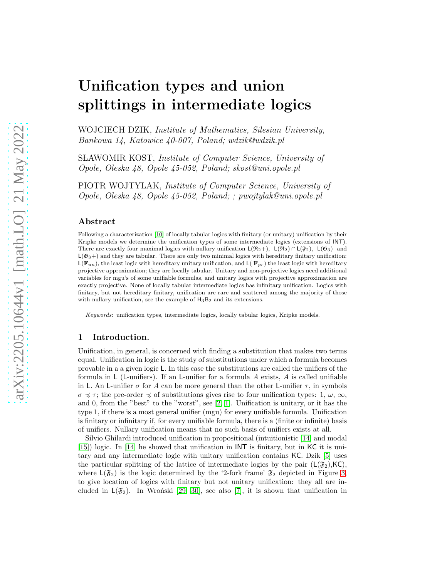# Unification types and union splittings in intermediate logics

WOJCIECH DZIK, Institute of Mathematics, Silesian University, Bankowa 14, Katowice 40-007, Poland; wdzik@wdzik.pl

S LAWOMIR KOST, Institute of Computer Science, University of Opole, Oleska 48, Opole 45-052, Poland; skost@uni.opole.pl

PIOTR WOJTYLAK, Institute of Computer Science, University of Opole, Oleska 48, Opole 45-052, Poland; ; pwojtylak@uni.opole.pl

## Abstract

Following a characterization [\[10\]](#page-56-0) of locally tabular logics with finitary (or unitary) unification by their Kripke models we determine the unification types of some intermediate logics (extensions of INT). There are exactly four maximal logics with nullary unification  $L(\mathfrak{R}_2+)$ ,  $L(\mathfrak{R}_2) \cap L(\mathfrak{F}_2)$ ,  $L(\mathfrak{G}_3)$  and  $L(\mathfrak{G}_3+)$  and they are tabular. There are only two minimal logics with hereditary finitary unification:  $L(\mathbf{F}_{un})$ , the least logic with hereditary unitary unification, and  $L(\mathbf{F}_{pr})$  the least logic with hereditary projective approximation; they are locally tabular. Unitary and non-projective logics need additional variables for mgu's of some unifiable formulas, and unitary logics with projective approximation are exactly projective. None of locally tabular intermediate logics has infinitary unification. Logics with finitary, but not hereditary finitary, unification are rare and scattered among the majority of those with nullary unification, see the example of  $H_3B_2$  and its extensions.

*Keywords*: unification types, intermediate logics, locally tabular logics, Kripke models.

# 1 Introduction.

Unification, in general, is concerned with finding a substitution that makes two terms equal. Unification in logic is the study of substitutions under which a formula becomes provable in a a given logic L. In this case the substitutions are called the unifiers of the formula in  $\mathsf{L}$  (L-unifiers). If an L-unifier for a formula A exists, A is called unifiable in L. An L-unifier  $\sigma$  for A can be more general than the other L-unifier  $\tau$ , in symbols  $\sigma \preccurlyeq \tau$ ; the pre-order  $\preccurlyeq$  of substitutions gives rise to four unification types: 1,  $\omega$ ,  $\infty$ , and 0, from the "best" to the "worst", see  $[2, 1]$  $[2, 1]$ . Unification is unitary, or it has the type 1, if there is a most general unifier (mgu) for every unifiable formula. Unification is finitary or infinitary if, for every unifiable formula, there is a (finite or infinite) basis of unifiers. Nullary unification means that no such basis of unifiers exists at all.

Silvio Ghilardi introduced unification in propositional (intuitionistic [\[14\]](#page-56-3) and modal [\[15\]](#page-56-4)) logic. In [\[14\]](#page-56-3) he showed that unification in INT is finitary, but in KC it is unitary and any intermediate logic with unitary unification contains KC. Dzik [\[5\]](#page-56-5) uses the particular splitting of the lattice of intermediate logics by the pair  $(L(\mathfrak{F}_2), K\mathsf{C})$ , where  $\mathsf{L}(\mathfrak{F}_2)$  is the logic determined by the '2-fork frame'  $\mathfrak{F}_2$  depicted in Figure [3,](#page-2-0) to give location of logics with finitary but not unitary unification: they all are included in  $L(\mathfrak{F}_2)$ . In Wronski [\[29,](#page-57-0) [30\]](#page-57-1), see also [\[7\]](#page-56-6), it is shown that unification in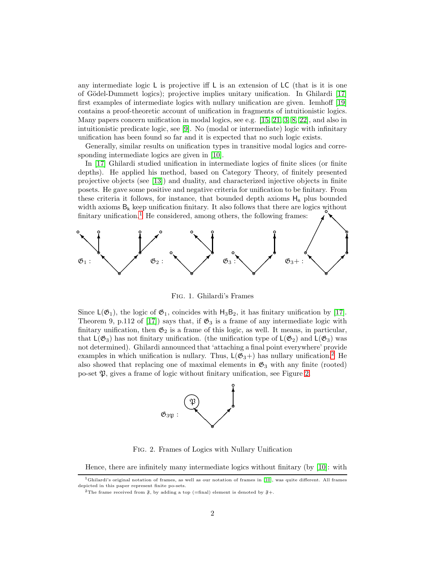any intermediate logic  $\sf L$  is projective iff  $\sf L$  is an extension of  $\sf LC$  (that is it is one of G¨odel-Dummett logics); projective implies unitary unification. In Ghilardi [\[17\]](#page-56-7) first examples of intermediate logics with nullary unification are given. Iemhoff [\[19\]](#page-56-8) contains a proof-theoretic account of unification in fragments of intuitionistic logics. Many papers concern unification in modal logics, see e.g. [\[15,](#page-56-4) [21,](#page-56-9) [3,](#page-56-10) [8,](#page-56-11) [22\]](#page-56-12), and also in intuitionistic predicate logic, see [\[9\]](#page-56-13). No (modal or intermediate) logic with infinitary unification has been found so far and it is expected that no such logic exists.

Generally, similar results on unification types in transitive modal logics and corresponding intermediate logics are given in [\[10\]](#page-56-0).

In [\[17\]](#page-56-7) Ghilardi studied unification in intermediate logics of finite slices (or finite depths). He applied his method, based on Category Theory, of finitely presented projective objects (see [\[13\]](#page-56-14)) and duality, and characterized injective objects in finite posets. He gave some positive and negative criteria for unification to be finitary. From these criteria it follows, for instance, that bounded depth axioms  $H_n$  plus bounded width axioms  $B_k$  keep unification finitary. It also follows that there are logics without finitary unification.<sup>[1](#page-1-0)</sup> He considered, among others, the following frames: ❅■



<span id="page-1-3"></span>Fig. 1. Ghilardi's Frames

Since  $L(\mathfrak{G}_1)$ , the logic of  $\mathfrak{G}_1$ , coincides with  $H_3B_2$ , it has finitary unification by [\[17\]](#page-56-7). Theorem 9, p.112 of [\[17\]](#page-56-7)) says that, if  $\mathfrak{G}_3$  is a frame of any intermediate logic with finitary unification, then  $\mathfrak{G}_2$  is a frame of this logic, as well. It means, in particular, that  $L(\mathfrak{G}_3)$  has not finitary unification. (the unification type of  $L(\mathfrak{G}_2)$  and  $L(\mathfrak{G}_3)$  was not determined). Ghilardi announced that 'attaching a final point everywhere' provide examples in which unification is nullary. Thus,  $L(\mathfrak{G}_3+)$  has nullary unification.<sup>[2](#page-1-1)</sup> He also showed that replacing one of maximal elements in  $\mathfrak{G}_3$  with any finite (rooted) po-set  $\mathfrak{P}$ , gives a frame of logic without finitary unification, see Figure [2.](#page-1-2)



<span id="page-1-2"></span>Fig. 2. Frames of Logics with Nullary Unification

Hence, there are infinitely many intermediate logics without finitary (by  $|10|$ : with

<sup>&</sup>lt;sup>1</sup>Ghilardi's original notation of frames, as well as our notation of frames in [\[10\]](#page-56-0), was quite different. All frames depicted in this paper represent finite po-sets.

<span id="page-1-1"></span><span id="page-1-0"></span><sup>&</sup>lt;sup>2</sup>The frame received from  $\tilde{s}$ , by adding a top (=final) element is denoted by  $\tilde{s}$ +.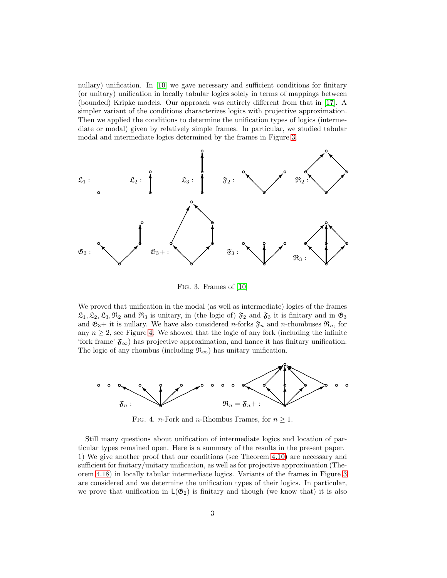nullary) unification. In [\[10\]](#page-56-0) we gave necessary and sufficient conditions for finitary (or unitary) unification in locally tabular logics solely in terms of mappings between (bounded) Kripke models. Our approach was entirely different from that in [\[17\]](#page-56-7). A simpler variant of the conditions characterizes logics with projective approximation. Then we applied the conditions to determine the unification types of logics (intermediate or modal) given by relatively simple frames. In particular, we studied tabular modal and intermediate logics determined by the frames in Figure [3.](#page-2-0)



<span id="page-2-0"></span>Fig. 3. Frames of [\[10\]](#page-56-0)

We proved that unification in the modal (as well as intermediate) logics of the frames  $\mathfrak{L}_1, \mathfrak{L}_2, \mathfrak{L}_3, \mathfrak{R}_2$  and  $\mathfrak{R}_3$  is unitary, in (the logic of)  $\mathfrak{F}_2$  and  $\mathfrak{F}_3$  it is finitary and in  $\mathfrak{G}_3$ and  $\mathfrak{G}_3+$  it is nullary. We have also considered *n*-forks  $\mathfrak{F}_n$  and *n*-rhombuses  $\mathfrak{R}_n$ , for any  $n \geq 2$ , see Figure [4.](#page-2-1) We showed that the logic of any fork (including the infinite 'fork frame'  $\mathfrak{F}_{\infty}$ ) has projective approximation, and hance it has finitary unification. The logic of any rhombus (including  $\mathfrak{R}_{\infty}$ ) has unitary unification.



<span id="page-2-1"></span>FIG. 4. *n*-Fork and *n*-Rhombus Frames, for  $n \geq 1$ .

Still many questions about unification of intermediate logics and location of particular types remained open. Here is a summary of the results in the present paper. 1) We give another proof that our conditions (see Theorem [4.10\)](#page-20-0) are necessary and sufficient for finitary/unitary unification, as well as for projective approximation (Theorem [4.18\)](#page-29-0) in locally tabular intermediate logics. Variants of the frames in Figure [3](#page-2-0) are considered and we determine the unification types of their logics. In particular, we prove that unification in  $L(\mathfrak{G}_2)$  is finitary and though (we know that) it is also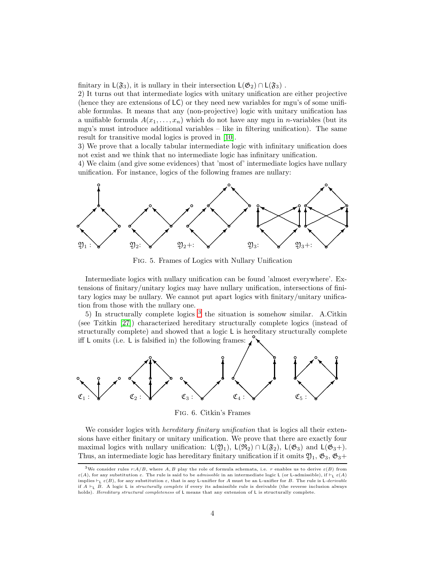finitary in  $L(\mathfrak{F}_3)$ , it is nullary in their intersection  $L(\mathfrak{G}_2) \cap L(\mathfrak{F}_3)$ .

2) It turns out that intermediate logics with unitary unification are either projective (hence they are extensions of LC) or they need new variables for mgu's of some unifiable formulas. It means that any (non-projective) logic with unitary unification has a unifiable formula  $A(x_1, \ldots, x_n)$  which do not have any mgu in *n*-variables (but its mgu's must introduce additional variables – like in filtering unification). The same result for transitive modal logics is proved in [\[10\]](#page-56-0).

3) We prove that a locally tabular intermediate logic with infinitary unification does not exist and we think that no intermediate logic has infinitary unification.

4) We claim (and give some evidences) that 'most of' intermediate logics have nullary unification. For instance, logics of the following frames are nullary:



<span id="page-3-2"></span>Fig. 5. Frames of Logics with Nullary Unification

Intermediate logics with nullary unification can be found 'almost everywhere'. Extensions of finitary/unitary logics may have nullary unification, intersections of finitary logics may be nullary. We cannot put apart logics with finitary/unitary unification from those with the nullary one.

5) In structurally complete logics [3](#page-3-0) the situation is somehow similar. A.Citkin (see Tzitkin [\[27\]](#page-57-2)) characterized hereditary structurally complete logics (instead of structurally complete) and showed that a logic L is hereditary structurally complete<br>  $\mathcal{L}$  is falsified in the following frame: iff L omits (i.e. L is falsified in) the following frames: ❅■



<span id="page-3-1"></span>Fig. 6. Citkin's Frames

We consider logics with *hereditary finitary unification* that is logics all their extensions have either finitary or unitary unification. We prove that there are exactly four maximal logics with nullary unification:  $L(\mathfrak{Y}_1)$ ,  $L(\mathfrak{R}_2) \cap L(\mathfrak{F}_2)$ ,  $L(\mathfrak{G}_3)$  and  $L(\mathfrak{G}_3+)$ . Thus, an intermediate logic has hereditary finitary unification if it omits  $\mathfrak{Y}_1$ ,  $\mathfrak{G}_3$ ,  $\mathfrak{G}_3$ +

<span id="page-3-0"></span><sup>&</sup>lt;sup>3</sup>We consider rules  $r:A/B$ , where  $A, B$  play the role of formula schemata, i.e. r enables us to derive  $\varepsilon(B)$  from ε(A), for any substitution ε. The rule is said to be *admissible* in an intermediate logic L (or L-admissible), if  $\vdash$ <sub>L</sub> ε(A) implies  $\vdash_L \varepsilon(B)$ , for any substitution  $\varepsilon$ , that is any L-unifier for A must be an L-unifier for B. The rule is L-derivable if  $A \vdash_{\mathsf{L}} B$ . A logic L is *structurally complete* if every its admissible rule is derivable (the reverse inclusion always holds). Hereditary structural completeness of L means that any extension of L is structurally complete.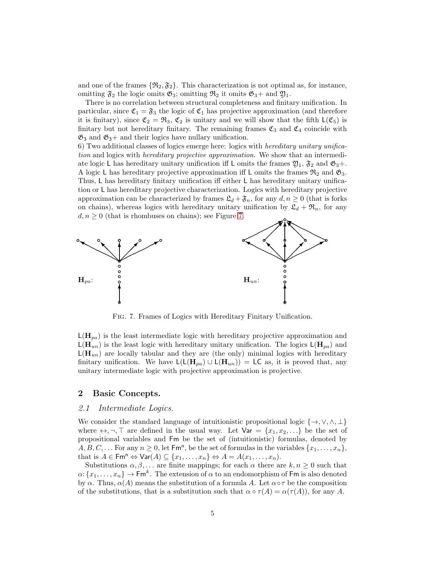and one of the frames  $\{\Re_2, \Im_2\}$ . This characterization is not optimal as, for instance, omitting  $\mathfrak{F}_2$  the logic omits  $\mathfrak{G}_3$ ; omitting  $\mathfrak{R}_2$  it omits  $\mathfrak{G}_3$ + and  $\mathfrak{Y}_1$ .

There is no correlation between structural completeness and finitary unification. In particular, since  $\mathfrak{C}_1 = \mathfrak{F}_3$  the logic of  $\mathfrak{C}_1$  has projective approximation (and therefore it is finitary), since  $\mathfrak{C}_2 = \mathfrak{R}_3$ ,  $\mathfrak{C}_2$  is unitary and we will show that the fifth  $\mathsf{L}(\mathfrak{C}_5)$  is finitary but not hereditary finitary. The remaining frames  $\mathfrak{C}_3$  and  $\mathfrak{C}_4$  coincide with  $\mathfrak{G}_3$  and  $\mathfrak{G}_3$ + and their logics have nullary unification.

6) Two additional classes of logics emerge here: logics with hereditary unitary unification and logics with *hereditary projective approximation*. We show that an intermediate logic L has hereditary unitary unification iff L omits the frames  $\mathfrak{Y}_1$ ,  $\mathfrak{F}_2$  and  $\mathfrak{G}_3$ +. A logic L has hereditary projective approximation iff L omits the frames  $\mathfrak{R}_2$  and  $\mathfrak{G}_3$ . Thus, L has hereditary finitary unification iff either L has hereditary unitary unification or L has hereditary projective characterization. Logics with hereditary projective approximation can be characterized by frames  $\mathfrak{L}_d + \mathfrak{F}_n$ , for any  $d, n \geq 0$  (that is forks on chains), whereas logics with hereditary unitary unification by  $\mathfrak{L}_d + \mathfrak{R}_n$ , for any  $d, n \geq 0$  (that is rhombuses on chains); see Figure [7.](#page-4-0)



<span id="page-4-0"></span>Fig. 7. Frames of Logics with Hereditary Finitary Unification.

 $L(\mathbf{H}_{pa})$  is the least intermediate logic with hereditary projective approximation and  $L(\mathbf{H}_{un})$  is the least logic with hereditary unitary unification. The logics  $L(\mathbf{H}_{pa})$  and  $\mathsf{L}(\mathbf{H}_{un})$  are locally tabular and they are (the only) minimal logics with hereditary finitary unification. We have  $\mathsf{L}(\mathsf{L}(\mathbf{H}_{pa}) \cup \mathsf{L}(\mathbf{H}_{un})) = \mathsf{L}\mathsf{C}$  as, it is proved that, any unitary intermediate logic with projective approximation is projective.

## 2 Basic Concepts.

## 2.1 Intermediate Logics.

We consider the standard language of intuitionistic propositional logic  $\{\rightarrow, \vee, \wedge, \perp\}$ where  $\leftrightarrow$ ,  $\neg$ ,  $\neg$  are defined in the usual way. Let  $\forall$ ar =  $\{x_1, x_2, \dots\}$  be the set of propositional variables and Fm be the set of (intuitionistic) formulas, denoted by  $A, B, C, \ldots$  For any  $n \geq 0$ , let  $\mathsf{Fm}^n$ , be the set of formulas in the variables  $\{x_1, \ldots, x_n\}$ , that is  $A \in \text{Fm}^n \Leftrightarrow \text{Var}(A) \subseteq \{x_1, \ldots, x_n\} \Leftrightarrow A = A(x_1, \ldots, x_n).$ 

Substitutions  $\alpha, \beta, \ldots$  are finite mappings; for each  $\alpha$  there are  $k, n \geq 0$  such that  $\alpha\colon \{x_1,\ldots,x_n\}\to {\sf Fm}^k.$  The extension of  $\alpha$  to an endomorphism of  ${\sf Fm}$  is also denoted by  $\alpha$ . Thus,  $\alpha(A)$  means the substitution of a formula A. Let  $\alpha \circ \tau$  be the composition of the substitutions, that is a substitution such that  $\alpha \circ \tau(A) = \alpha(\tau(A))$ , for any A.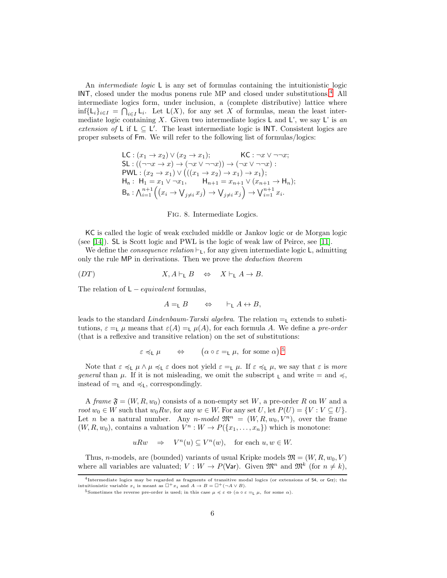An *intermediate logic* L is any set of formulas containing the intuitionistic logic INT, closed under the modus ponens rule MP and closed under substitutions.[4](#page-5-0) All intermediate logics form, under inclusion, a (complete distributive) lattice where inf{L<sub>i</sub>}<sub>i∈I</sub> =  $\bigcap_{i\in I}$  L<sub>i</sub>. Let L(X), for any set X of formulas, mean the least intermediate logic containing X. Given two intermediate logics  $\sf L$  and  $\sf L'$ , we say  $\sf L'$  is an extension of L if  $L \subseteq L'$ . The least intermediate logic is INT. Consistent logics are proper subsets of Fm. We will refer to the following list of formulas/logics:

$$
\begin{array}{ll}\mathsf{LC}: (x_1 \to x_2) \lor (x_2 \to x_1); & \mathsf{KC}: \neg x \lor \neg \neg x; \\
\mathsf{SL}: ((\neg \neg x \to x) \to (\neg x \lor \neg \neg x)) \to (\neg x \lor \neg \neg x): \\
\mathsf{PWL}: (x_2 \to x_1) \lor (((x_1 \to x_2) \to x_1) \to x_1); \\
\mathsf{H}_n: \ \mathsf{H}_1 = x_1 \lor \neg x_1, & \mathsf{H}_{n+1} = x_{n+1} \lor (x_{n+1} \to \mathsf{H}_n); \\
\mathsf{B}_n: \bigwedge_{i=1}^{n+1} \Big( (x_i \to \bigvee_{j \neq i} x_j) \to \bigvee_{j \neq i} x_j \Big) \to \bigvee_{i=1}^{n+1} x_i.\end{array}
$$

#### <span id="page-5-2"></span>Fig. 8. Intermediate Logics.

KC is called the logic of weak excluded middle or Jankov logic or de Morgan logic (see [\[14\]](#page-56-3)). SL is Scott logic and PWL is the logic of weak law of Peirce, see [\[11\]](#page-56-15).

We define the *consequence relation*  $\vdash_L$ , for any given intermediate logic L, admitting only the rule MP in derivations. Then we prove the *deduction theorem* 

$$
(DT) \tX, A \vdash_{\mathsf{L}} B \Leftrightarrow X \vdash_{\mathsf{L}} A \to B.
$$

The relation of  $L - equivalent$  formulas,

$$
A = \llcorner B \qquad \Leftrightarrow \qquad \vdash_{\llcorner} A \leftrightarrow B,
$$

leads to the standard Lindenbaum-Tarski algebra. The relation  $=$ <sub>L</sub> extends to substitutions,  $\varepsilon = L \mu$  means that  $\varepsilon(A) = L \mu(A)$ , for each formula A. We define a pre-order (that is a reflexive and transitive relation) on the set of substitutions:

$$
\varepsilon \preccurlyeq_L \mu \quad \Leftrightarrow \quad (\alpha \circ \varepsilon =_L \mu, \text{ for some } \alpha).^5
$$

Note that  $\varepsilon \preccurlyeq_L \mu \wedge \mu \preccurlyeq_L \varepsilon$  does not yield  $\varepsilon =_L \mu$ . If  $\varepsilon \preccurlyeq_L \mu$ , we say that  $\varepsilon$  is more general than  $\mu$ . If it is not misleading, we omit the subscript  $\iota$  and write = and  $\preccurlyeq$ , instead of  $=_L$  and  $\preccurlyeq_L$ , correspondingly.

A frame  $\mathfrak{F} = (W, R, w_0)$  consists of a non-empty set W, a pre-order R on W and a root  $w_0 \in W$  such that  $w_0 R w$ , for any  $w \in W$ . For any set U, let  $P(U) = \{V : V \subseteq U\}$ . Let n be a natural number. Any n-model  $\mathfrak{M}^n = (W, R, w_0, V^n)$ , over the frame  $(W, R, w_0)$ , contains a valuation  $V^n : W \to P({x_1, ..., x_n})$  which is monotone:

$$
uRw \quad \Rightarrow \quad V^n(u) \subseteq V^n(w), \quad \text{for each } u, w \in W.
$$

Thus, n-models, are (bounded) variants of usual Kripke models  $\mathfrak{M} = (W, R, w_0, V)$ where all variables are valuated;  $V: W \to P(\text{Var})$ . Given  $\mathfrak{M}^n$  and  $\mathfrak{M}^k$  (for  $n \neq k$ ),

<sup>4</sup>Intermediate logics may be regarded as fragments of transitive modal logics (or extensions of S4, or Grz); the intuitionistic variable  $x_i$  is meant as  $\Box^+ x_i$  and  $A \to B = \Box^+ (\neg A \vee B)$ .

<span id="page-5-1"></span><span id="page-5-0"></span><sup>&</sup>lt;sup>5</sup>Sometimes the reverse pre-order is used; in this case  $\mu$   $\preccurlyeq$  ε ⇔ ( $\alpha \circ \epsilon =\mu$ , for some  $\alpha$ ).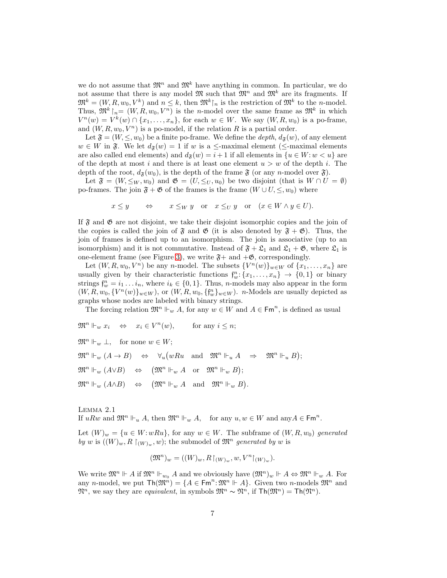we do not assume that  $\mathfrak{M}^n$  and  $\mathfrak{M}^k$  have anything in common. In particular, we do not assume that there is any model  $\mathfrak{M}$  such that  $\mathfrak{M}^n$  and  $\mathfrak{M}^k$  are its fragments. If  $\mathfrak{M}^k = (W, R, w_0, V^k)$  and  $n \leq k$ , then  $\mathfrak{M}^k\mathfrak{f}_n$  is the restriction of  $\mathfrak{M}^k$  to the *n*-model. Thus,  $\mathfrak{M}^k$   $\upharpoonright_n = (W, R, w_0, V^n)$  is the *n*-model over the same frame as  $\mathfrak{M}^k$  in which  $V^n(w) = V^k(w) \cap \{x_1, \ldots, x_n\}$ , for each  $w \in W$ . We say  $(W, R, w_0)$  is a po-frame, and  $(W, R, w_0, V^n)$  is a po-model, if the relation R is a partial order.

Let  $\mathfrak{F} = (W, \leq, w_0)$  be a finite po-frame. We define the *depth*,  $d_{\mathfrak{F}}(w)$ , of any element  $w \in W$  in  $\mathfrak{F}$ . We let  $d_{\mathfrak{F}}(w) = 1$  if w is a  $\leq$ -maximal element ( $\leq$ -maximal elements are also called end elements) and  $d_{\mathfrak{F}}(w) = i + 1$  if all elements in  $\{u \in W : w < u\}$  are of the depth at most i and there is at least one element  $u > w$  of the depth i. The depth of the root,  $d_{\mathfrak{F}}(w_0)$ , is the depth of the frame  $\mathfrak{F}$  (or any n-model over  $\mathfrak{F}$ ).

Let  $\mathfrak{F} = (W, \leq_W, w_0)$  and  $\mathfrak{G} = (U, \leq_U, u_0)$  be two disjoint (that is  $W \cap U = \emptyset$ ) po-frames. The join  $\mathfrak{F} + \mathfrak{G}$  of the frames is the frame  $(W \cup U, \leq, w_0)$  where

 $x \leq y \qquad \Leftrightarrow \qquad x \leq_W y \quad \text{or} \quad x \leq_U y \quad \text{or} \quad (x \in W \wedge y \in U).$ 

If  $\mathfrak F$  and  $\mathfrak G$  are not disjoint, we take their disjoint isomorphic copies and the join of the copies is called the join of  $\mathfrak{F}$  and  $\mathfrak{G}$  (it is also denoted by  $\mathfrak{F} + \mathfrak{G}$ ). Thus, the join of frames is defined up to an isomorphism. The join is associative (up to an isomorphism) and it is not commutative. Instead of  $\mathfrak{F} + \mathfrak{L}_1$  and  $\mathfrak{L}_1 + \mathfrak{G}$ , where  $\mathfrak{L}_1$  is one-element frame (see Figure [3\)](#page-2-0), we write  $\mathfrak{F}+$  and  $+\mathfrak{G}$ , correspondingly.

Let  $(W, R, w_0, V^n)$  be any n-model. The subsets  $\{V^n(w)\}_{w \in W}$  of  $\{x_1, \ldots, x_n\}$  are usually given by their characteristic functions  $f_w^n: \{x_1, \ldots, x_n\} \to \{0, 1\}$  or binary strings  $\mathfrak{f}_w^n = i_1 \dots i_n$ , where  $i_k \in \{0, 1\}$ . Thus, *n*-models may also appear in the form  $(W, R, w_0, \{V^n(w)\}_{w \in W})$ , or  $(W, R, w_0, \{f_w^n\}_{w \in W})$ . *n*-Models are usually depicted as graphs whose nodes are labeled with binary strings.

The forcing relation  $\mathfrak{M}^n \Vdash_w A$ , for any  $w \in W$  and  $A \in \mathsf{Fm}^n$ , is defined as usual

 $\mathfrak{M}^n \Vdash_w x_i \quad \Leftrightarrow \quad x_i \in V^n(w), \qquad \text{for any } i \leq n;$ 

 $\mathfrak{M}^n \Vdash_w \bot$ , for none  $w \in W$ ;

 $\mathfrak{M}^n \Vdash_w (A \to B) \quad \Leftrightarrow \quad \forall_u \big( wRu \quad \text{and} \quad \mathfrak{M}^n \Vdash_u A \quad \Rightarrow \quad \mathfrak{M}^n \Vdash_u B \big);$  $\mathfrak{M}^n \Vdash_w (A \lor B) \quad \Leftrightarrow \quad (\mathfrak{M}^n \Vdash_w A \quad \text{or} \quad \mathfrak{M}^n \Vdash_w B);$  $\mathfrak{M}^n \Vdash_w (A \wedge B) \quad \Leftrightarrow \quad (\mathfrak{M}^n \Vdash_w A \quad \text{and} \quad \mathfrak{M}^n \Vdash_w B).$ 

<span id="page-6-0"></span>Lemma 2.1 If  $uRw$  and  $\mathfrak{M}^n \Vdash_u A$ , then  $\mathfrak{M}^n \Vdash_w A$ , for any  $u, w \in W$  and any  $A \in \mathsf{Fm}^n$ .

Let  $(W)_w = \{u \in W : wRu\}$ , for any  $w \in W$ . The subframe of  $(W, R, w_0)$  generated by w is  $((W)_w, R \restriction_{(W)_w}, w)$ ; the submodel of  $\mathfrak{M}^n$  generated by w is

$$
(\mathfrak{M}^n)_w = ((W)_w, R\upharpoonright_{(W)_w}, w, V^n\upharpoonright_{(W)_w}).
$$

We write  $\mathfrak{M}^n \Vdash A$  if  $\mathfrak{M}^n \Vdash_{w_0} A$  and we obviously have  $(\mathfrak{M}^n)_w \Vdash A \Leftrightarrow \mathfrak{M}^n \Vdash_w A$ . For any *n*-model, we put  $\text{Th}(\mathfrak{M}^n) = \{A \in \text{Fm}^n : \mathfrak{M}^n \Vdash A\}$ . Given two *n*-models  $\mathfrak{M}^n$  and  $\mathfrak{M}^n$ , we say they are *equivalent*, in symbols  $\mathfrak{M}^n \sim \mathfrak{N}^n$ , if  $\text{Th}(\mathfrak{M}^n) = \text{Th}(\mathfrak{N}^n)$ .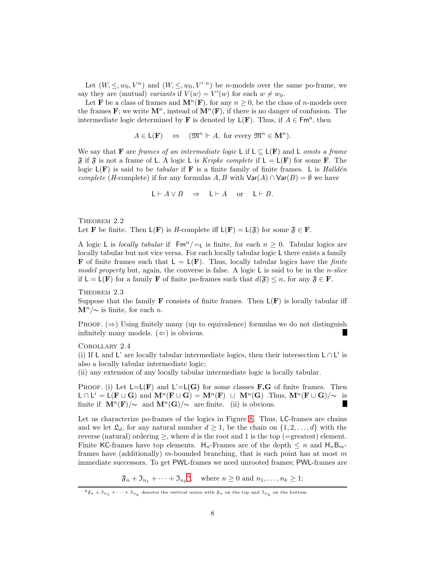Let  $(W, \leq, w_0, V^n)$  and  $(W, \leq, w_0, V'^n)$  be *n*-models over the same po-frame, we say they are (mutual) variants if  $V(w) = V'(w)$  for each  $w \neq w_0$ .

Let **F** be a class of frames and  $\mathbf{M}^n(\mathbf{F})$ , for any  $n \geq 0$ , be the class of *n*-models over the frames **F**; we write  $\mathbf{M}^n$ , instead of  $\mathbf{M}^n(\mathbf{F})$ , if there is no danger of confusion. The intermediate logic determined by **F** is denoted by  $\mathsf{L}(\mathbf{F})$ . Thus, if  $A \in \mathsf{Fm}^n$ , then

 $A \in \mathsf{L}(\mathbf{F}) \quad \Leftrightarrow \quad (\mathfrak{M}^n \Vdash A, \text{ for every } \mathfrak{M}^n \in \mathbf{M}^n).$ 

We say that F are frames of an intermediate logic L if  $L \subseteq L(F)$  and L omits a frame  $\mathfrak F$  if  $\mathfrak F$  is not a frame of L. A logic L is *Kripke complete* if  $L = L(F)$  for some F. The logic  $L(F)$  is said to be *tabular* if F is a finite family of finite frames. L is Halldén complete (H-complete) if for any formulas A, B with  $\text{Var}(A) \cap \text{Var}(B) = \emptyset$  we have

<span id="page-7-1"></span>
$$
\mathsf{L}\vdash A\vee B\quad\Rightarrow\quad \mathsf{L}\vdash A\quad\text{or}\quad \mathsf{L}\vdash B.
$$

THEOREM 2.2 Let **F** be finite. Then  $L(\mathbf{F})$  is *H*-complete iff  $L(\mathbf{F}) = L(\mathfrak{F})$  for some  $\mathfrak{F} \in \mathbf{F}$ .

A logic L is locally tabular if  $\text{Fm}^n / =$  is finite, for each  $n \geq 0$ . Tabular logics are locally tabular but not vice versa. For each locally tabular logic L there exists a family **F** of finite frames such that  $L = L(F)$ . Thus, locally tabular logics have the *finite* model property but, again, the converse is false. A logic  $\sf L$  is said to be in the *n*-slice if  $L = L(F)$  for a family **F** of finite po-frames such that  $d(\mathfrak{F}) \leq n$ , for any  $\mathfrak{F} \in \mathbf{F}$ .

THEOREM 2.3 Suppose that the family **F** consists of finite frames. Then  $L(F)$  is locally tabular iff  $\mathbf{M}^n/\sim$  is finite, for each *n*.

PROOF.  $(\Rightarrow)$  Using finitely many (up to equivalence) formulas we do not distinguish infinitely many models.  $(\Leftarrow)$  is obvious. ш

<span id="page-7-2"></span>Corollary 2.4

(i) If L and L' are locally tabular intermediate logics, then their intersection  $L ∩ L'$  is also a locally tabular intermediate logic;

(ii) any extension of any locally tabular intermediate logic is locally tabular.

PROOF. (i) Let  $L=L(\mathbf{F})$  and  $L'=L(\mathbf{G})$  for some classes  $\mathbf{F},\mathbf{G}$  of finite frames. Then  $\mathsf{L} \cap \mathsf{L}' = \mathsf{L}(\mathbf{F} \cup \mathbf{G})$  and  $\mathbf{M}^n(\mathbf{F} \cup \mathbf{G}) = \mathbf{M}^n(\mathbf{F}) \cup \mathbf{M}^n(\mathbf{G})$ . Thus,  $\mathbf{M}^n(\mathbf{F} \cup \mathbf{G})/\sim$  is finite if  $\mathbf{M}^{n}(\mathbf{F})/\sim$  and  $\mathbf{M}^{n}(\mathbf{G})/\sim$  are finite. (ii) is obvious. Г

Let us characterize po-frames of the logics in Figure [8.](#page-5-2) Thus, LC-frames are chains and we let  $\mathfrak{L}_d$ , for any natural number  $d \geq 1$ , be the chain on  $\{1, 2, \ldots, d\}$  with the reverse (natural) ordering  $\geq$ , where d is the root and 1 is the top (=greatest) element. Finite KC-frames have top elements.  $H_n$ -Frames are of the depth  $\leq n$  and  $H_nB_m$ frames have (additionally) m-bounded branching, that is each point has at most m immediate successors. To get PWL-frames we need unrooted frames; PWL-frames are

 $\mathfrak{F}_n + \mathfrak{I}_{n_1} + \cdots + \mathfrak{I}_{n_k}^6$  $\mathfrak{F}_n + \mathfrak{I}_{n_1} + \cdots + \mathfrak{I}_{n_k}^6$ , where  $n \geq 0$  and  $n_1, \ldots, n_k \geq 1$ ;

<span id="page-7-0"></span> ${}^6\mathfrak{F}_n + \mathfrak{I}_{n_1} + \cdots + \mathfrak{I}_{n_k}$  denotes the vertical union with  $\mathfrak{F}_n$  on the top and  $\mathfrak{I}_{n_k}$  on the bottom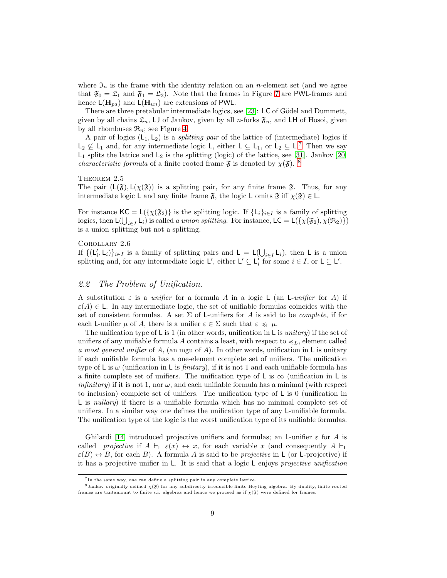where  $\mathfrak{I}_n$  is the frame with the identity relation on an *n*-element set (and we agree that  $\mathfrak{F}_0 = \mathfrak{L}_1$  and  $\mathfrak{F}_1 = \mathfrak{L}_2$ . Note that the frames in Figure [7](#page-4-0) are PWL-frames and hence  $\mathsf{L}(\mathbf{H}_{pa})$  and  $\mathsf{L}(\mathbf{H}_{un})$  are extensions of PWL.

There are three pretabular intermediate logics, see [\[23\]](#page-56-16):  $\mathsf{LC}$  of Gödel and Dummett, given by all chains  $\mathfrak{L}_n$ , LJ of Jankov, given by all *n*-forks  $\mathfrak{F}_n$ , and LH of Hosoi, given by all rhombuses  $\mathfrak{R}_n$ ; see Figure [4.](#page-2-1)

A pair of logics  $(L_1, L_2)$  is a *splitting pair* of the lattice of (intermediate) logics if  $L_2 \nsubseteq L_1$  and, for any intermediate logic L, either  $L \subseteq L_1$ , or  $L_2 \subseteq L$ .<sup>[7](#page-8-0)</sup> Then we say  $L_1$  splits the lattice and  $L_2$  is the splitting (logic) of the lattice, see [\[31\]](#page-57-3). Jankov [\[20\]](#page-56-17) *characteristic formula* of a finite rooted frame  $\mathfrak{F}$  is denoted by  $\chi(\mathfrak{F})$ . <sup>[8](#page-8-1)</sup>

## <span id="page-8-2"></span>THEOREM 2.5

The pair  $(L(\mathfrak{F}), L(\chi(\mathfrak{F}))$  is a splitting pair, for any finite frame  $\mathfrak{F}$ . Thus, for any intermediate logic L and any finite frame  $\mathfrak{F}$ , the logic L omits  $\mathfrak{F}$  iff  $\chi(\mathfrak{F}) \in L$ .

For instance  $\mathsf{KC} = \mathsf{L}(\{\chi(\mathfrak{F}_2)\})$  is the splitting logic. If  $\{\mathsf{L}_i\}_{i\in I}$  is a family of splitting logics, then  $\mathsf{L}(\bigcup_{i\in I} \mathsf{L}_i)$  is called a union splitting. For instance,  $\mathsf{LC} = \mathsf{L}(\{\chi(\mathfrak{F}_2), \chi(\mathfrak{R}_2)\})$ is a union splitting but not a splitting.

#### Corollary 2.6

If  $\{(L'_i, L_i)\}_{i \in I}$  is a family of splitting pairs and  $L = L(\bigcup_{i \in I} L_i)$ , then L is a union splitting and, for any intermediate logic  $\mathsf{L}'$ , either  $\mathsf{L}' \subseteq \mathsf{L}'_i$  for some  $i \in I$ , or  $\mathsf{L} \subseteq \mathsf{L}'$ .

# 2.2 The Problem of Unification.

A substitution  $\varepsilon$  is a *unifier* for a formula A in a logic L (an L-unifier for A) if  $\varepsilon(A) \in L$ . In any intermediate logic, the set of unifiable formulas coincides with the set of consistent formulas. A set  $\Sigma$  of L-unifiers for A is said to be *complete*, if for each L-unifier  $\mu$  of A, there is a unifier  $\varepsilon \in \Sigma$  such that  $\varepsilon \preccurlyeq_{\mathsf{L}} \mu$ .

The unification type of L is 1 (in other words, unification in L is *unitary*) if the set of unifiers of any unifiable formula A contains a least, with respect to  $\preccurlyeq_L$ , element called a most general unifier of A, (an mgu of A). In other words, unification in L is unitary if each unifiable formula has a one-element complete set of unifiers. The unification type of L is  $\omega$  (unification in L is *finitary*), if it is not 1 and each unifiable formula has a finite complete set of unifiers. The unification type of L is  $\infty$  (unification in L is *infinitary*) if it is not 1, nor  $\omega$ , and each unifiable formula has a minimal (with respect to inclusion) complete set of unifiers. The unification type of L is 0 (unification in L is *nullary*) if there is a unifiable formula which has no minimal complete set of unifiers. In a similar way one defines the unification type of any L-unifiable formula. The unification type of the logic is the worst unification type of its unifiable formulas.

Ghilardi [\[14\]](#page-56-3) introduced projective unifiers and formulas; an L-unifier  $\varepsilon$  for A is called projective if  $A \vdash_{\mathsf{L}} \varepsilon(x) \leftrightarrow x$ , for each variable x (and consequently  $A \vdash_{\mathsf{L}}$  $\varepsilon(B) \leftrightarrow B$ , for each B). A formula A is said to be *projective* in L (or L-projective) if it has a projective unifier in L. It is said that a logic L enjoys projective unification

<span id="page-8-0"></span><sup>7</sup>In the same way, one can define a splitting pair in any complete lattice.

<span id="page-8-1"></span> ${}^8$ Jankov originally defined  $\chi(\mathfrak{F})$  for any subdirectly irreducible finite Heyting algebra. By duality, finite rooted frames are tantamount to finite s.i. algebras and hence we proceed as if  $\chi(\mathfrak{F})$  were defined for frames.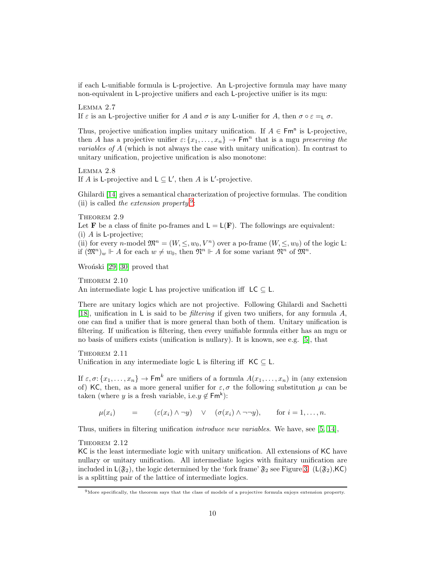<span id="page-9-2"></span>if each L-unifiable formula is L-projective. An L-projective formula may have many non-equivalent in L-projective unifiers and each L-projective unifier is its mgu:

Lemma 2.7 If  $\varepsilon$  is an L-projective unifier for A and  $\sigma$  is any L-unifier for A, then  $\sigma \circ \varepsilon = \sigma$ .

Thus, projective unification implies unitary unification. If  $A \in \mathsf{Fm}^n$  is L-projective, then A has a projective unifier  $\varepsilon$ :  $\{x_1, \ldots, x_n\}$   $\to$  Fm<sup>n</sup> that is a mgu preserving the variables of A (which is not always the case with unitary unification). In contrast to unitary unification, projective unification is also monotone:

<span id="page-9-1"></span>Lemma 2.8 If A is L-projective and  $L \subseteq L'$ , then A is L'-projective.

<span id="page-9-3"></span>Ghilardi [\[14\]](#page-56-3) gives a semantical characterization of projective formulas. The condition (ii) is called the extension property.<sup>[9](#page-9-0)</sup>:

THEOREM 2.9 Let **F** be a class of finite po-frames and  $L = L(F)$ . The followings are equivalent:  $(i)$  A is L-projective; (ii) for every n-model  $\mathfrak{M}^n = (W, \leq, w_0, V^n)$  over a po-frame  $(W, \leq, w_0)$  of the logic L: if  $(\mathfrak{M}^n)_w \Vdash A$  for each  $w \neq w_0$ , then  $\mathfrak{N}^n \Vdash A$  for some variant  $\mathfrak{N}^n$  of  $\mathfrak{M}^n$ .

Wroński [\[29,](#page-57-0) [30\]](#page-57-1) proved that

THEOREM  $2.10$ An intermediate logic L has projective unification iff  $LC \subseteq L$ .

There are unitary logics which are not projective. Following Ghilardi and Sachetti [\[18\]](#page-56-18), unification in L is said to be *filtering* if given two unifiers, for any formula  $A$ , one can find a unifier that is more general than both of them. Unitary unification is filtering. If unification is filtering, then every unifiable formula either has an mgu or no basis of unifiers exists (unification is nullary). It is known, see e.g. [\[5\]](#page-56-5), that

THEOREM 2.11 Unification in any intermediate logic L is filtering iff  $KC \subset L$ .

If  $\varepsilon, \sigma: \{x_1, \ldots, x_n\} \to \mathsf{Fm}^k$  are unifiers of a formula  $A(x_1, \ldots, x_n)$  in (any extension of) KC, then, as a more general unifier for  $\varepsilon, \sigma$  the following substitution  $\mu$  can be taken (where y is a fresh variable, i.e.  $y \notin \mathsf{Fm}^k$ ):

<span id="page-9-4"></span> $\mu(x_i)$  =  $(\varepsilon(x_i) \wedge \neg y) \vee (\sigma(x_i) \wedge \neg \neg y),$  for  $i = 1, ..., n$ .

Thus, unifiers in filtering unification introduce new variables. We have, see [\[5,](#page-56-5) [14\]](#page-56-3),

THEOREM 2.12

KC is the least intermediate logic with unitary unification. All extensions of KC have nullary or unitary unification. All intermediate logics with finitary unification are included in  $L(\mathfrak{F}_2)$ , the logic determined by the 'fork frame'  $\mathfrak{F}_2$  see Figure [3.](#page-2-0) ( $L(\mathfrak{F}_2)$ , KC) is a splitting pair of the lattice of intermediate logics.

<span id="page-9-0"></span> $9$ More specifically, the theorem says that the class of models of a projective formula enjoys extension property.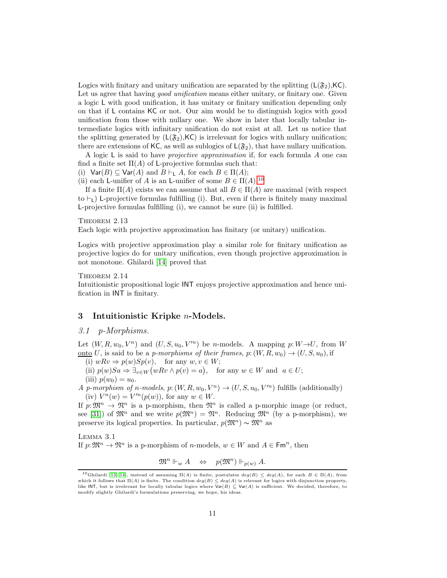Logics with finitary and unitary unification are separated by the splitting  $(L(\mathfrak{F}_2),\mathsf{KC})$ . Let us agree that having *good unification* means either unitary, or finitary one. Given a logic L with good unification, it has unitary or finitary unification depending only on that if L contains KC or not. Our aim would be to distinguish logics with good unification from those with nullary one. We show in later that locally tabular intermediate logics with infinitary unification do not exist at all. Let us notice that the splitting generated by  $(L(\mathfrak{F}_2),\mathsf{KC})$  is irrelevant for logics with nullary unification; there are extensions of KC, as well as sublogics of  $L(\mathfrak{F}_2)$ , that have nullary unification.

A logic  $\mathsf L$  is said to have *projective approximation* if, for each formula A one can find a finite set  $\Pi(A)$  of L-projective formulas such that:

(i)  $\text{Var}(B) \subseteq \text{Var}(A)$  and  $B \vdash_{\text{L}} A$ , for each  $B \in \Pi(A)$ ;

(ii) each L-unifier of A is an L-unifier of some  $B \in \Pi(A)$ .<sup>[10](#page-10-0)</sup>

If a finite  $\Pi(A)$  exists we can assume that all  $B \in \Pi(A)$  are maximal (with respect to  $\vdash$ <sub>L</sub>) L-projective formulas fulfilling (i). But, even if there is finitely many maximal L-projective formulas fulfilling (i), we cannot be sure (ii) is fulfilled.

## <span id="page-10-2"></span>THEOREM 2.13

Each logic with projective approximation has finitary (or unitary) unification.

Logics with projective approximation play a similar role for finitary unification as projective logics do for unitary unification, even though projective approximation is not monotone. Ghilardi [\[14\]](#page-56-3) proved that

## THEOREM 2.14

Intuitionistic propositional logic INT enjoys projective approximation and hence unification in INT is finitary.

# 3 Intuitionistic Kripke n-Models.

# 3.1 p-Morphisms.

Let  $(W, R, w_0, V^n)$  and  $(U, S, u_0, V'^n)$  be *n*-models. A mapping  $p: W \rightarrow U$ , from W <u>onto</u> U, is said to be a *p-morphisms of their frames, p:*  $(W, R, w_0) \rightarrow (U, S, u_0)$ , if

(i)  $wRv \Rightarrow p(w)Sp(v)$ , for any  $w, v \in W$ ;

(ii)  $p(w)Sa \Rightarrow \exists_{v \in W} (wRv \wedge p(v) = a)$ , for any  $w \in W$  and  $a \in U$ ; (iii)  $p(w_0) = u_0$ .

A p-morphism of n-models,  $p: (W, R, w_0, V^n) \to (U, S, u_0, V'^n)$  fulfills (additionally) (iv)  $V^n(w) = V^m(p(w))$ , for any  $w \in W$ .

If  $p: \mathfrak{M}^n \to \mathfrak{N}^n$  is a p-morphism, then  $\mathfrak{N}^n$  is called a p-morphic image (or reduct, see [\[31\]](#page-57-3)) of  $\mathfrak{M}^n$  and we write  $p(\mathfrak{M}^n) = \mathfrak{N}^n$ . Reducing  $\mathfrak{M}^n$  (by a p-morphism), we preserve its logical properties. In particular,  $p(\mathfrak{M}^n) \sim \mathfrak{M}^n$  as

Lemma 3.1 If  $p: \mathfrak{M}^n \to \mathfrak{N}^n$  is a p-morphism of *n*-models,  $w \in W$  and  $A \in \mathsf{Fm}^n$ , then

<span id="page-10-1"></span>
$$
\mathfrak{M}^n \Vdash_w A \quad \Leftrightarrow \quad p(\mathfrak{M}^n) \Vdash_{p(w)} A.
$$

<span id="page-10-0"></span><sup>&</sup>lt;sup>10</sup>Ghilardi [\[13,](#page-56-14) [14\]](#page-56-3), instead of assuming  $\Pi(A)$  is finite, postulates  $deg(B) \leq deg(A)$ , for each  $B \in \Pi(A)$ , from which it follows that  $\Pi(A)$  is finite. The condition  $deg(B) \leq deg(A)$  is relevant for logics with disjunction property, like INT, but is irrelevant for locally tabular logics where  $\text{Var}(B) \subseteq \text{Var}(A)$  is sufficient. We decided, therefore, to modify slightly Ghilardi's formulations preserving, we hope, his ideas.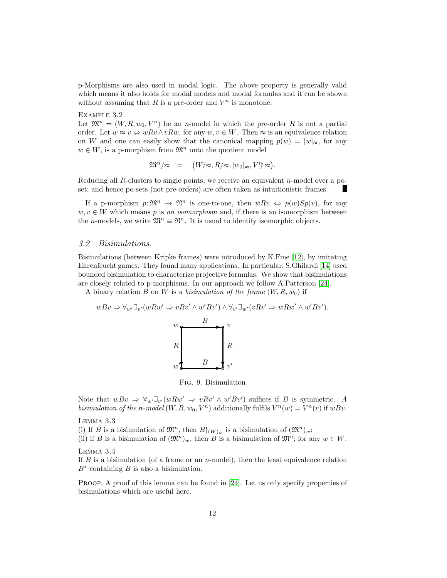p-Morphisms are also used in modal logic. The above property is generally valid which means it also holds for modal models and modal formulas and it can be shown without assuming that  $R$  is a pre-order and  $V^n$  is monotone.

#### Example 3.2

Let  $\mathfrak{M}^n = (W, R, w_0, V^n)$  be an *n*-model in which the pre-order R is not a partial order. Let  $w \approx v \Leftrightarrow wRv \wedge vRw$ , for any  $w, v \in W$ . Then  $\approx$  is an equivalence relation on W and one can easily show that the canonical mapping  $p(w) = [w]_{\approx}$ , for any  $w \in W$ , is a p-morphism from  $\mathfrak{M}^n$  onto the quotient model

<span id="page-11-1"></span>
$$
\mathfrak{M}^n/\approx = (W/\approx, R/\approx, [w_0]_\approx, V^\eta/\approx).
$$

Reducing all R-clusters to single points, we receive an equivalent n-model over a poset; and hence po-sets (not pre-orders) are often taken as intuitionistic frames.

If a p-morphism  $p:\mathfrak{M}^n \to \mathfrak{N}^n$  is one-to-one, then  $wRv \Leftrightarrow p(w)Sp(v)$ , for any  $w, v \in W$  which means p is an isomorphism and, if there is an isomorphism between the *n*-models, we write  $\mathfrak{M}^n \equiv \mathfrak{N}^n$ . It is usual to identify isomorphic objects.

## 3.2 Bisimulations.

Bisimulations (between Kripke frames) were introduced by K.Fine [\[12\]](#page-56-19), by imitating Ehrenfeucht games. They found many applications. In particular, S.Ghilardi [\[14\]](#page-56-3) used bounded bisimulation to characterize projective formulas. We show that bisimulations are closely related to p-morphisms. In our approach we follow A.Patterson [\[24\]](#page-56-20).

A binary relation B on W is a bisimulation of the frame  $(W, R, w_0)$  if

$$
wBv \Rightarrow \forall_{w'} \exists_{v'} (wRw' \Rightarrow vRv' \land w'Bv') \land \forall_{v'} \exists_{w'} (vRv' \Rightarrow wRw' \land w'Bv').
$$



<span id="page-11-3"></span><span id="page-11-0"></span>Fig. 9. Bisimulation

Note that  $wBv \Rightarrow \forall w' \exists v' (wRw' \Rightarrow vRv' \land w'Bv')$  suffices if B is symmetric. A bisimulation of the n-model  $(W, R, w_0, V^n)$  additionally fulfils  $V^n(w) = V^n(v)$  if  $wBv$ .

#### Lemma 3.3

(i) If B is a bisimulation of  $\mathfrak{M}^n$ , then  $B\vert_{(W)_w}$  is a bisimulation of  $(\mathfrak{M}^n)_w$ ;

(ii) if B is a bisimulation of  $(\mathfrak{M}^n)_w$ , then B is a bisimulation of  $\mathfrak{M}^n$ ; for any  $w \in W$ .

# <span id="page-11-2"></span>Lemma 3.4

If B is a bisimulation (of a frame or an n-model), then the least equivalence relation  $B^*$  containing B is also a bisimulation.

PROOF. A proof of this lemma can be found in [\[24\]](#page-56-20). Let us only specify properties of bisimulations which are useful here.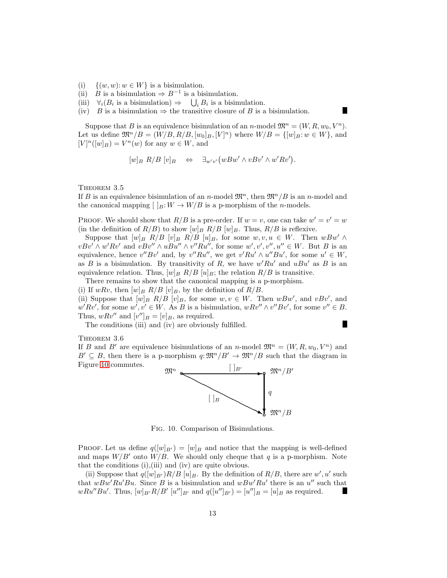- (i)  $\{(w, w): w \in W\}$  is a bisimulation.
- (ii) *B* is a bisimulation  $\Rightarrow$  *B*<sup>-1</sup> is a bisimulation.
- (iii)  $\forall i (B_i \text{ is a bisimulation}) \Rightarrow \bigcup_i B_i \text{ is a bisimulation.}$
- (iv) B is a bisimulation  $\Rightarrow$  the transitive closure of B is a bisimulation.

Suppose that B is an equivalence bisimulation of an n-model  $\mathfrak{M}^n = (W, R, w_0, V^n)$ . Let us define  $\mathfrak{M}^n/B = (W/B, R/B, [w_0]_B, [V]^n)$  where  $W/B = \{ [w]_B : w \in W \}$ , and  $[V]^n([w]_B) = V^n(w)$  for any  $w \in W$ , and

н

$$
[w]_B R/B [v]_B \Leftrightarrow \exists_{w'v'} (wBw' \wedge vBv' \wedge w'Rv').
$$

<span id="page-12-1"></span>THEOREM 3.5

If B is an equivalence bisimulation of an n-model  $\mathfrak{M}^n$ , then  $\mathfrak{M}^n/B$  is an n-model and the canonical mapping  $[ \ ]_B: W \to W/B$  is a p-morphism of the *n*-models.

PROOF. We should show that  $R/B$  is a pre-order. If  $w = v$ , one can take  $w' = v' = w$ (in the definition of  $R/B$ ) to show  $[w]_B R/B [w]_B$ . Thus,  $R/B$  is reflexive.

Suppose that  $[w]_B$   $R/B$   $[v]_B$   $R/B$   $[u]_B$ , for some  $w, v, u \in W$ . Then  $wBw' \wedge$  $vBv' \wedge w'Rv'$  and  $vBv'' \wedge uBu'' \wedge v''Ru'',$  for some  $w', v', v'', u'' \in W$ . But B is an equivalence, hence  $v''Bv'$  and, by  $v''Ru''$ , we get  $v'Ru' \wedge u''Bu'$ , for some  $u' \in W$ , as B is a bisimulation. By transitivity of R, we have  $w'Ru'$  and  $uBu'$  as B is an equivalence relation. Thus,  $[w]_B R/B [u]_B$ ; the relation  $R/B$  is transitive.

There remains to show that the canonical mapping is a p-morphism.

(i) If  $wRv$ , then  $[w]_B R/B [v]_B$ , by the definition of  $R/B$ .

(ii) Suppose that  $[w]_B R/B [v]_B$ , for some  $w, v \in W$ . Then  $wBw'$ , and  $vBv'$ , and  $w'Rv'$ , for some  $w', v' \in W$ . As B is a bisimulation,  $wRv'' \wedge v''Bv'$ , for some  $v'' \in B$ . Thus,  $wRv''$  and  $[v'']_B = [v]_B$ , as required. П

The conditions (iii) and (iv) are obviously fulfilled.

<span id="page-12-2"></span>Theorem 3.6

If B and B' are equivalence bisimulations of an n-model  $\mathfrak{M}^n = (W, R, w_0, V^n)$  and  $B' \subseteq B$ , then there is a p-morphism  $q: \mathfrak{M}^n/B' \to \mathfrak{M}^n/B$  such that the diagram in Figure [10](#page-12-0) commutes.



<span id="page-12-0"></span>Fig. 10. Comparison of Bisimulations.

**PROOF.** Let us define  $q(|w|_{B'}) = |w|_B$  and notice that the mapping is well-defined and maps  $W/B'$  onto  $W/B$ . We should only cheque that q is a p-morphism. Note that the conditions (i),(iii) and (iv) are quite obvious.

<span id="page-12-3"></span>(ii) Suppose that  $q([w]_{B'})R/B [u]_B$ . By the definition of  $R/B$ , there are w', u' such that  $wBw'Ru'Bu$ . Since B is a bisimulation and  $wBw'Ru'$  there is an  $u''$  such that  $wRu''Bu'.$  Thus,  $[w]_{B'}R/B' [u'']_{B'}$  and  $q([u'']_{B'}) = [u'']_B = [u]_B$  as required.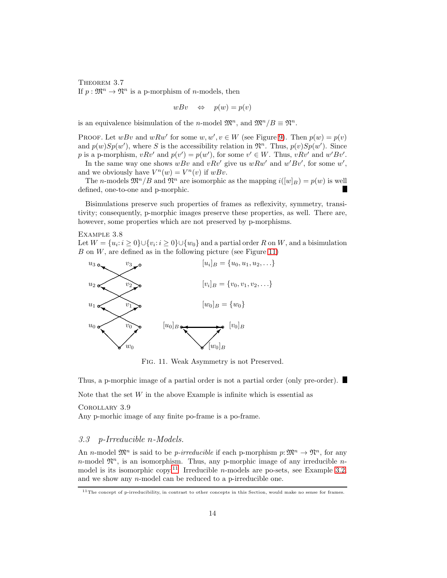THEOREM 3.7 If  $p: \mathfrak{M}^n \to \mathfrak{N}^n$  is a p-morphism of *n*-models, then

$$
wBv \quad \Leftrightarrow \quad p(w) = p(v)
$$

is an equivalence bisimulation of the *n*-model  $\mathfrak{M}^n$ , and  $\mathfrak{M}^n/B \equiv \mathfrak{N}^n$ .

PROOF. Let  $wBv$  and  $wRw'$  for some  $w, w', v \in W$  (see Figure [9\)](#page-11-0). Then  $p(w) = p(v)$ and  $p(w)Sp(w')$ , where S is the accessibility relation in  $\mathfrak{N}^n$ . Thus,  $p(v)Sp(w')$ . Since p is a p-morphism,  $vRv'$  and  $p(v') = p(w')$ , for some  $v' \in W$ . Thus,  $vRv'$  and  $w'Bv'$ .

In the same way one shows  $wBv$  and  $vRv'$  give us  $wRw'$  and  $w'Bv'$ , for some  $w'$ , and we obviously have  $V^n(w) = V^n(v)$  if  $wBv$ .

The *n*-models  $\mathfrak{M}^n/B$  and  $\mathfrak{N}^n$  are isomorphic as the mapping  $i([w]_B) = p(w)$  is well defined, one-to-one and p-morphic.

Bisimulations preserve such properties of frames as reflexivity, symmetry, transitivity; consequently, p-morphic images preserve these properties, as well. There are, however, some properties which are not preserved by p-morphisms.

#### Example 3.8

Let  $W = \{u_i : i \geq 0\} \cup \{v_i : i \geq 0\} \cup \{w_0\}$  and a partial order R on W, and a bisimulation  $B$  on  $W$ , are defined as in the following picture (see Figure [11\)](#page-13-0)



<span id="page-13-3"></span><span id="page-13-2"></span><span id="page-13-0"></span>Fig. 11. Weak Asymmetry is not Preserved.

Thus, a p-morphic image of a partial order is not a partial order (only pre-order).

Note that the set  $W$  in the above Example is infinite which is essential as

#### Corollary 3.9

Any p-morhic image of any finite po-frame is a po-frame.

## 3.3 p-Irreducible n-Models.

An n-model  $\mathfrak{M}^n$  is said to be *p-irreducible* if each p-morphism  $p: \mathfrak{M}^n \to \mathfrak{N}^n$ , for any *n*-model  $\mathfrak{N}^n$ , is an isomorphism. Thus, any p-morphic image of any irreducible *n*-model is its isomorphic copy.<sup>[11](#page-13-1)</sup> Irreducible *n*-models are po-sets, see Example [3.2,](#page-11-1) and we show any n-model can be reduced to a p-irreducible one.

<span id="page-13-1"></span> $11$ The concept of p-irreducibility, in contrast to other concepts in this Section, would make no sense for frames.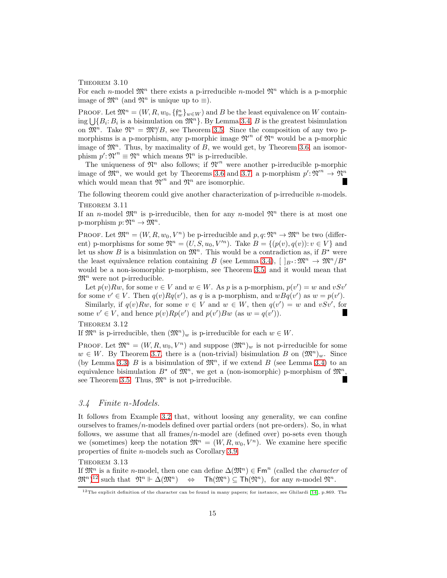#### THEOREM 3.10

For each n-model  $\mathfrak{M}^n$  there exists a p-irreducible n-model  $\mathfrak{N}^n$  which is a p-morphic image of  $\mathfrak{M}^n$  (and  $\mathfrak{N}^n$  is unique up to  $\equiv$ ).

PROOF. Let  $\mathfrak{M}^n = (W, R, w_0, \{f_w^n\}_{w \in W})$  and B be the least equivalence on W containing  $\bigcup \{B_i : B_i$  is a bisimulation on  $\mathfrak{M}^n\}$ . By Lemma [3.4,](#page-11-2) B is the greatest bisimulation on  $\mathfrak{M}^n$ . Take  $\mathfrak{N}^n = \mathfrak{M}^n/B$ , see Theorem [3.5.](#page-12-1) Since the composition of any two pmorphisms is a p-morphism, any p-morphic image  $\mathfrak{N}^n$  of  $\mathfrak{N}^n$  would be a p-morphic image of  $\mathfrak{M}^n$ . Thus, by maximality of B, we would get, by Theorem [3.6,](#page-12-2) an isomorphism  $p' \colon \mathfrak{N}^n \equiv \mathfrak{N}^n$  which means  $\mathfrak{N}^n$  is p-irreducible.

The uniqueness of  $\mathfrak{N}^n$  also follows; if  $\mathfrak{N}'^n$  were another p-irreducible p-morphic image of  $\mathfrak{M}^n$ , we would get by Theorems [3.6](#page-12-2) and [3.7,](#page-12-3) a p-morphism  $p' \colon \mathfrak{N}^n \to \mathfrak{N}^n$ which would mean that  $\mathfrak{N}'^n$  and  $\mathfrak{N}^n$  are isomorphic.

The following theorem could give another characterization of p-irreducible n-models. THEOREM 3.11

If an n-model  $\mathfrak{M}^n$  is p-irreducible, then for any n-model  $\mathfrak{N}^n$  there is at most one p-morphism  $p: \mathfrak{N}^n \to \mathfrak{M}^n$ .

PROOF. Let  $\mathfrak{M}^n = (W, R, w_0, V^n)$  be p-irreducible and  $p, q: \mathfrak{N}^n \to \mathfrak{M}^n$  be two (different) p-morphisms for some  $\mathfrak{N}^n = (U, S, u_0, V'^n)$ . Take  $B = \{(p(v), q(v)) : v \in V\}$  and let us show B is a bisimulation on  $\mathfrak{M}^n$ . This would be a contradiction as, if  $B^*$  were the least equivalence relation containing B (see Lemma [3.4\)](#page-11-2),  $[ \ ]_{B^*}: \mathfrak{M}^n \to \mathfrak{M}^n/B^*$ would be a non-isomorphic p-morphism, see Theorem [3.5,](#page-12-1) and it would mean that  $\mathfrak{M}^n$  were not p-irreducible.

Let  $p(v)Rw$ , for some  $v \in V$  and  $w \in W$ . As p is a p-morphism,  $p(v') = w$  and  $vSv'$ for some  $v' \in V$ . Then  $q(v)Rq(v')$ , as q is a p-morphism, and  $wBq(v')$  as  $w = p(v')$ .

Similarly, if  $q(v)Rw$ , for some  $v \in V$  and  $w \in W$ , then  $q(v') = w$  and  $vSv'$ , for some  $v' \in V$ , and hence  $p(v)Rp(v')$  and  $p(v')Bw$  (as  $w = q(v')$ ).

## <span id="page-14-2"></span>THEOREM 3.12

If  $\mathfrak{M}^n$  is p-irreducible, then  $(\mathfrak{M}^n)_w$  is p-irreducible for each  $w \in W$ .

PROOF. Let  $\mathfrak{M}^n = (W, R, w_0, V^n)$  and suppose  $(\mathfrak{M}^n)_w$  is not p-irreducible for some  $w \in W$ . By Theorem [3.7,](#page-12-3) there is a (non-trivial) bisimulation B on  $(\mathfrak{M}^n)_{w}$ . Since (by Lemma [3.3\)](#page-11-3) B is a bisimulation of  $\mathfrak{M}^n$ , if we extend B (see Lemma [3.4\)](#page-11-2) to an equivalence bisimulation  $B^*$  of  $\mathfrak{M}^n$ , we get a (non-isomorphic) p-morphism of  $\mathfrak{M}^n$ . see Theorem [3.5.](#page-12-1) Thus,  $\mathfrak{M}^n$  is not p-irreducible.

# 3.4 Finite n-Models.

It follows from Example [3.2](#page-11-1) that, without loosing any generality, we can confine ourselves to frames/ $n$ -models defined over partial orders (not pre-orders). So, in what follows, we assume that all frames/ $n$ -model are (defined over) po-sets even though we (sometimes) keep the notation  $\mathfrak{M}^n = (W, R, w_0, V^n)$ . We examine here specific properties of finite n-models such as Corollary [3.9.](#page-13-2)

<span id="page-14-1"></span>THEOREM 3.13

If  $\mathfrak{M}^n$  is a finite *n*-model, then one can define  $\Delta(\mathfrak{M}^n) \in \text{Fm}^n$  (called the *character* of  $(\mathfrak{M}^n)^{12}$  such that  $\mathfrak{N}^n \Vdash \Delta(\mathfrak{M}^n)$  $\Leftrightarrow$  Th $(\mathfrak M^n) \subset \text{Th}(\mathfrak N^n)$ , for any n-model  $\mathfrak N^n$ .

<span id="page-14-0"></span> $12$ The explicit definition of the character can be found in many papers; for instance, see Ghilardi [\[14\]](#page-56-3), p.869. The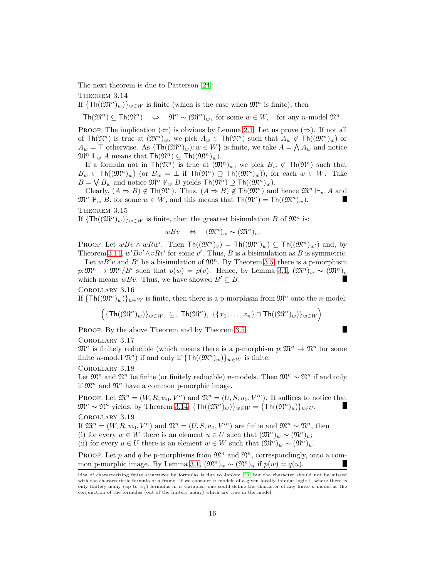The next theorem is due to Patterson [\[24\]](#page-56-20):

THEOREM 3.14

If  $\{Th((\mathfrak{M}^n)_w)\}_{w\in W}$  is finite (which is the case when  $\mathfrak{M}^n$  is finite), then

<span id="page-15-0"></span> $\mathsf{Th}(\mathfrak{M}^n) \subseteq \mathsf{Th}(\mathfrak{N}^n) \iff \mathfrak{N}^n \sim (\mathfrak{M}^n)_{w}$ , for some  $w \in W$ , for any n-model  $\mathfrak{N}^n$ .

PROOF. The implication ( $\Leftarrow$ ) is obvious by Lemma [2.1.](#page-6-0) Let us prove ( $\Rightarrow$ ). If not all of  $\text{Th}(\mathfrak{M}^n)$  is true at  $(\mathfrak{M}^n)_w$ , we pick  $A_w \in \text{Th}(\mathfrak{M}^n)$  such that  $A_w \notin \text{Th}((\mathfrak{M}^n)_w)$  or  $A_w = \top$  otherwise. As  $\{\text{Th}((\mathfrak{M}^n)_w): w \in W\}$  is finite, we take  $A = \bigwedge A_w$  and notice  $\mathfrak{M}^n \Vdash_w A$  means that  $\mathsf{Th}(\mathfrak{N}^n) \subseteq \mathsf{Th}((\mathfrak{M}^n)_w).$ 

If a formula not in  $\text{Th}(\mathfrak{N}^n)$  is true at  $(\mathfrak{M}^n)_w$ , we pick  $B_w \notin \text{Th}(\mathfrak{N}^n)$  such that  $B_w \in \text{Th}((\mathfrak{M}^n)_w)$  (or  $B_w = \perp$  if  $\text{Th}(\mathfrak{M}^n) \supseteq \text{Th}((\mathfrak{M}^n)_w)$ ), for each  $w \in W$ . Take  $B = \bigvee B_w$  and notice  $\mathfrak{M}^n \not\Vdash_w B$  yields  $\mathsf{Th}(\mathfrak{N}^n) \supseteq \mathsf{Th}((\mathfrak{M}^n)_w)$ .

Clearly,  $(A \Rightarrow B) \notin \text{Th}(\mathfrak{N}^n)$ . Thus,  $(A \Rightarrow B) \notin \text{Th}(\mathfrak{M}^n)$  and hence  $\mathfrak{M}^n \Vdash_w A$  and  $\mathfrak{M}^n \nvDash_w B$ , for some  $w \in W$ , and this means that  $\mathsf{Th}(\mathfrak{M}^n) = \mathsf{Th}((\mathfrak{M}^n)_w)$ .

THEOREM 3.15

If  $\{Th((\mathfrak{M}^n)_w)\}_{w\in W}$  is finite, then the greatest bisimulation B of  $\mathfrak{M}^n$  is:

$$
wBv \quad \Leftrightarrow \quad (\mathfrak{M}^n)_w \sim (\mathfrak{M}^n)_v.
$$

PROOF. Let  $wBv \wedge wRw'$ . Then  $\text{Th}((\mathfrak{M}^n)_v) = \text{Th}((\mathfrak{M}^n)_w) \subseteq \text{Th}((\mathfrak{M}^n)_{w'})$  and, by Theorem [3.14,](#page-15-0)  $w'Bv' \wedge vRv'$  for some v'. Thus, B is a bisimulation as B is symmetric.

Let  $wB'v$  and B' be a bisimulation of  $\mathfrak{M}^n$ . By Theorem [3.5,](#page-12-1) there is a p-morphism  $p:\mathfrak{M}^n\to \mathfrak{M}^n/B'$  such that  $p(w)=p(v)$ . Hence, by Lemma [3.1,](#page-10-1)  $(\mathfrak{M}^n)_w \sim (\mathfrak{M}^n)_v$ which means  $wBv$ . Thus, we have showed  $B' \subseteq B$ . и

<span id="page-15-1"></span>Corollary 3.16

If  $\{Th((\mathfrak{M}^n)_w)\}_{w\in W}$  is finite, then there is a p-morphism from  $\mathfrak{M}^n$  onto the *n*-model:

$$
\Big(\{\mathsf{Th}((\mathfrak{M}^n)_w)\}_{w\in W},\ \subseteq,\ \mathsf{Th}(\mathfrak{M}^n),\ \{\{x_1,\ldots,x_n\}\cap\mathsf{Th}((\mathfrak{M}^n)_w)\}_{w\in W}\Big).
$$

П

PROOF. By the above Theorem and by Theorem [3.5.](#page-12-1)

Corollary 3.17

 $\mathfrak{M}^n$  is finitely reducible (which means there is a p-morphism  $p:\mathfrak{M}^n\to\mathfrak{N}^n$  for some finite *n*-model  $\mathfrak{N}^n$ ) if and only if  $\{\textsf{Th}((\mathfrak{M}^n)_w)\}_{w \in W}$  is finite.

<span id="page-15-2"></span>Corollary 3.18

Let  $\mathfrak{M}^n$  and  $\mathfrak{N}^n$  be finite (or finitely reducible) n-models. Then  $\mathfrak{M}^n \sim \mathfrak{N}^n$  if and only if  $\mathfrak{M}^n$  and  $\mathfrak{N}^n$  have a common p-morphic image.

PROOF. Let  $\mathfrak{M}^n = (W, R, w_0, V^n)$  and  $\mathfrak{N}^n = (U, S, u_0, V^n)$ . It suffices to notice that  $\mathfrak{M}^n \sim \mathfrak{N}^n$  yields, by Theorem [3.14,](#page-15-0)  $\{\text{Th}((\mathfrak{M}^n)_w)\}_{w\in W} = \{\text{Th}((\mathfrak{N}^n)_u)\}_{u\in U}$ .

# <span id="page-15-3"></span>Corollary 3.19

If  $\mathfrak{M}^n = (W, R, w_0, V^n)$  and  $\mathfrak{N}^n = (U, S, u_0, V^m)$  are finite and  $\mathfrak{M}^n \sim \mathfrak{N}^n$ , then (i) for every  $w \in W$  there is an element  $u \in U$  such that  $(\mathfrak{M}^n)_w \sim (\mathfrak{N}^n)_u$ ; (ii) for every  $u \in U$  there is an element  $w \in W$  such that  $(\mathfrak{M}^n)_w \sim (\mathfrak{N}^n)_u$ .

PROOF. Let p and q be p-morphisms from  $\mathfrak{M}^n$  and  $\mathfrak{N}^n$ , correspondingly, onto a com-mon p-morphic image. By Lemma [3.1,](#page-10-1)  $(\mathfrak{M}^n)_w \sim (\mathfrak{N}^n)_u$  if  $p(w) = q(u)$ .

idea of characterizing finite structures by formulas is due to Jankov [\[20\]](#page-56-17) but the character should not be missed with the characteristic formula of a frame. If we consider *n*-models of a given locally tabular logic L, where there is only finitely many (up to  $=$ <sub>L</sub>) formulas in *n*-variables, one could define the character of any finite *n*-model as the conjunction of the formulas (out of the finitely many) which are true in the model.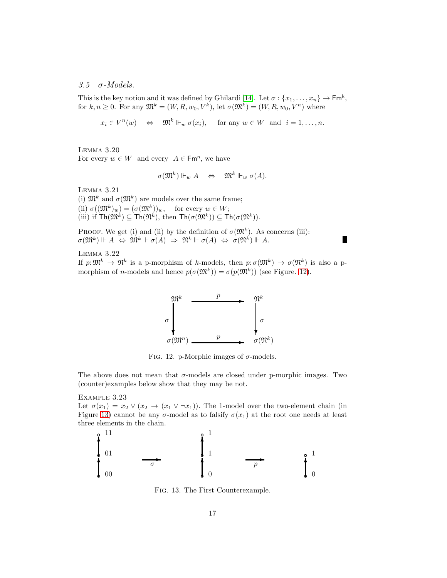3.5  $\sigma$ -Models.

This is the key notion and it was defined by Ghilardi [\[14\]](#page-56-3). Let  $\sigma : \{x_1, \ldots, x_n\} \to \mathsf{Fm}^k$ , for  $k, n \geq 0$ . For any  $\mathfrak{M}^k = (W, R, w_0, V^k)$ , let  $\sigma(\mathfrak{M}^k) = (W, R, w_0, V^n)$  where

$$
x_i \in V^n(w) \iff \mathfrak{M}^k \Vdash_w \sigma(x_i), \text{ for any } w \in W \text{ and } i = 1, \dots, n.
$$

<span id="page-16-3"></span>Lemma 3.20

For every  $w \in W$  and every  $A \in \mathsf{Fm}^n$ , we have

$$
\sigma(\mathfrak{M}^k) \Vdash_w A \quad \Leftrightarrow \quad \mathfrak{M}^k \Vdash_w \sigma(A).
$$

<span id="page-16-2"></span>Lemma 3.21

(i)  $\mathfrak{M}^k$  and  $\sigma(\mathfrak{M}^k)$  are models over the same frame; (ii)  $\sigma((\mathfrak{M}^k)_w) = (\sigma(\mathfrak{M}^k))_w$ , for every  $w \in W$ ; (iii) if  $\text{Th}(\mathfrak{M}^k) \subseteq \text{Th}(\mathfrak{N}^k)$ , then  $\text{Th}(\sigma(\mathfrak{M}^k)) \subseteq \text{Th}(\sigma(\mathfrak{N}^k))$ .

PROOF. We get (i) and (ii) by the definition of  $\sigma(\mathfrak{M}^k)$ . As concerns (iii):  $\sigma(\mathfrak{M}^k) \Vdash A \; \Leftrightarrow \; \mathfrak{M}^k \Vdash \sigma(A) \; \Rightarrow \; \mathfrak{N}^k \Vdash \sigma(A) \; \Leftrightarrow \; \sigma(\mathfrak{N}^k) \Vdash A.$ 

Lemma 3.22

If  $p: \mathfrak{M}^k \to \mathfrak{N}^k$  is a p-morphism of k-models, then  $p: \sigma(\mathfrak{M}^k) \to \sigma(\mathfrak{N}^k)$  is also a pmorphism of *n*-models and hence  $p(\sigma(\mathfrak{M}^k)) = \sigma(p(\mathfrak{M}^k))$  (see Figure. [12\)](#page-16-0).

ш



<span id="page-16-4"></span><span id="page-16-0"></span>FIG. 12. p-Morphic images of  $\sigma$ -models.

The above does not mean that  $\sigma$ -models are closed under p-morphic images. Two (counter)examples below show that they may be not.

Example 3.23

Let  $\sigma(x_1) = x_2 \vee (x_2 \rightarrow (x_1 \vee \neg x_1))$ . The 1-model over the two-element chain (in Figure [13\)](#page-16-1) cannot be any  $\sigma$ -model as to falsify  $\sigma(x_1)$  at the root one needs at least three elements in the chain.



<span id="page-16-1"></span>Fig. 13. The First Counterexample.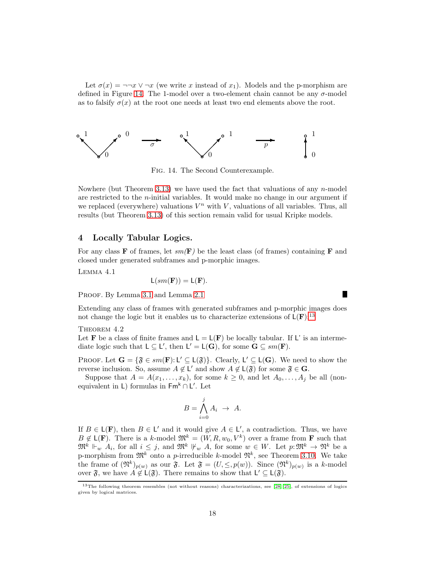Let  $\sigma(x) = \neg\neg x \vee \neg x$  (we write x instead of  $x_1$ ). Models and the p-morphism are defined in Figure [14.](#page-17-0) The 1-model over a two-element chain cannot be any  $\sigma$ -model as to falsify  $\sigma(x)$  at the root one needs at least two end elements above the root.



<span id="page-17-0"></span>Fig. 14. The Second Counterexample.

Nowhere (but Theorem [3.13\)](#page-14-1) we have used the fact that valuations of any n-model are restricted to the n-initial variables. It would make no change in our argument if we replaced (everywhere) valuations  $V^n$  with V, valuations of all variables. Thus, all results (but Theorem [3.13\)](#page-14-1) of this section remain valid for usual Kripke models.

## 4 Locally Tabular Logics.

For any class **F** of frames, let  $sm(\mathbf{F})$  be the least class (of frames) containing **F** and closed under generated subframes and p-morphic images.

Lemma 4.1

$$
L(sm(\mathbf{F})) = L(\mathbf{F}).
$$

PROOF. By Lemma [3.1](#page-10-1) and Lemma [2.1](#page-6-0)

Extending any class of frames with generated subframes and p-morphic images does not change the logic but it enables us to characterize extensions of  $L(\mathbf{F})$ :<sup>[13](#page-17-1)</sup>

THEOREM 4.2

Let **F** be a class of finite frames and  $L = L(F)$  be locally tabular. If L' is an intermediate logic such that  $L \subseteq L'$ , then  $L' = L(G)$ , for some  $G \subseteq sm(F)$ .

PROOF. Let  $G = {\mathfrak{F} \in sm(F) : L' \subseteq L(\mathfrak{F})}$ . Clearly,  $L' \subseteq L(G)$ . We need to show the reverse inclusion. So, assume  $A \notin L'$  and show  $A \notin L(\mathfrak{F})$  for some  $\mathfrak{F} \in \mathbf{G}$ .

Suppose that  $A = A(x_1, \ldots, x_k)$ , for some  $k \geq 0$ , and let  $A_0, \ldots, A_i$  be all (nonequivalent in L) formulas in  $\mathsf{Fm}^k \cap L'$ . Let

$$
B = \bigwedge_{i=0}^{j} A_i \ \to \ A.
$$

If  $B \in L(F)$ , then  $B \in L'$  and it would give  $A \in L'$ , a contradiction. Thus, we have  $B \notin \mathsf{L}(\mathbf{F})$ . There is a k-model  $\mathfrak{M}^k = (W, R, w_0, V^k)$  over a frame from **F** such that  $\mathfrak{M}^k \Vdash_w A_i$ , for all  $i \leq j$ , and  $\mathfrak{M}^k \Vdash_w A$ , for some  $w \in W$ . Let  $p: \mathfrak{M}^k \to \mathfrak{N}^k$  be a p-morphism from  $\mathfrak{M}^k$  onto a p-irreducible k-model  $\mathfrak{N}^k$ , see Theorem [3.10.](#page-13-3) We take the frame of  $(\mathfrak{N}^k)_{p(w)}$  as our  $\mathfrak{F}$ . Let  $\mathfrak{F} = (U, \leq, p(w))$ . Since  $(\mathfrak{N}^k)_{p(w)}$  is a k-model over  $\mathfrak{F}$ , we have  $A \notin \mathsf{L}(\mathfrak{F})$ . There remains to show that  $\mathsf{L}' \subseteq \mathsf{L}(\mathfrak{F})$ .

<span id="page-17-3"></span><span id="page-17-2"></span>Г

<span id="page-17-1"></span><sup>&</sup>lt;sup>13</sup>The following theorem resembles (not without reasons) characterizations, see [\[28,](#page-57-4) [25\]](#page-56-21), of extensions of logics given by logical matrices.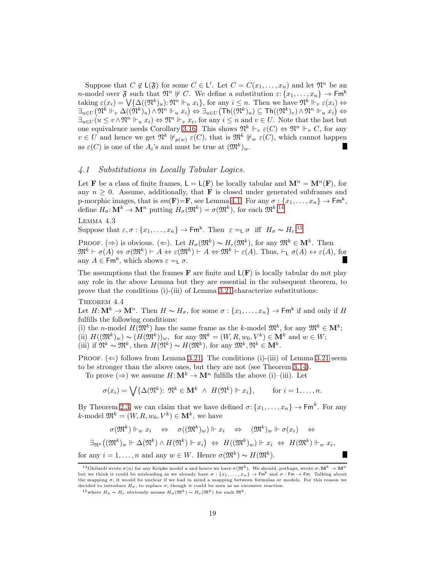Suppose that  $C \notin L(\mathfrak{F})$  for some  $C \in L'$ . Let  $C = C(x_1, \ldots, x_n)$  and let  $\mathfrak{N}^n$  be an *n*-model over  $\mathfrak{F}$  such that  $\mathfrak{N}^n \not\vdash C$ . We define a substitution  $\varepsilon: \{x_1, \ldots, x_n\} \to \mathsf{Fm}^k$ taking  $\varepsilon(x_i) = \bigvee \{ \Delta((\mathfrak{N}^k)_u) : \mathfrak{N}^n \Vdash_u x_i \},\$  for any  $i \leq n$ . Then we have  $\mathfrak{N}^k \Vdash_v \varepsilon(x_i) \Leftrightarrow$  $\exists_{u\in U}(\mathfrak{N}^k\Vdash_v \Delta((\mathfrak{N}^k)_u)\wedge \mathfrak{N}^n\Vdash_u x_i)\Leftrightarrow \exists_{u\in U}\big(\mathsf{Th}((\mathfrak{N}^k)_u)\subseteq \mathsf{Th}((\mathfrak{N}^k)_v)\wedge \mathfrak{N}^n\Vdash_u x_i\big)\Leftrightarrow$  $\exists_{u\in U} (u\leq v\wedge \mathfrak{N}^n \Vdash_u x_i) \Leftrightarrow \mathfrak{N}^n \Vdash_v x_i$ , for any  $i\leq n$  and  $v\in U$ . Note that the last but one equivalence needs Corollary [3.16.](#page-15-1) This shows  $\mathfrak{N}^k \Vdash_v \varepsilon(C) \Leftrightarrow \mathfrak{N}^n \Vdash_v C$ , for any  $v \in U$  and hence we get  $\mathfrak{N}^k \nvDash_{p(w)} \varepsilon(C)$ , that is  $\mathfrak{M}^k \nvDash_w \varepsilon(C)$ , which cannot happen as  $\varepsilon(C)$  is one of the  $A_i$ 's and must be true at  $(\mathfrak{M}^k)_w$ .

## 4.1 Substitutions in Locally Tabular Logics.

Let **F** be a class of finite frames,  $L = L(F)$  be locally tabular and  $\mathbf{M}^n = \mathbf{M}^n(F)$ , for any  $n \geq 0$ . Assume, additionally, that **F** is closed under generated subframes and p-morphic images, that is  $sm(\mathbf{F})=\mathbf{F}$ , see Lemma [4.1.](#page-17-2) For any  $\sigma:\{x_1,\ldots,x_n\}\to \mathsf{Fm}^k$ , define  $H_{\sigma} \colon \mathbf{M}^k \to \mathbf{M}^n$  putting  $H_{\sigma}(\mathfrak{M}^k) = \sigma(\mathfrak{M}^k)$ , for each  $\mathfrak{M}^k$ .<sup>[14](#page-18-0)</sup>

Lemma 4.3

<span id="page-18-3"></span>Suppose that  $\varepsilon, \sigma : \{x_1, \ldots, x_n\} \to \mathsf{Fm}^k$ . Then  $\varepsilon =_L \sigma$  iff  $H_\sigma \sim H_\varepsilon$ .<sup>[15](#page-18-1)</sup>

PROOF. (⇒) is obvious. ( $\Leftarrow$ ). Let  $H_{\sigma}(\mathfrak{M}^k) \sim H_{\varepsilon}(\mathfrak{M}^k)$ , for any  $\mathfrak{M}^k \in \mathbf{M}^k$ . Then  $\mathfrak{M}^k \vdash \sigma(A) \Leftrightarrow \sigma(\mathfrak{M}^k) \vdash A \Leftrightarrow \varepsilon(\mathfrak{M}^k) \vdash A \Leftrightarrow \mathfrak{M}^k \vdash \varepsilon(A)$ . Thus,  $\vdash_L \sigma(A) \leftrightarrow \varepsilon(A)$ , for any  $A \in \text{Fm}^n$ , which shows  $\varepsilon = \stackrel{\cdot}{\mathsf{L}} \sigma$ .

The assumptions that the frames  $\bf{F}$  are finite and  $\bf{L}(\bf{F})$  is locally tabular do not play any role in the above Lemma but they are essential in the subsequent theorem, to prove that the conditions (i)-(iii) of Lemma [3.21](#page-16-2) characterize substitutions:

Theorem 4.4

Let  $H: \mathbf{M}^k \to \mathbf{M}^n$ . Then  $H \sim H_\sigma$ , for some  $\sigma: \{x_1, \ldots, x_n\} \to \mathsf{Fm}^k$  if and only if  $H$ fulfills the following conditions:

(i) the *n*-model  $H(\mathfrak{M}^k)$  has the same frame as the *k*-model  $\mathfrak{M}^k$ , for any  $\mathfrak{M}^k \in \mathbf{M}^k$ ; (ii)  $H((\mathfrak{M}^k)_{w}) \sim (H(\mathfrak{M}^k))_{w}$ , for any  $\mathfrak{M}^k = (W, R, w_0, V^k) \in \mathbf{M}^k$  and  $w \in W$ ; (iii) if  $\mathfrak{N}^k \sim \mathfrak{M}^k$ , then  $H(\mathfrak{N}^k) \sim H(\mathfrak{M}^k)$ , for any  $\mathfrak{M}^k, \mathfrak{N}^k \in \mathbf{M}^k$ .

PROOF.  $(\Leftarrow)$  follows from Lemma [3.21.](#page-16-2) The conditions (i)-(iii) of Lemma [3.21](#page-16-2) seem to be stronger than the above ones, but they are not (see Theorem [3.14\)](#page-15-0).

To prove  $(\Rightarrow)$  we assume  $H: \mathbf{M}^k \to \mathbf{M}^n$  fulfills the above (i)–(iii). Let

<span id="page-18-2"></span>
$$
\sigma(x_i) = \bigvee \{ \Delta(\mathfrak{N}^k) : \, \mathfrak{N}^k \in \mathbf{M}^k \ \wedge \ H(\mathfrak{N}^k) \Vdash x_i \}, \qquad \text{for } i = 1, \dots, n.
$$

By Theorem [2.3,](#page-7-1) we can claim that we have defined  $\sigma: \{x_1, \ldots, x_n\} \to \mathsf{Fm}^k$ . For any  $k$ -model  $\mathfrak{M}^k = (W, R, w_0, V^k) \in \mathbf{M}^k$ , we have

$$
\sigma(\mathfrak{M}^k) \Vdash_w x_i \Leftrightarrow \sigma((\mathfrak{M}^k)_w) \Vdash x_i \Leftrightarrow (\mathfrak{M}^k)_w \Vdash \sigma(x_i) \Leftrightarrow
$$
  

$$
\exists_{\mathfrak{N}^k} ((\mathfrak{M}^k)_w \Vdash \Delta(\mathfrak{N}^k) \wedge H(\mathfrak{N}^k) \Vdash x_i) \Leftrightarrow H((\mathfrak{M}^k)_w) \Vdash x_i \Leftrightarrow H(\mathfrak{M}^k) \Vdash_w x_i,
$$
  
for any  $i = 1, ..., n$  and any  $w \in W$ . Hence  $\sigma(\mathfrak{M}^k) \sim H(\mathfrak{M}^k)$ .

<span id="page-18-0"></span><sup>&</sup>lt;sup>14</sup>Ghilardi wrote  $\sigma(u)$  for any Kripke model u and hence we have  $\sigma(\mathfrak{M}^k)$ . We should, perhaps, wrote  $\sigma: \mathbf{M}^k \to \mathbf{M}^n$ but we think it could be misleading as we already have  $\sigma : \{x_1, \ldots, x_n\} \to \mathsf{Fm}^k$  and  $\sigma : \mathsf{Fm} \to \mathsf{Fm}$ . Talking about the mapping  $\sigma$ , it would be unclear if we had in mind a mapping between formulas or models. For this reason we decided to introduce  $H_{\sigma}$ , to replace  $\sigma$ , though it could be seen as an excessive reaction.

<span id="page-18-1"></span><sup>&</sup>lt;sup>15</sup>where  $H_{\sigma} \sim H_{\varepsilon}$  obviously means  $H_{\sigma}(\mathfrak{M}^k) \sim H_{\varepsilon}(\mathfrak{M}^k)$  for each  $\mathfrak{M}^k$ .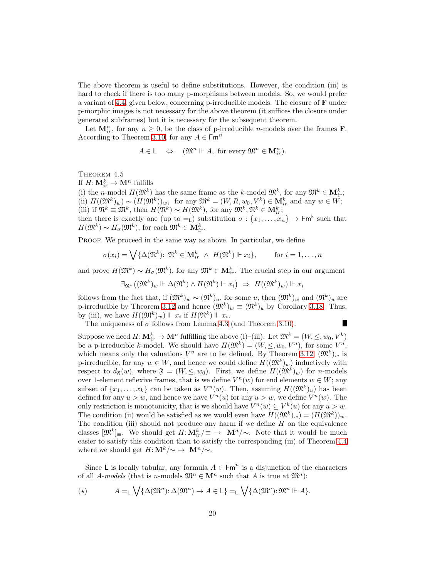The above theorem is useful to define substitutions. However, the condition (iii) is hard to check if there is too many p-morphisms between models. So, we would prefer a variant of [4.4,](#page-18-2) given below, concerning p-irreducible models. The closure of F under p-morphic images is not necessary for the above theorem (it suffices the closure under generated subframes) but it is necessary for the subsequent theorem.

Let  $\mathbf{M}_{ir}^n$ , for any  $n \geq 0$ , be the class of p-irreducible *n*-models over the frames **F**. According to Theorem [3.10,](#page-13-3) for any  $A \in \mathsf{Fm}^n$ 

$$
A \in \mathsf{L} \quad \Leftrightarrow \quad (\mathfrak{M}^n \Vdash A, \text{ for every } \mathfrak{M}^n \in \mathbf{M}_{ir}^n).
$$

<span id="page-19-0"></span>THEOREM 4.5

If  $H: \mathbf{M}_{ir}^k \to \mathbf{M}^n$  fulfills

(i) the *n*-model  $H(\mathfrak{M}^k)$  has the same frame as the *k*-model  $\mathfrak{M}^k$ , for any  $\mathfrak{M}^k \in \mathbf{M}_{ir}^k$ ; (ii)  $H((\mathfrak{M}^k)_{w}) \sim (H(\mathfrak{M}^k))_{w}$ , for any  $\mathfrak{M}^k = (W, R, w_0, V^k) \in \mathbf{M}_{ir}^k$  and any  $w \in W$ ; (iii) if  $\mathfrak{N}^k \equiv \mathfrak{M}^k$ , then  $H(\mathfrak{N}^k) \sim H(\mathfrak{M}^k)$ , for any  $\mathfrak{M}^k, \mathfrak{N}^k \in \mathbf{M}_{ir}^k$ ;

then there is exactly one (up to  $=_L$ ) substitution  $\sigma : \{x_1, \ldots, x_n\} \to \mathsf{Fm}^k$  such that  $H(\mathfrak{M}^k) \sim H_{\sigma}(\mathfrak{M}^k)$ , for each  $\mathfrak{M}^k \in \mathbf{M}_{ir}^k$ .

PROOF. We proceed in the same way as above. In particular, we define

$$
\sigma(x_i) = \bigvee \{ \Delta(\mathfrak{N}^k) : \, \mathfrak{N}^k \in \mathbf{M}_{ir}^k \ \wedge \ H(\mathfrak{N}^k) \Vdash x_i \}, \qquad \text{for } i = 1, \dots, n
$$

and prove  $H(\mathfrak{M}^k) \sim H_{\sigma}(\mathfrak{M}^k)$ , for any  $\mathfrak{M}^k \in \mathbf{M}_{ir}^k$ . The crucial step in our argument

$$
\exists_{\mathfrak{N}^k} \big( (\mathfrak{M}^k)_w \Vdash \Delta(\mathfrak{N}^k) \wedge H(\mathfrak{N}^k) \Vdash x_i \big) \Rightarrow H((\mathfrak{M}^k)_w) \Vdash x_i
$$

follows from the fact that, if  $(\mathfrak{M}^k)_w \sim (\mathfrak{N}^k)_u$ , for some u, then  $(\mathfrak{M}^k)_w$  and  $(\mathfrak{N}^k)_u$  are p-irreducible by Theorem [3.12](#page-14-2) and hence  $(\mathfrak{M}^k)_w \equiv (\mathfrak{N}^k)_u$  by Corollary [3.18.](#page-15-2) Thus, by (iii), we have  $H((\mathfrak{M}^k)_{w}) \Vdash x_i$  if  $H(\mathfrak{N}^k) \Vdash x_i$ .

The uniqueness of  $\sigma$  follows from Lemma [4.3](#page-18-3) (and Theorem [3.10\)](#page-13-3).

п

Suppose we need  $H: \mathbf{M}_{ir}^k \to \mathbf{M}^n$  fulfilling the above (i)–(iii). Let  $\mathfrak{M}^k = (W, \leq, w_0, V^k)$ be a p-irreducible k-model. We should have  $H(\mathfrak{M}^k) = (W, \leq, w_0, V^n)$ , for some  $V^n$ , which means only the valuations  $V^n$  are to be defined. By Theorem [3.12,](#page-14-2)  $(\mathfrak{M}^k)_w$  is p-irreducible, for any  $w \in W$ , and hence we could define  $H((\mathfrak{M}^k)_w)$  inductively with respect to  $d_{\mathfrak{F}}(w)$ , where  $\mathfrak{F} = (W, \leq, w_0)$ . First, we define  $H((\mathfrak{M}^k)_{w})$  for *n*-models over 1-element reflexive frames, that is we define  $V^n(w)$  for end elements  $w \in W$ ; any subset of  $\{x_1, \ldots, x_k\}$  can be taken as  $V^n(w)$ . Then, assuming  $H((\mathfrak{M}^k)_u)$  has been defined for any  $u > w$ , and hence we have  $V^n(u)$  for any  $u > w$ , we define  $V^n(w)$ . The only restriction is monotonicity, that is we should have  $V^n(w) \subseteq V^k(u)$  for any  $u > w$ . The condition (ii) would be satisfied as we would even have  $H((\mathfrak{M}^k)_w) = (H(\mathfrak{M}^k))_w$ . The condition (iii) should not produce any harm if we define  $H$  on the equivalence classes  $[\mathfrak{M}^k]_\equiv$ . We should get  $H: \mathbf{M}_{ir}^k/\equiv \rightarrow \mathbf{M}^n/\sim$ . Note that it would be much easier to satisfy this condition than to satisfy the corresponding (iii) of Theorem [4.4](#page-18-2) where we should get  $H: \mathbf{M}^k/\sim \rightarrow \mathbf{M}^n/\sim$ .

Since L is locally tabular, any formula  $A \in \text{Fm}^n$  is a disjunction of the characters of all A-models (that is n-models  $\mathfrak{M}^n \in \mathbf{M}^n$  such that A is true at  $\mathfrak{M}^n$ ):

$$
(\star) \qquad \qquad A =_{\mathsf{L}} \bigvee \{ \Delta(\mathfrak{M}^n) : \Delta(\mathfrak{M}^n) \to A \in \mathsf{L} \} =_{\mathsf{L}} \bigvee \{ \Delta(\mathfrak{M}^n) : \mathfrak{M}^n \Vdash A \}.
$$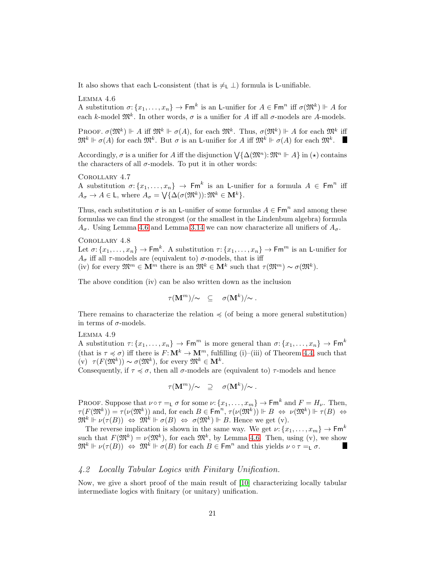<span id="page-20-1"></span>It also shows that each L-consistent (that is  $\neq$ <sub>L</sub>  $\perp$ ) formula is L-unifiable.

Lemma 4.6

A substitution  $\sigma: \{x_1, \ldots, x_n\} \to \mathsf{Fm}^k$  is an L-unifier for  $A \in \mathsf{Fm}^n$  iff  $\sigma(\mathfrak{M}^k) \Vdash A$  for each k-model  $\mathfrak{M}^k$ . In other words,  $\sigma$  is a unifier for A iff all  $\sigma$ -models are A-models.

PROOF.  $\sigma(\mathfrak{M}^k) \Vdash A$  iff  $\mathfrak{M}^k \Vdash \sigma(A)$ , for each  $\mathfrak{M}^k$ . Thus,  $\sigma(\mathfrak{M}^k) \Vdash A$  for each  $\mathfrak{M}^k$  iff  $\mathfrak{M}^k \Vdash \sigma(A)$  for each  $\mathfrak{M}^k$ . But  $\sigma$  is an L-unifier for A iff  $\mathfrak{M}^k \Vdash \sigma(A)$  for each  $\mathfrak{M}^k$ .

Accordingly,  $\sigma$  is a unifier for A iff the disjunction  $\bigvee {\{\Delta(\mathfrak{M}^n):\mathfrak{M}^n \models A\}}$  in  $(\star)$  contains the characters of all  $\sigma$ -models. To put it in other words:

Corollary 4.7 A substitution  $\sigma\colon\{x_1,\ldots,x_n\}\to \mathsf{Fm}^k$  is an L-unifier for a formula  $A\in \mathsf{Fm}^n$  iff  $A_{\sigma} \to A \in \mathsf{L}$ , where  $A_{\sigma} = \bigvee \{ \Delta(\sigma(\mathfrak{M}^k)) : \mathfrak{M}^k \in \mathbf{M}^k \}.$ 

Thus, each substitution  $\sigma$  is an L-unifier of some formulas  $A \in \text{Fm}^n$  and among these formulas we can find the strongest (or the smallest in the Lindenbum algebra) formula  $A_{\sigma}$ . Using Lemma [4.6](#page-20-1) and Lemma [3.14](#page-15-0) we can now characterize all unifiers of  $A_{\sigma}$ .

Corollary 4.8

Let  $\sigma\colon\{x_1,\ldots,x_n\}\to \mathsf{Fm}^k$ . A substitution  $\tau\colon\{x_1,\ldots,x_n\}\to \mathsf{Fm}^m$  is an L-unifier for  $A_{\sigma}$  iff all  $\tau$ -models are (equivalent to)  $\sigma$ -models, that is iff (iv) for every  $\mathfrak{M}^m \in \mathbf{M}^m$  there is an  $\mathfrak{M}^k \in \mathbf{M}^k$  such that  $\tau(\mathfrak{M}^m) \sim \sigma(\mathfrak{M}^k)$ .

The above condition (iv) can be also written down as the inclusion

<span id="page-20-4"></span><span id="page-20-3"></span><span id="page-20-2"></span>
$$
\tau(\mathbf{M}^m)/\!\!\sim\quad\subseteq\quad \sigma(\mathbf{M}^k)/\!\!\sim.
$$

There remains to characterize the relation  $\preccurlyeq$  (of being a more general substitution) in terms of  $\sigma$ -models.

#### Lemma 4.9

A substitution  $\tau: \{x_1, \ldots, x_n\} \to \mathsf{Fm}^m$  is more general than  $\sigma: \{x_1, \ldots, x_n\} \to \mathsf{Fm}^k$ (that is  $\tau \preccurlyeq \sigma$ ) iff there is  $F: \mathbf{M}^k \to \mathbf{M}^m$ , fulfilling (i)–(iii) of Theorem [4.4,](#page-18-2) such that  $(v)$   $\tau(F(\mathfrak{M}^k)) \sim \sigma(\mathfrak{M}^k)$ , for every  $\mathfrak{M}^k \in M^k$ .

Consequently, if  $\tau \preccurlyeq \sigma$ , then all  $\sigma$ -models are (equivalent to)  $\tau$ -models and hence

$$
\tau({\bf M}^m)/\!\!\sim\quad \supseteq\quad \sigma({\bf M}^k)/\!\!\sim\, .
$$

PROOF. Suppose that  $\nu \circ \tau = \iota \sigma$  for some  $\nu: \{x_1, \ldots, x_m\} \to \mathsf{Fm}^k$  and  $F = H_{\nu}$ . Then,  $\tau(F(\mathfrak{M}^k)) = \tau(\nu(\mathfrak{M}^k))$  and, for each  $B \in \text{Fm}^n$ ,  $\tau(\nu(\mathfrak{M}^k)) \Vdash B \Leftrightarrow \nu(\mathfrak{M}^k) \Vdash \tau(B) \Leftrightarrow$  $\mathfrak{M}^k \Vdash \nu(\tau(B)) \Leftrightarrow \mathfrak{M}^k \Vdash \sigma(B) \Leftrightarrow \sigma(\mathfrak{M}^k) \Vdash B$ . Hence we get (v).

The reverse implication is shown in the same way. We get  $\nu: \{x_1, \ldots, x_m\} \to \mathsf{Fm}^k$ such that  $F(\mathfrak{M}^k) = \nu(\mathfrak{M}^k)$ , for each  $\mathfrak{M}^k$ , by Lemma [4.6.](#page-20-1) Then, using (v), we show  $\mathfrak{M}^k \Vdash \nu(\tau(B)) \Leftrightarrow \mathfrak{M}^k \Vdash \sigma(B)$  for each  $B \in \mathsf{Fm}^n$  and this yields  $\nu \circ \tau =_L \sigma$ .

# 4.2 Locally Tabular Logics with Finitary Unification.

<span id="page-20-0"></span>Now, we give a short proof of the main result of [\[10\]](#page-56-0) characterizing locally tabular intermediate logics with finitary (or unitary) unification.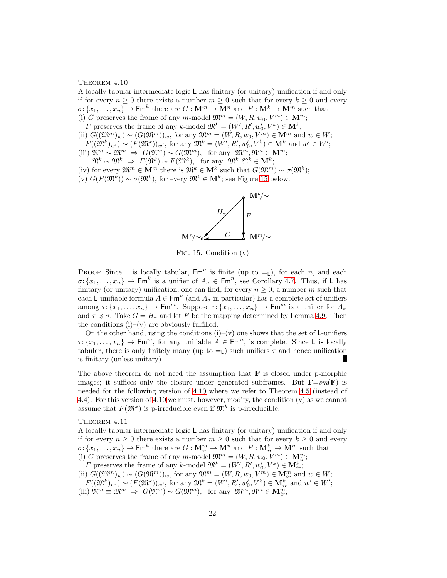#### THEOREM  $4.10$

A locally tabular intermediate logic L has finitary (or unitary) unification if and only if for every  $n \geq 0$  there exists a number  $m \geq 0$  such that for every  $k \geq 0$  and every  $\sigma: \{x_1, \ldots, x_n\} \to \mathsf{Fm}^k$  there are  $G: \mathbf{M}^m \to \mathbf{M}^n$  and  $F: \mathbf{M}^k \to \mathbf{M}^m$  such that (i) G preserves the frame of any m-model  $\mathfrak{M}^m = (W, R, w_0, V^m) \in \mathbf{M}^m$ ;

F preserves the frame of any k-model  $\mathfrak{M}^k = (W', R', w'_0, V^k) \in \mathbf{M}^k$ ;

- (ii)  $G((\mathfrak{M}^m)_w) \sim (G(\mathfrak{M}^m))_w$ , for any  $\mathfrak{M}^m = (W, R, w_0, V^m) \in \mathbf{M}^m$  and  $w \in W$ ;
- $F((\mathfrak{M}^k)_{w'}) \sim (F(\mathfrak{M}^k))_{w'}$ , for any  $\mathfrak{M}^k = (W', R', w'_0, V^k) \in \mathbf{M}^k$  and  $w' \in W'$ ; (iii)  $\mathfrak{N}^m \sim \mathfrak{M}^m \Rightarrow G(\mathfrak{N}^m) \sim G(\mathfrak{M}^m)$ , for any  $\mathfrak{M}^m, \mathfrak{N}^m \in \mathbf{M}^m$ ;
- $\mathfrak{N}^k \thicksim \mathfrak{M}^k \ \Rightarrow \ F(\mathfrak{N}^k) \thicksim F(\mathfrak{M}^k), \ \ \text{for any} \ \ \mathfrak{M}^k, \mathfrak{N}^k \in \mathbf{M}^k;$
- (iv) for every  $\mathfrak{M}^m \in \mathbf{M}^m$  there is  $\mathfrak{M}^k \in \mathbf{M}^k$  such that  $G(\mathfrak{M}^m) \sim \sigma(\mathfrak{M}^k)$ ;
- $(v) G(F(\mathfrak{M}^k)) \sim \sigma(\mathfrak{M}^k)$ , for every  $\mathfrak{M}^k \in \mathbf{M}^k$ ; see Figure [15](#page-21-0) below.



<span id="page-21-1"></span><span id="page-21-0"></span>Fig. 15. Condition (v)

PROOF. Since L is locally tabular,  $\mathsf{Fm}^n$  is finite (up to  $=_L$ ), for each n, and each  $\sigma: \{x_1, \ldots, x_n\} \to \mathsf{Fm}^k$  is a unifier of  $A_\sigma \in \mathsf{Fm}^n$ , see Corollary [4.7.](#page-20-2) Thus, if L has finitary (or unitary) unification, one can find, for every  $n \geq 0$ , a number m such that each L-unifiable formula  $A \in \text{Fm}^n$  (and  $A_{\sigma}$  in particular) has a complete set of unifiers among  $\tau: \{x_1, \ldots, x_n\} \to \mathsf{Fm}^m$ . Suppose  $\tau: \{x_1, \ldots, x_n\} \to \mathsf{Fm}^m$  is a unifier for  $A_\sigma$ and  $\tau \preccurlyeq \sigma$ . Take  $G = H_{\tau}$  and let F be the mapping determined by Lemma [4.9.](#page-20-3) Then the conditions  $(i)$ – $(v)$  are obviously fulfilled.

On the other hand, using the conditions  $(i)-(v)$  one shows that the set of L-unifiers  $\tau: \{x_1, \ldots, x_n\} \to \mathsf{Fm}^m$ , for any unifiable  $A \in \mathsf{Fm}^n$ , is complete. Since L is locally tabular, there is only finitely many (up to  $=$ <sub>L</sub>) such unifiers  $\tau$  and hence unification is finitary (unless unitary).

The above theorem do not need the assumption that  $\bf{F}$  is closed under p-morphic images; it suffices only the closure under generated subframes. But  $\mathbf{F}=sm(\mathbf{F})$  is needed for the following version of [4.10](#page-20-0) where we refer to Theorem [4.5](#page-19-0) (instead of [4.4\)](#page-18-2). For this version of [4.10](#page-20-0) we must, however, modify, the condition (v) as we cannot assume that  $F(\mathfrak{M}^k)$  is p-irreducible even if  $\mathfrak{M}^k$  is p-irreducible.

THEOREM  $4.11$ 

A locally tabular intermediate logic L has finitary (or unitary) unification if and only if for every  $n \geq 0$  there exists a number  $m \geq 0$  such that for every  $k \geq 0$  and every  $\sigma: \{x_1, \ldots, x_n\} \to \mathsf{Fm}^k$  there are  $G: \mathbf{M}_{ir}^m \to \mathbf{M}^n$  and  $F: \mathbf{M}_{ir}^k \to \mathbf{M}^m$  such that (i) G preserves the frame of any  $m$ -model  $\mathfrak{M}^m = (W, R, w_0, V^m) \in \mathbf{M}^m_{ir}$ ;

F preserves the frame of any k-model  $\mathfrak{M}^k = (W', R', w'_0, V^k) \in \mathbf{M}_{ir}^k$ ;

(ii)  $G((\mathfrak{M}^m)_w) \sim (G(\mathfrak{M}^m))_w$ , for any  $\mathfrak{M}^m = (W, R, w_0, V^m) \in \mathbf{M}_{ir}^m$  and  $w \in W$ ;

 $F((\mathfrak{M}^k)_{w'}) \sim (F(\mathfrak{M}^k))_{w'}$ , for any  $\mathfrak{M}^k = (W', R', w'_0, V^k) \in \mathbf{M}_{ir}^k$  and  $w' \in W'$ ; (iii)  $\mathfrak{N}^m \equiv \mathfrak{M}^m \Rightarrow G(\mathfrak{N}^m) \sim G(\mathfrak{M}^m)$ , for any  $\mathfrak{M}^m, \mathfrak{N}^m \in \mathbf{M}_{ir}^m$ ;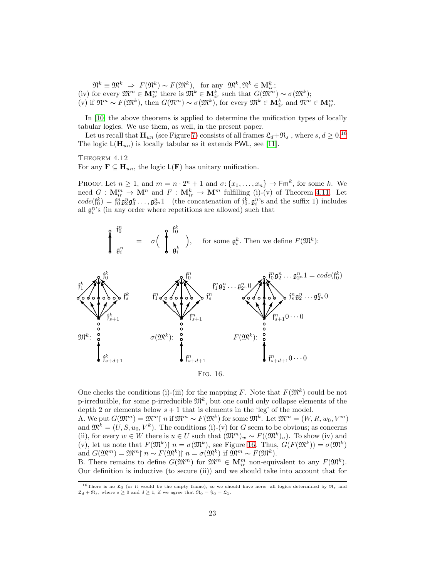$\mathfrak{N}^k \equiv \mathfrak{M}^k \Rightarrow F(\mathfrak{N}^k) \sim F(\mathfrak{M}^k)$ , for any  $\mathfrak{M}^k, \mathfrak{N}^k \in \mathbf{M}_{ir}^k$ ; (iv) for every  $\mathfrak{M}^m \in \mathbf{M}_{ir}^m$  there is  $\mathfrak{M}^k \in \mathbf{M}_{ir}^k$  such that  $G(\mathfrak{M}^m) \sim \sigma(\mathfrak{M}^k)$ ;  $(v)$  if  $\mathfrak{N}^m \sim F(\mathfrak{M}^k)$ , then  $G(\mathfrak{N}^m) \sim \sigma(\mathfrak{M}^k)$ , for every  $\mathfrak{M}^k \in \mathbf{M}_{ir}^k$  and  $\mathfrak{N}^m \in \mathbf{M}_{ir}^m$ .

In [\[10\]](#page-56-0) the above theorems is applied to determine the unification types of locally tabular logics. We use them, as well, in the present paper.

Let us recall that  $\mathbf{H}_{un}$  (see Figure [7\)](#page-4-0) consists of all frames  $\mathfrak{L}_d+\mathfrak{R}_s$ , where  $s, d \geq 0.16$  $s, d \geq 0.16$ The logic  $\mathsf{L}(\mathbf{H}_{un})$  is locally tabular as it extends PWL, see [\[11\]](#page-56-15).

THEOREM 4.12

For any  $\mathbf{F} \subseteq \mathbf{H}_{un}$ , the logic  $\mathsf{L}(\mathbf{F})$  has unitary unification.

PROOF. Let  $n \geq 1$ , and  $m = n \cdot 2^n + 1$  and  $\sigma: \{x_1, \ldots, x_n\} \to \mathsf{Fm}^k$ , for some k. We need  $G: \mathbf{M}_{ir}^m \to \mathbf{M}^n$  and  $F: \mathbf{M}_{ir}^k \to \mathbf{M}^m$  fulfilling (i)-(v) of Theorem [4.11.](#page-21-1) Let  $code(f_0^k) = f_0^n \mathfrak{g}_2^n \mathfrak{g}_3^n \dots, \mathfrak{g}_{2^n}^n 1$  (the concatenation of  $f_0^k, \mathfrak{g}_i^n$ 's and the suffix 1) includes all  $\mathfrak{g}_i^n$ 's (in any order where repetitions are allowed) such that

<span id="page-22-2"></span>



<span id="page-22-1"></span>One checks the conditions (i)-(iii) for the mapping F. Note that  $F(\mathfrak{M}^k)$  could be not p-irreducible, for some p-irreducible  $\mathfrak{M}^k$ , but one could only collapse elements of the depth 2 or elements below  $s + 1$  that is elements in the 'leg' of the model.

A. We put  $G(\mathfrak{M}^m) = \mathfrak{M}^m$ | n if  $\mathfrak{M}^m \sim F(\mathfrak{M}^k)$  for some  $\mathfrak{M}^k$ . Let  $\mathfrak{M}^m = (W, R, w_0, V^m)$ and  $\mathfrak{M}^k = (U, S, u_0, V^k)$ . The conditions (i)-(v) for G seem to be obvious; as concerns (ii), for every  $w \in W$  there is  $u \in U$  such that  $(\mathfrak{M}^m)_w \sim F((\mathfrak{M}^k)_u)$ . To show (iv) and (v), let us note that  $F(\mathfrak{M}^k)$  |  $n = \sigma(\mathfrak{M}^k)$ , see Figure [16.](#page-22-1) Thus,  $G(F(\mathfrak{M}^k)) = \sigma(\mathfrak{M}^k)$ and  $G(\mathfrak{M}^m) = \mathfrak{M}^m \upharpoonright n \sim F(\mathfrak{M}^k) \upharpoonright n = \sigma(\mathfrak{M}^k)$  if  $\mathfrak{M}^m \sim F(\mathfrak{M}^k)$ .

B. There remains to define  $G(\mathfrak{M}^m)$  for  $\mathfrak{M}^m \in \mathbf{M}_{ir}^m$  non-equivalent to any  $F(\mathfrak{M}^k)$ . Our definition is inductive (to secure (ii)) and we should take into account that for

<span id="page-22-0"></span><sup>&</sup>lt;sup>16</sup>There is no  $\mathfrak{L}_0$  (or it would be the empty frame), so we should have here: all logics determined by  $\mathfrak{R}_s$  and  $\mathfrak{L}_d + \mathfrak{R}_s$ , where  $s > 0$  and  $d > 1$ , if we agree that  $\mathfrak{R}_0 = \mathfrak{F}_0 = \mathfrak{L}_1$ .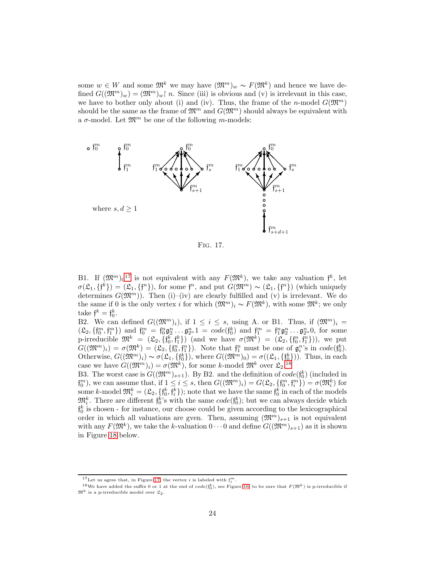some  $w \in W$  and some  $\mathfrak{M}^k$  we may have  $(\mathfrak{M}^m)_w \sim F(\mathfrak{M}^k)$  and hence we have defined  $G((\mathfrak{M}^m)_w) = (\mathfrak{M}^m)_w\upharpoonright n$ . Since (iii) is obvious and (v) is irrelevant in this case, we have to bother only about (i) and (iv). Thus, the frame of the n-model  $G(\mathfrak{M}^m)$ should be the same as the frame of  $\mathfrak{M}^m$  and  $G(\mathfrak{M}^m)$  should always be equivalent with a  $\sigma$ -model. Let  $\mathfrak{M}^m$  be one of the following m-models:



<span id="page-23-2"></span>Fig. 17.

B1. If  $(\mathfrak{M}^m)_0^{17}$  $(\mathfrak{M}^m)_0^{17}$  $(\mathfrak{M}^m)_0^{17}$  is not equivalent with any  $F(\mathfrak{M}^k)$ , we take any valuation  $\mathfrak{f}^k$ , let  $\sigma(\mathfrak{L}_1, \{f^k\}) = (\mathfrak{L}_1, \{f^n\}),$  for some  $f^n$ , and put  $G(\mathfrak{M}^m) \sim (\mathfrak{L}_1, \{f^n\})$  (which uniquely determines  $G(\mathfrak{M}^m)$ . Then (i)–(iv) are clearly fulfilled and (v) is irrelevant. We do the same if 0 is the only vertex i for which  $(\mathfrak{M}^m)_i \sim F(\mathfrak{M}^k)$ , with some  $\mathfrak{M}^k$ ; we only take  $\mathfrak{f}^k = \mathfrak{f}^k_0$ .

B2. We can defined  $G((\mathfrak{M}^m)_i)$ , if  $1 \leq i \leq s$ , using A. or B1. Thus, if  $(\mathfrak{M}^m)_i =$  $(\mathfrak{L}_2, \{f_0^m, f_1^m\})$  and  $f_0^m = f_0^n \mathfrak{g}_2^n \dots \mathfrak{g}_{2^n}^n 1 = code(f_0^k)$  and  $f_1^m = f_1^n \mathfrak{g}_2^n \dots \mathfrak{g}_{2^n}^n 0$ , for some p-irreducible  $\mathfrak{M}^k = (\mathfrak{L}_2, \{f_0^k, f_1^k\})$  (and we have  $\sigma(\mathfrak{M}^k) = (\mathfrak{L}_2, \{f_0^n, f_1^n\})$ ), we put  $G((\mathfrak{M}^m)_i) = \sigma(\mathfrak{M}^k) = (\mathfrak{L}_2, \{f_0^n, f_1^n\})$ . Note that  $f_1^n$  must be one of  $\mathfrak{g}_i^n$ 's in  $code(f_0^k)$ . Otherwise,  $G((\mathfrak{M}^m)_i) \sim \sigma(\mathfrak{L}_1, \{f_0^k\}),$  where  $G((\mathfrak{M}^m)_0) = \sigma((\mathfrak{L}_1, \{f_0^k\})).$  Thus, in each case we have  $G((\mathfrak{M}^m)_i) = \sigma(\mathfrak{M}^k)$ , for some k-model  $\mathfrak{M}^k$  over  $\mathfrak{L}_2$ .<sup>[18](#page-23-1)</sup>

B3. The worst case is  $G((\mathfrak{M}^m)_{s+1})$ . By B2. and the definition of  $code(f_0^k)$  (included in  $f_0^m$ ), we can assume that, if  $1 \leq i \leq s$ , then  $G((\mathfrak{M}^m)_i) = G(\mathfrak{L}_2, \{f_0^m, f_i^m\}) = \sigma(\mathfrak{M}_i^k)$  for some k-model  $\mathfrak{M}_i^k = (\mathfrak{L}_2, \{ \mathfrak{f}_0^k, \mathfrak{f}_i^k \})$ ; note that we have the same  $\mathfrak{f}_0^k$  in each of the models  $\mathfrak{M}_i^k$ . There are different  $\mathfrak{f}_0^k$ 's with the same  $code(f_0^k)$ ; but we can always decide which  $\mathfrak{f}^k_0$  is chosen - for instance, our choose could be given according to the lexicographical order in which all valuations are gven. Then, assuming  $(\mathfrak{M}^m)_{s+1}$  is not equivalent with any  $F(\mathfrak{M}^k)$ , we take the k-valuation  $0 \cdots 0$  and define  $G((\mathfrak{M}^m)_{s+1})$  as it is shown in Figure [18](#page-24-0) below.

<span id="page-23-0"></span><sup>&</sup>lt;sup>17</sup>Let us agree that, in Figure [17,](#page-23-2) the vertex *i* is labeled with  $f_i^m$ .

<span id="page-23-1"></span><sup>&</sup>lt;sup>18</sup>We have added the suffix 0 or 1 at the end of  $code(f_0^k)$ , see Figure [16,](#page-22-1) to be sure that  $F(\mathfrak{M}^k)$  is p-irreducible if  $\mathfrak{M}^k$  is a p-irreducible model over  $\mathfrak{L}_2$ .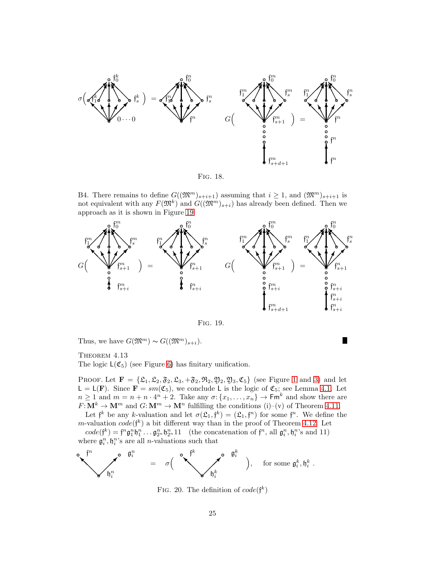

<span id="page-24-0"></span>Fig. 18.

B4. There remains to define  $G((\mathfrak{M}^m)_{s+i+1})$  assuming that  $i \geq 1$ , and  $(\mathfrak{M}^m)_{s+i+1}$  is not equivalent with any  $F(\mathfrak{M}^k)$  and  $G((\mathfrak{M}^m)_{s+i})$  has already been defined. Then we approach as it is shown in Figure [19](#page-24-1)



<span id="page-24-1"></span>Fig. 19.

Thus, we have  $G(\mathfrak{M}^m) \sim G((\mathfrak{M}^m)_{s+i}).$ 

П

<span id="page-24-3"></span>THEOREM  $4.13$ 

The logic  $L(\mathfrak{C}_5)$  (see Figure [6\)](#page-3-1) has finitary unification.

PROOF. Let  $\mathbf{F} = {\mathcal{L}_1, \mathcal{L}_2, \mathcal{F}_2, \mathcal{L}_3, +\mathcal{F}_2, \mathcal{R}_2, \mathcal{Y}_2, \mathcal{Y}_3, \mathcal{C}_5}$  (see Figure [1](#page-1-3) and [3\)](#page-2-0) and let  $\mathsf{L} = \mathsf{L}(\mathbf{F})$ . Since  $\mathbf{F} = sm(\mathfrak{C}_5)$ , we conclude L is the logic of  $\mathfrak{C}_5$ ; see Lemma [4.1.](#page-17-2) Let  $n \geq 1$  and  $m = n + n \cdot 4^{n} + 2$ . Take any  $\sigma: \{x_1, \ldots, x_n\} \to \mathsf{Fm}^k$  and show there are  $F: \mathbf{M}^k \to \mathbf{M}^m$  and  $G: \mathbf{M}^m \to \mathbf{M}^n$  fulfilling the conditions (i)–(v) of Theorem [4.11.](#page-21-1)

Let  $\mathfrak{f}^k$  be any k-valuation and let  $\sigma(\mathfrak{L}_1, \mathfrak{f}^k) = (\mathfrak{L}_1, \mathfrak{f}^n)$  for some  $\mathfrak{f}^n$ . We define the m-valuation  $code(f^k)$  a bit different way than in the proof of Theorem [4.12.](#page-22-2) Let

 $code(f^k) = f^n \mathfrak{g}_1^n \mathfrak{h}_1^n \dots \mathfrak{g}_{2^n}^n \mathfrak{h}_{2^n}^n 11$  (the concatenation of  $f^n$ , all  $\mathfrak{g}_i^n, \mathfrak{h}_i^n$ 's and 11) where  $\mathfrak{g}_i^n$ ,  $\mathfrak{h}_i^n$ 's are all *n*-valuations such that

$$
\begin{array}{ccc}\n\bullet & \mathfrak{f}^n \\
\searrow & \mathfrak{h}^n_i\n\end{array} = \sigma \Big( \begin{array}{ccc}\n\bullet & \mathfrak{f}^k \\
\searrow & \mathfrak{h}^k_i\n\end{array} \Big), \text{ for some } \mathfrak{g}^k_i, \mathfrak{h}^k_i .
$$

<span id="page-24-2"></span>FIG. 20. The definition of  $code(f^k)$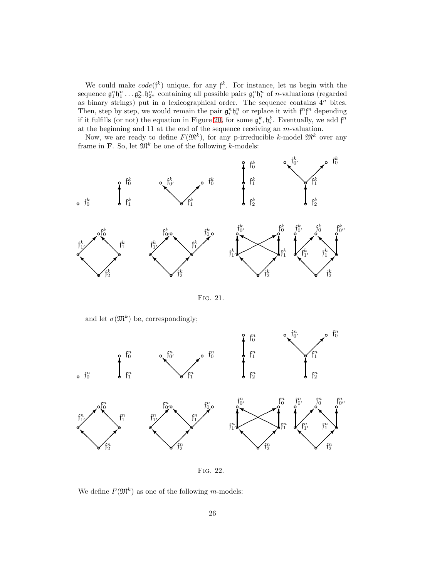We could make  $code(f^k)$  unique, for any  $f^k$ . For instance, let us begin with the sequence  $\mathfrak{g}_1^n \mathfrak{h}_1^n \dots \mathfrak{g}_{2^n}^n \mathfrak{h}_{2^n}^n$  containing all possible pairs  $\mathfrak{g}_i^n \mathfrak{h}_i^n$  of *n*-valuations (regarded as binary strings) put in a lexicographical order. The sequence contains  $4^n$  bites. Then, step by step, we would remain the pair  $\mathfrak{g}_i^n \mathfrak{h}_i^n$  or replace it with  $\mathfrak{f}^n \mathfrak{f}^n$  depending if it fulfills (or not) the equation in Figure [20,](#page-24-2) for some  $\mathfrak{g}_i^k, \mathfrak{h}_i^k$ . Eventually, we add  $\mathfrak{f}^n$ at the beginning and 11 at the end of the sequence receiving an  $m\text{-valuation}.$ 

Now, we are ready to define  $F(\mathfrak{M}^k)$ , for any p-irreducible k-model  $\mathfrak{M}^k$  over any frame in **F**. So, let  $\mathfrak{M}^k$  be one of the following k-models:



<span id="page-25-0"></span>Fig. 21.

and let  $\sigma(\mathfrak{M}^k)$  be, correspondingly;



Fig. 22.

We define  $F(\mathfrak{M}^k)$  as one of the following *m*-models: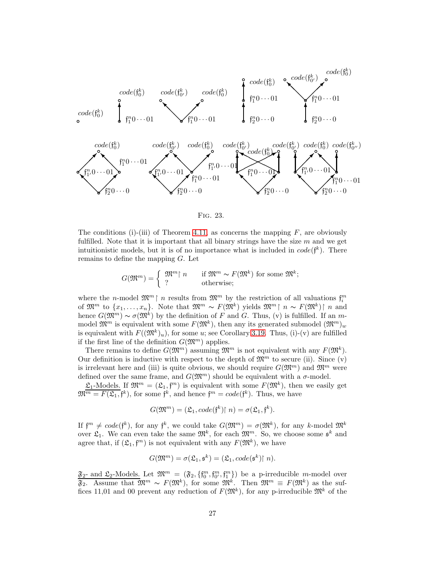

<span id="page-26-0"></span>Fig. 23.

The conditions (i)-(iii) of Theorem [4.11,](#page-21-1) as concerns the mapping  $F$ , are obviously fulfilled. Note that it is important that all binary strings have the size  $m$  and we get intuitionistic models, but it is of no importance what is included in  $code(f^k)$ . There remains to define the mapping G. Let

$$
G(\mathfrak{M}^m) = \left\{ \begin{array}{ll} \mathfrak{M}^m \upharpoonright n & \text{if } \mathfrak{M}^m \sim F(\mathfrak{M}^k) \text{ for some } \mathfrak{M}^k; \\ ? & \text{otherwise}; \end{array} \right.
$$

where the *n*-model  $\mathfrak{M}^m \upharpoonright n$  results from  $\mathfrak{M}^m$  by the restriction of all valuations  $\mathfrak{f}_i^m$ of  $\mathfrak{M}^m$  to  $\{x_1,\ldots,x_n\}$ . Note that  $\mathfrak{M}^m \sim F(\mathfrak{M}^k)$  yields  $\mathfrak{M}^m \upharpoonright n \sim F(\mathfrak{M}^k) \upharpoonright n$  and hence  $G(\mathfrak{M}^m) \sim \sigma(\mathfrak{M}^k)$  by the definition of F and G. Thus, (v) is fulfilled. If an mmodel  $\mathfrak{M}^m$  is equivalent with some  $F(\mathfrak{M}^k)$ , then any its generated submodel  $(\mathfrak{M}^m)_w$ is equivalent with  $F((\mathfrak{M}^k)_u)$ , for some u; see Corollary [3.19.](#page-15-3) Thus, (i)-(v) are fulfilled if the first line of the definition  $G(\mathfrak{M}^m)$  applies.

There remains to define  $G(\mathfrak{M}^m)$  assuming  $\mathfrak{M}^m$  is not equivalent with any  $F(\mathfrak{M}^k)$ . Our definition is inductive with respect to the depth of  $\mathfrak{M}^m$  to secure (ii). Since (v) is irrelevant here and (iii) is quite obvious, we should require  $G(\mathfrak{M}^m)$  and  $\mathfrak{M}^m$  were defined over the same frame, and  $G(\mathfrak{M}^m)$  should be equivalent with a  $\sigma$ -model.

 $\mathfrak{L}_1$ -Models. If  $\mathfrak{M}^m = (\mathfrak{L}_1, \mathfrak{f}^m)$  is equivalent with some  $F(\mathfrak{M}^k)$ , then we easily get  $\mathfrak{M}^{\overline{m}} = F(\mathfrak{L}_1, \mathfrak{f}^k)$ , for some  $\mathfrak{f}^k$ , and hence  $\mathfrak{f}^m = code(\mathfrak{f}^k)$ . Thus, we have

$$
G(\mathfrak{M}^m) = (\mathfrak{L}_1, code(\mathfrak{f}^k) \restriction n) = \sigma(\mathfrak{L}_1, \mathfrak{f}^k).
$$

If  $f^m \neq code(f^k)$ , for any  $f^k$ , we could take  $G(\mathfrak{M}^m) = \sigma(\mathfrak{M}^k)$ , for any k-model  $\mathfrak{M}^k$ over  $\mathfrak{L}_1$ . We can even take the same  $\mathfrak{M}^k$ , for each  $\mathfrak{M}^m$ . So, we choose some  $\mathfrak{s}^k$  and agree that, if  $(\mathfrak{L}_1, \mathfrak{f}^m)$  is not equivalent with any  $F(\mathfrak{M}^k)$ , we have

$$
G(\mathfrak{M}^m) = \sigma(\mathfrak{L}_1, \mathfrak{s}^k) = (\mathfrak{L}_1, code(\mathfrak{s}^k) \restriction n).
$$

 $\mathfrak{F}_2$ - and  $\mathfrak{L}_2$ -Models. Let  $\mathfrak{M}^m = (\mathfrak{F}_2, \{f_0^m, f_{0'}^m, f_1^m\})$  be a p-irreducible m-model over  $\mathfrak{F}_2$ . Assume that  $\mathfrak{M}^m \sim F(\mathfrak{M}^k)$ , for some  $\mathfrak{M}^k$ . Then  $\mathfrak{M}^m \equiv F(\mathfrak{M}^k)$  as the suffices 11,01 and 00 prevent any reduction of  $F(\mathfrak{M}^k)$ , for any p-irreducible  $\mathfrak{M}^k$  of the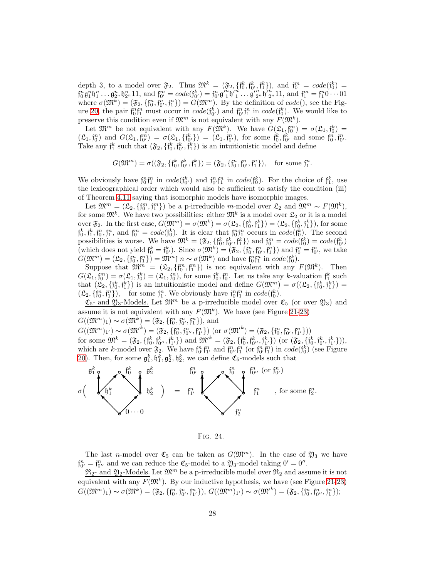depth 3, to a model over  $\mathfrak{F}_2$ . Thus  $\mathfrak{M}^k = (\mathfrak{F}_2, \{ \mathfrak{f}_0^k, \mathfrak{f}_0^k, \mathfrak{f}_1^k \})$ , and  $\mathfrak{f}_0^m = code(\mathfrak{f}_0^k)$  $\mathfrak{f}_{0}^{n} \mathfrak{g}_{1}^{n} \mathfrak{h}_{1}^{n} \dots \mathfrak{g}_{2^{n}}^{n} \mathfrak{f}_{2^{n}}^{n} 11$ , and  $\mathfrak{f}_{0'}^{m} = code(\mathfrak{f}_{0'}^{k}) = \mathfrak{f}_{0'}^{n} \mathfrak{g}_{1}^{n} \mathfrak{h'}_{1}^{n} \dots \mathfrak{g'}_{2^{n}}^{n} \mathfrak{h'}_{2^{n}}^{n} 11$ , and  $\mathfrak{f}_{1}^{m} = \mathfrak{f}_{1}^{n} 0 \dots 01$ where  $\sigma(\mathfrak{M}^k) = (\mathfrak{F}_2, \{f_0^n, f_0^n, f_1^n\}) = G(\mathfrak{M}^m)$ . By the definition of  $code(),$  see the Fig-ure [20,](#page-24-2) the pair  $f_0^n f_1^n$  must occur in  $code(f_{0'}^k)$  and  $f_{0'}^n f_1^n$  in  $code(f_0^k)$ . We would like to preserve this condition even if  $\mathfrak{M}^m$  is not equivalent with any  $F(\mathfrak{M}^k)$ .

Let  $\mathfrak{M}^m$  be not equivalent with any  $F(\mathfrak{M}^k)$ . We have  $G(\mathfrak{L}_1, \mathfrak{f}_0^m) = \sigma(\mathfrak{L}_1, \mathfrak{f}_0^k)$  $(\mathfrak{L}_1, \mathfrak{f}_0^n)$  and  $G(\mathfrak{L}_1, \mathfrak{f}_{0'}^m) = \sigma(\mathfrak{L}_1, \{\mathfrak{f}_{0'}^k\}) = (\mathfrak{L}_1, \mathfrak{f}_{0'}^n)$ , for some  $\mathfrak{f}_0^k, \mathfrak{f}_{0'}^k$  and some  $\mathfrak{f}_0^n, \mathfrak{f}_{0'}^n$ . Take any  $f_1^k$  such that  $(\mathfrak{F}_2, \{f_0^k, f_0^k, f_1^k\})$  is an intuitionistic model and define

$$
G(\mathfrak{M}^m) = \sigma((\mathfrak{F}_2, \{ \mathfrak{f}_0^k, \mathfrak{f}_0^k, \mathfrak{f}_1^k \}) = (\mathfrak{F}_2, \{ \mathfrak{f}_0^n, \mathfrak{f}_0^n, \mathfrak{f}_1^n \}), \text{ for some } \mathfrak{f}_1^n.
$$

We obviously have  $f_0^n f_1^n$  in  $code(f_{0'}^k)$  and  $f_{0'}^n f_1^n$  in  $code(f_0^k)$ . For the choice of  $f_1^k$ , use the lexicographical order which would also be sufficient to satisfy the condition (iii) of Theorem [4.11](#page-21-1) saying that isomorphic models have isomorphic images.

Let  $\mathfrak{M}^m = (\mathfrak{L}_2, \{f_0^m, f_1^m\})$  be a p-irreducible m-model over  $\mathfrak{L}_2$  and  $\mathfrak{M}^m \sim F(\mathfrak{M}^k)$ , for some  $\mathfrak{M}^k$ . We have two possibilities: either  $\mathfrak{M}^k$  is a model over  $\mathfrak{L}_2$  or it is a model over  $\mathfrak{F}_2$ . In the first case,  $G(\mathfrak{M}^m) = \sigma(\mathfrak{M}^k) = \sigma(\mathfrak{L}_2, \{f_0^k, f_1^k\}) = (\mathfrak{L}_2, \{f_0^k, f_1^k\})$ , for some  $f_0^k, f_1^k, f_0^n, f_1^n$ , and  $f_0^m = code(f_0^k)$ . It is clear that  $f_0^n f_1^n$  occurs in  $code(f_0^k)$ . The second possibilities is worse. We have  $\mathfrak{M}^k = (\mathfrak{F}_2, \{f_0^k, f_0^k, f_1^k\})$  and  $f_0^m = code(f_0^k) = code(f_0^k)$ (which does not yield  $\mathfrak{f}_0^k = \mathfrak{f}_0^k$ ). Since  $\sigma(\mathfrak{M}^k) = (\mathfrak{F}_2, \{\mathfrak{f}_0^n, \mathfrak{f}_0^n, \mathfrak{f}_1^n\})$  and  $\mathfrak{f}_0^n = \mathfrak{f}_0^n$ , we take  $G(\mathfrak{M}^m) = (\mathfrak{L}_2, \{f_0^n, f_1^n\}) = \mathfrak{M}^m$  |  $n \sim \sigma(\mathfrak{M}^k)$  and have  $f_0^n f_1^n$  in  $code(f_0^k)$ .

Suppose that  $\mathfrak{M}^m = (\mathfrak{L}_2, \{f_0^m, f_1^m\})$  is not equivalent with any  $F(\mathfrak{M}^k)$ . Then  $G(\mathfrak{L}_1, \mathfrak{f}_0^m) = \sigma(\mathfrak{L}_1, \mathfrak{f}_0^k) = (\mathfrak{L}_1, \mathfrak{f}_0^n)$ , for some  $\mathfrak{f}_0^k, \mathfrak{f}_0^n$ . Let us take any k-valuation  $\mathfrak{f}_1^k$  such that  $(\mathfrak{L}_2, \{f_0^k, f_1^k\})$  is an intuitionistic model and define  $G(\mathfrak{M}^m) = \sigma((\mathfrak{L}_2, \{f_0^k, f_1^k\}) =$  $(\mathfrak{L}_2, \{f_0^n, f_1^n\}),$  for some  $f_1^n$ . We obviously have  $f_0^n f_1^n$  in  $code(f_0^k)$ .

 $\mathfrak{C}_5$ - and  $\mathfrak{Y}_3$ -Models. Let  $\mathfrak{M}^m$  be a p-irreducible model over  $\mathfrak{C}_5$  (or over  $\mathfrak{Y}_3$ ) and assume it is not equivalent with any  $F(\mathfrak{M}^k)$ . We have (see Figure [21](#page-25-0)[-23\)](#page-26-0)  $G((\mathfrak{M}^m)_1) \sim \sigma(\mathfrak{M}^k) = (\mathfrak{F}_2, \{f_0^n, f_0^n, f_1^n\}),$  and

 $G((\mathfrak{M}^m)_{1'}) \sim \sigma(\mathfrak{M}^k) = (\mathfrak{F}_2, \{ \mathfrak{h}_0^n, \mathfrak{h}_{0'}^n, \mathfrak{f}_{1'}^n \})$  (or  $\sigma(\mathfrak{M}^k) = (\mathfrak{F}_2, \{ \mathfrak{f}_0^n, \mathfrak{f}_{0'}^n, \mathfrak{f}_{1'}^n \})$ ) for some  $\mathfrak{M}^k = (\mathfrak{F}_2, \{f_0^k, f_{0'}^k, f_{1'}^k\})$  and  $\mathfrak{M'}^k = (\mathfrak{F}_2, \{f_0^k, f_{0'}^k, f_{1'}^k\})$  (or  $(\mathfrak{F}_2, \{f_0^k, f_0^k, f_{0'}^k, f_{1'}^k\})$ ), which are k-model over  $\mathfrak{F}_2$ . We have  $\mathfrak{f}^n_0, \mathfrak{f}^n_1$  and  $\mathfrak{f}^n_0, \mathfrak{f}^n_1$  (or  $\mathfrak{f}^n_0, \mathfrak{f}^n_1$ ) in  $code(\mathfrak{f}^k_0)$  (see Figure [20\)](#page-24-2). Then, for some  $\mathfrak{g}_1^k, \mathfrak{h}_1^k, \mathfrak{g}_2^k, \mathfrak{h}_2^k$ , we can define  $\mathfrak{C}_5$ -models such that



Fig. 24.

The last n-model over  $\mathfrak{C}_5$  can be taken as  $G(\mathfrak{M}^m)$ . In the case of  $\mathfrak{Y}_3$  we have  $\mathfrak{f}_{0'}^n = \mathfrak{f}_{0''}^n$  and we can reduce the  $\mathfrak{C}_5$ -model to a  $\mathfrak{Y}_3$ -model taking  $0' = 0''$ .

 $\mathfrak{R}_2$ - and  $\mathfrak{Y}_2$ -Models. Let  $\mathfrak{M}^m$  be a p-irreducible model over  $\mathfrak{R}_2$  and assume it is not equivalent with any  $F(\mathfrak{M}^k)$ . By our inductive hypothesis, we have (see Figure [21-](#page-25-0)[23\)](#page-26-0)  $G((\mathfrak{M}^m)_1) \sim \sigma(\mathfrak{M}^k) = (\mathfrak{F}_2, \{f_0^n, f_{1'}^n\}), G((\mathfrak{M}^m)_{1'}) \sim \sigma(\mathfrak{M'}^k) = (\mathfrak{F}_2, \{f_0^n, f_{0'}^n, f_1^n\});$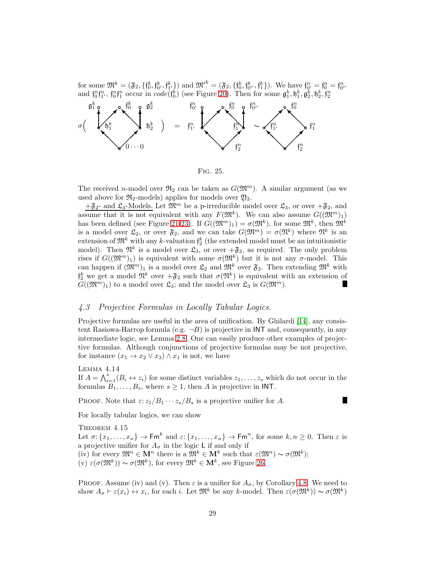for some  $\mathfrak{M}^k = (\mathfrak{F}_2, \{f_0^k, f_{0'}^k, f_{1'}^k\})$  and  $\mathfrak{M'}^k = (\mathfrak{F}_2, \{f_0^k, f_{0'}^k, f_{1'}^k\})$ . We have  $f_{0'}^n = f_0^n = f_{0'}^n$ and  $f_0^n f_1^n$ ,  $f_0^n f_1^n$  occur in  $code(f_0^k)$  (see Figure [20\)](#page-24-2). Then for some  $\mathfrak{g}_1^k, \mathfrak{h}_1^k, \mathfrak{g}_2^k, \mathfrak{h}_2^k, \mathfrak{f}_2^n$ 



Fig. 25.

The received n-model over  $\mathfrak{R}_2$  can be taken as  $G(\mathfrak{M}^m)$ . A similar argument (as we used above for  $\mathfrak{R}_2$ -models) applies for models over  $\mathfrak{Y}_2$ .

 $+\mathfrak{F}_2$ - and  $\mathfrak{L}_3$ -Models. Let  $\mathfrak{M}^m$  be a p-irreducible model over  $\mathfrak{L}_3$ , or over  $+\mathfrak{F}_2$ , and assume that it is not equivalent with any  $F(\mathfrak{M}^k)$ . We can also assume  $G((\mathfrak{M}^m)_1)$ has been defined (see Figure [21-](#page-25-0)[23\)](#page-26-0). If  $G((\mathfrak{M}^m)_1) = \sigma(\mathfrak{M}^k)$ , for some  $\mathfrak{M}^k$ , then  $\mathfrak{M}^k$ is a model over  $\mathfrak{L}_2$ , or over  $\mathfrak{F}_2$ , and we can take  $G(\mathfrak{M}^m) = \sigma(\mathfrak{N}^k)$  where  $\mathfrak{N}^k$  is an extension of  $\mathfrak{M}^k$  with any k-valuation  $\mathfrak{f}_2^k$  (the extended model must be an intuitionistic model). Then  $\mathfrak{N}^k$  is a model over  $\mathfrak{L}_3$ , or over  $+\mathfrak{F}_2$ , as required. The only problem rises if  $G((\mathfrak{M}^m)_1)$  is equivalent with some  $\sigma(\mathfrak{M}^k)$  but it is not any  $\sigma$ -model. This can happen if  $(\mathfrak{M}^m)_1$  is a model over  $\mathfrak{L}_2$  and  $\mathfrak{M}^k$  over  $\mathfrak{F}_2$ . Then extending  $\mathfrak{M}^k$  with  $\mathfrak{f}_2^k$  we get a model  $\mathfrak{N}^k$  over  $+\mathfrak{F}_2$  such that  $\sigma(\mathfrak{N}^k)$  is equivalent with an extension of  $G((\mathfrak{M}^m)_1)$  to a model over  $\mathfrak{L}_3$ ; and the model over  $\mathfrak{L}_3$  is  $G(\mathfrak{M}^m)$ . П

#### 4.3 Projective Formulas in Locally Tabular Logics.

Projective formulas are useful in the area of unification. By Ghilardi [\[14\]](#page-56-3), any consistent Rasiowa-Harrop formula (e.g.  $\neg B$ ) is projective in INT and, consequently, in any intermediate logic, see Lemma [2.8.](#page-9-1) One can easily produce other examples of projective formulas. Although conjunctions of projective formulas may be not projective, for instance  $(x_1 \rightarrow x_2 \vee x_3) \wedge x_1$  is not, we have

<span id="page-28-1"></span>Lemma 4.14 If  $A = \bigwedge_{i=1}^{s} (B_i \leftrightarrow z_i)$  for some distinct variables  $z_1, \ldots, z_s$  which do not occur in the formulas  $B_1, \ldots, B_s$ , where  $s \geq 1$ , then A is projective in INT.

PROOF. Note that  $\varepsilon: z_1/B_1 \cdots z_s/B_s$  is a projective unifier for A.

<span id="page-28-0"></span>For locally tabular logics, we can show

THEOREM 4.15 Let  $\sigma: \{x_1, \ldots, x_n\} \to \mathsf{Fm}^k$  and  $\varepsilon: \{x_1, \ldots, x_n\} \to \mathsf{Fm}^n$ , for some  $k, n \geq 0$ . Then  $\varepsilon$  is a projective unifier for  $A_{\sigma}$  in the logic L if and only if (iv) for every  $\mathfrak{M}^n \in \mathbf{M}^n$  there is a  $\mathfrak{M}^k \in \mathbf{M}^k$  such that  $\varepsilon(\mathfrak{M}^n) \sim \sigma(\mathfrak{M}^k)$ ;  $(v) \varepsilon(\sigma(\mathfrak{M}^k)) \sim \sigma(\mathfrak{M}^k)$ , for every  $\mathfrak{M}^k \in \mathbf{M}^k$ , see Figure [26.](#page-29-1)

PROOF. Assume (iv) and (v). Then  $\varepsilon$  is a unifier for  $A_{\sigma}$ , by Corollary [4.8.](#page-20-4) We need to show  $A_{\sigma} \vdash \varepsilon(x_i) \leftrightarrow x_i$ , for each i. Let  $\mathfrak{M}^k$  be any k-model. Then  $\varepsilon(\sigma(\mathfrak{M}^k)) \sim \sigma(\mathfrak{M}^k)$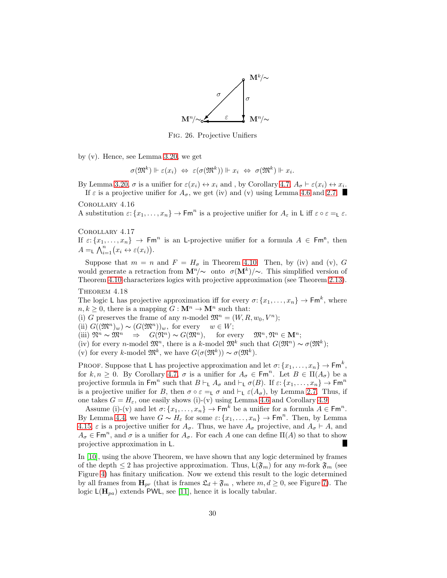

<span id="page-29-1"></span><span id="page-29-0"></span>Fig. 26. Projective Unifiers

by (v). Hence, see Lemma [3.20,](#page-16-3) we get

$$
\sigma(\mathfrak{M}^k) \Vdash \varepsilon(x_i) \Leftrightarrow \varepsilon(\sigma(\mathfrak{M}^k)) \Vdash x_i \Leftrightarrow \sigma(\mathfrak{M}^k) \Vdash x_i.
$$

By Lemma [3.20,](#page-16-3)  $\sigma$  is a unifier for  $\varepsilon(x_i) \leftrightarrow x_i$  and, by Corollary [4.7,](#page-20-2)  $A_{\sigma} \vdash \varepsilon(x_i) \leftrightarrow x_i$ . If  $\varepsilon$  is a projective unifier for  $A_{\sigma}$ , we get (iv) and (v) using Lemma [4.6](#page-20-1) and [2.7.](#page-9-2)

Corollary 4.16

A substitution  $\varepsilon$ :  $\{x_1, \ldots, x_n\}$   $\to$  Fm<sup>n</sup> is a projective unifier for  $A_\varepsilon$  in L iff  $\varepsilon \circ \varepsilon =_L \varepsilon$ .

Corollary 4.17

If  $\varepsilon$ :  $\{x_1, \ldots, x_n\}$   $\to$  Fm<sup>n</sup> is an L-projective unifier for a formula  $A \in \mathsf{Fm}^n$ , then  $A = \Lambda_{i=1}^n (x_i \leftrightarrow \varepsilon(x_i)).$ 

Suppose that  $m = n$  and  $F = H_{\sigma}$  in Theorem [4.10.](#page-20-0) Then, by (iv) and (v), G would generate a retraction from  $\mathbf{M}^n/\sim$  onto  $\sigma(\mathbf{M}^k)/\sim$ . This simplified version of Theorem [4.10](#page-20-0) characterizes logics with projective approximation (see Theorem [2.13\)](#page-10-2).

THEOREM 4.18

The logic L has projective approximation iff for every  $\sigma: \{x_1, \ldots, x_n\} \to \mathsf{Fm}^k$ , where  $n, k \geq 0$ , there is a mapping  $G : \mathbf{M}^n \to \mathbf{M}^n$  such that:

(i) G preserves the frame of any n-model  $\mathfrak{M}^n = (W, R, w_0, V^n);$ 

(ii)  $G((\mathfrak{M}^n)_w) \sim (G(\mathfrak{M}^n))_w$ , for every  $w \in W$ ;

(iii)  $\mathfrak{N}^n \sim \mathfrak{M}^n \Rightarrow G(\mathfrak{N}^n) \sim G(\mathfrak{M}^n)$ , for every  $\mathfrak{M}^n, \mathfrak{N}^n \in \mathbf{M}^n$ ;

(iv) for every n-model  $\mathfrak{M}^n$ , there is a k-model  $\mathfrak{M}^k$  such that  $G(\mathfrak{M}^n) \sim \sigma(\mathfrak{M}^k)$ ;

(v) for every k-model  $\mathfrak{M}^k$ , we have  $G(\sigma(\mathfrak{M}^k)) \sim \sigma(\mathfrak{M}^k)$ .

PROOF. Suppose that L has projective approximation and let  $\sigma: \{x_1, \ldots, x_n\} \to \mathsf{Fm}^k$ , for  $k, n \geq 0$ . By Corollary [4.7,](#page-20-2)  $\sigma$  is a unifier for  $A_{\sigma} \in \mathsf{Fm}^n$ . Let  $B \in \Pi(A_{\sigma})$  be a projective formula in  $\mathsf{Fm}^n$  such that  $B \vdash_L A_\sigma$  and  $\vdash_L \sigma(B)$ . If  $\varepsilon: \{x_1, \ldots, x_n\} \to \mathsf{Fm}^n$ is a projective unifier for B, then  $\sigma \circ \varepsilon = L \sigma$  and  $\vdash_L \varepsilon(A_{\sigma})$ , by Lemma [2.7.](#page-9-2) Thus, if one takes  $G = H_{\varepsilon}$ , one easily shows (i)-(v) using Lemma [4.6](#page-20-1) and Corollary [4.9.](#page-20-3)

Assume (i)-(v) and let  $\sigma: \{x_1, \ldots, x_n\} \to \mathsf{Fm}^k$  be a unifier for a formula  $A \in \mathsf{Fm}^n$ . By Lemma [4.4,](#page-18-2) we have  $G \sim H_{\varepsilon}$  for some  $\varepsilon: \{x_1, \ldots, x_n\} \to \mathsf{Fm}^n$ . Then, by Lemma [4.15,](#page-28-0)  $\varepsilon$  is a projective unifier for  $A_{\sigma}$ . Thus, we have  $A_{\sigma}$  projective, and  $A_{\sigma} \vdash A$ , and  $A_{\sigma} \in \text{Fm}^n$ , and  $\sigma$  is a unifier for  $A_{\sigma}$ . For each A one can define  $\Pi(A)$  so that to show projective approximation in L.

<span id="page-29-2"></span>In [\[10\]](#page-56-0), using the above Theorem, we have shown that any logic determined by frames of the depth  $\leq 2$  has projective approximation. Thus,  $\mathsf{L}(\mathfrak{F}_m)$  for any m-fork  $\mathfrak{F}_m$  (see Figure [4\)](#page-2-1) has finitary unification. Now we extend this result to the logic determined by all frames from  $\mathbf{H}_{pr}$  (that is frames  $\mathfrak{L}_d + \mathfrak{F}_m$ , where  $m, d \geq 0$ , see Figure [7\)](#page-4-0). The logic  $L(\mathbf{H}_{pa})$  extends PWL, see [\[11\]](#page-56-15), hence it is locally tabular.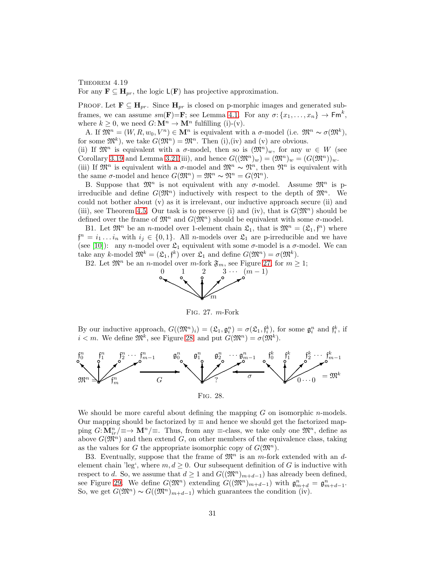#### THEOREM  $4.19$

For any  $\mathbf{F} \subseteq \mathbf{H}_{pr}$ , the logic  $\mathsf{L}(\mathbf{F})$  has projective approximation.

PROOF. Let  $\mathbf{F} \subseteq \mathbf{H}_{pr}$ . Since  $\mathbf{H}_{pr}$  is closed on p-morphic images and generated subframes, we can assume  $sm(\mathbf{F})=\mathbf{F}$ ; see Lemma [4.1.](#page-17-2) For any  $\sigma: \{x_1, \ldots, x_n\} \to \mathsf{Fm}^k$ , where  $k \geq 0$ , we need  $G: \mathbf{M}^n \to \mathbf{M}^n$  fulfilling (i)-(v).

A. If  $\mathfrak{M}^n = (W, R, w_0, V^n) \in \mathbf{M}^n$  is equivalent with a  $\sigma$ -model (i.e.  $\mathfrak{M}^n \sim \sigma(\mathfrak{M}^k)$ , for some  $\mathfrak{M}^k$ , we take  $G(\mathfrak{M}^n) = \mathfrak{M}^n$ . Then (i), (iv) and (v) are obvious.

(ii) If  $\mathfrak{M}^n$  is equivalent with a  $\sigma$ -model, then so is  $(\mathfrak{M}^n)_w$ , for any  $w \in W$  (see Corollary [3.19](#page-15-3) and Lemma [3.21\(](#page-16-2)iii), and hence  $G((\mathfrak{M}^n)_w) = (\mathfrak{M}^n)_w = (G(\mathfrak{M}^n))_w$ .

(iii) If  $\mathfrak{M}^n$  is equivalent with a  $\sigma$ -model and  $\mathfrak{M}^n \sim \mathfrak{N}^n$ , then  $\mathfrak{N}^n$  is equivalent with the same  $\sigma$ -model and hence  $G(\mathfrak{M}^n) = \mathfrak{M}^n \sim \mathfrak{N}^n = G(\mathfrak{N}^n)$ .

B. Suppose that  $\mathfrak{M}^n$  is not equivalent with any  $\sigma$ -model. Assume  $\mathfrak{M}^n$  is pirreducible and define  $G(\mathfrak{M}^n)$  inductively with respect to the depth of  $\mathfrak{M}^n$ . We could not bother about (v) as it is irrelevant, our inductive approach secure (ii) and (iii), see Theorem [4.5.](#page-19-0) Our task is to preserve (i) and (iv), that is  $G(\mathfrak{M}^n)$  should be defined over the frame of  $\mathfrak{M}^n$  and  $G(\mathfrak{M}^n)$  should be equivalent with some  $\sigma$ -model.

B1. Let  $\mathfrak{M}^n$  be an *n*-model over 1-element chain  $\mathfrak{L}_1$ , that is  $\mathfrak{M}^n = (\mathfrak{L}_1, \mathfrak{f}^n)$  where  $\mathfrak{f}^n = i_1 \dots i_n$  with  $i_j \in \{0,1\}$ . All *n*-models over  $\mathfrak{L}_1$  are p-irreducible and we have (see [\[10\]](#page-56-0)): any n-model over  $\mathfrak{L}_1$  equivalent with some  $\sigma$ -model is a  $\sigma$ -model. We can take any k-model  $\mathfrak{M}^k = (\mathfrak{L}_1, \mathfrak{f}^k)$  over  $\mathfrak{L}_1$  and define  $G(\mathfrak{M}^n) = \sigma(\mathfrak{M}^k)$ .

B2. Let  $\mathfrak{M}^n$  be an *n*-model over *m*-fork  $\mathfrak{F}_m$ , see Figure [27,](#page-30-0) for  $m \geq 1$ ;



<span id="page-30-1"></span><span id="page-30-0"></span>Fig. 27. m-Fork

By our inductive approach,  $G((\mathfrak{M}^n)_i) = (\mathfrak{L}_1, \mathfrak{g}^n_i) = \sigma(\mathfrak{L}_1, \mathfrak{f}^k_i)$ , for some  $\mathfrak{g}^n_i$  and  $\mathfrak{f}^k_i$ , if  $i < m$ . We define  $\mathfrak{M}^k$ , see Figure [28,](#page-30-1) and put  $G(\mathfrak{M}^n) = \sigma(\mathfrak{M}^k)$ .



We should be more careful about defining the mapping  $G$  on isomorphic *n*-models. Our mapping should be factorized by  $\equiv$  and hence we should get the factorized mapping  $G: \mathbf{M}_{ir}^n/\equiv \to \mathbf{M}^n/\equiv$ . Thus, from any  $\equiv$ -class, we take only one  $\mathfrak{M}^n$ , define as above  $G(\mathfrak{M}^n)$  and then extend G, on other members of the equivalence class, taking as the values for G the appropriate isomorphic copy of  $G(\mathfrak{M}^n)$ .

B3. Eventually, suppose that the frame of  $\mathfrak{M}^n$  is an m-fork extended with an delement chain 'leg', where  $m, d \geq 0$ . Our subsequent definition of G is inductive with respect to d. So, we assume that  $d \geq 1$  and  $G((\mathfrak{M}^n)_{m+d-1})$  has already been defined, see Figure [29.](#page-31-0) We define  $G(\mathfrak{M}^n)$  extending  $G((\mathfrak{M}^n)_{m+d-1})$  with  $\mathfrak{g}_{m+d}^n = \mathfrak{g}_{m+d-1}^n$ . So, we get  $G(\mathfrak{M}^n) \sim G((\mathfrak{M}^n)_{m+d-1})$  which guarantees the condition (iv).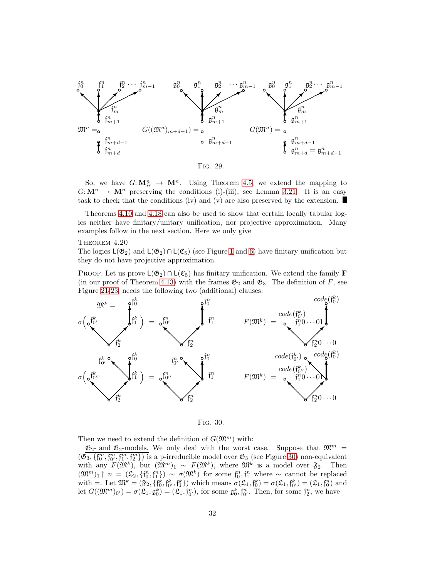

<span id="page-31-0"></span>So, we have  $G: \mathbf{M}_{ir}^n \to \mathbf{M}^n$ . Using Theorem [4.5,](#page-19-0) we extend the mapping to  $G:\mathbf{M}^n \to \mathbf{M}^n$  preserving the conditions (i)-(iii), see Lemma [3.21.](#page-16-2) It is an easy task to check that the conditions (iv) and (v) are also preserved by the extension.

Theorems [4.10](#page-20-0) and [4.18](#page-29-0) can also be used to show that certain locally tabular logics neither have finitary/unitary unification, nor projective approximation. Many examples follow in the next section. Here we only give

#### <span id="page-31-2"></span>THEOREM  $4.20$

The logics  $L(\mathfrak{G}_2)$  and  $L(\mathfrak{G}_2) \cap L(\mathfrak{C}_5)$  (see Figure [1](#page-1-3) and [6\)](#page-3-1) have finitary unification but they do not have projective approximation.

PROOF. Let us prove  $L(\mathfrak{G}_2) \cap L(\mathfrak{C}_5)$  has finitary unification. We extend the family **F** (in our proof of Theorem [4.13\)](#page-24-3) with the frames  $\mathfrak{G}_2$  and  $\mathfrak{G}_3$ . The definition of F, see Figure [21-](#page-25-0)[23,](#page-26-0) needs the following two (additional) clauses:



<span id="page-31-1"></span>Fig. 30.

Then we need to extend the definition of  $G(\mathfrak{M}^m)$  with:

 $\mathfrak{G}_2$ - and  $\mathfrak{G}_2$ -models. We only deal with the worst case. Suppose that  $\mathfrak{M}^m$  =  $(\mathfrak{G}_3, \{f_0^m, f_0^m, f_1^m, f_2^m\})$  is a p-irreducible model over  $\mathfrak{G}_3$  (see Figure [30\)](#page-31-1) non-equivalent with any  $F(\mathfrak{M}^k)$ , but  $(\mathfrak{M}^m)_1 \sim F(\mathfrak{M}^k)$ , where  $\mathfrak{M}^k$  is a model over  $\mathfrak{F}_2$ . Then  $(\mathfrak{M}^m)_1 \upharpoonright n = (\mathfrak{L}_2, \{f_0^n, f_1^n\}) \sim \sigma(\mathfrak{M}^k)$  for some  $f_0^n, f_1^n$  where  $\sim$  cannot be replaced with  $=$ . Let  $\mathfrak{M}^k = (\mathfrak{F}_2, \{f_0^k, f_0^k, f_1^k\})$  which means  $\sigma(\mathfrak{L}_1, f_0^k) = \sigma(\mathfrak{L}_1, f_0^k) = (\mathfrak{L}_1, f_0^n)$  and let  $G((\mathfrak{M}^m)_{0'}) = \sigma(\mathfrak{L}_1, \mathfrak{g}_0^k) = (\mathfrak{L}_1, \mathfrak{f}_{0'}^n)$ , for some  $\mathfrak{g}_0^k, \mathfrak{f}_{0'}^n$ . Then, for some  $\mathfrak{f}_2^n$ , we have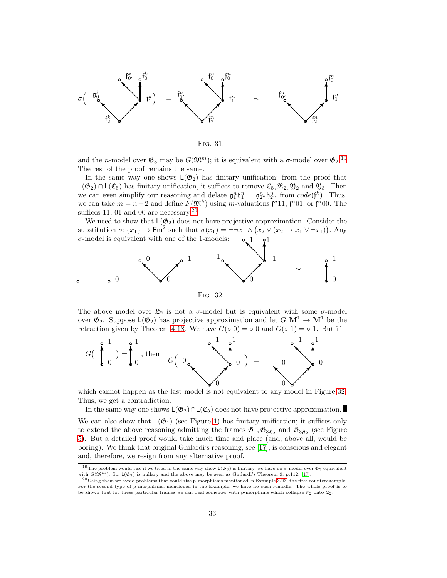

Fig. 31.

and the *n*-model over  $\mathfrak{G}_3$  may be  $G(\mathfrak{M}^m)$ ; it is equivalent with a  $\sigma$ -model over  $\mathfrak{G}_2$ .<sup>[19](#page-32-0)</sup> The rest of the proof remains the same.

In the same way one shows  $L(\mathfrak{G}_2)$  has finitary unification; from the proof that  $L(\mathfrak{G}_2) \cap L(\mathfrak{C}_5)$  has finitary unification, it suffices to remove  $\mathfrak{C}_5$ ,  $\mathfrak{R}_2$ ,  $\mathfrak{Y}_2$  and  $\mathfrak{Y}_3$ . Then we can even simplify our reasoning and delate  $\mathfrak{g}_1^n \mathfrak{h}_1^n \dots \mathfrak{g}_{2^n}^n \mathfrak{h}_{2^n}^n$  from  $code(\mathfrak{f}^k)$ . Thus, we can take  $m = n + 2$  and define  $F(\mathfrak{M}^k)$  using m-valuations  $\mathfrak{f}^n$ 11,  $\mathfrak{f}^n$ 01, or  $\mathfrak{f}^n$ 00. The suffices 11, 01 and 00 are necessary. $20$ 

We need to show that  $L(\mathfrak{G}_2)$  does not have projective approximation. Consider the substitution  $\sigma: \{x_1\} \to \mathsf{Fm}^2$  such that  $\sigma(x_1) = \neg \neg x_1 \land (x_2 \lor (x_2 \to x_1 \lor \neg x_1))$ . Any  $\sigma$ -model is equivalent with one of the 1-models:  $\mathcal{O}$   $\mathcal{O}$ 1 1



<span id="page-32-2"></span>Fig. 32.

The above model over  $\mathfrak{L}_2$  is not a  $\sigma$ -model but is equivalent with some  $\sigma$ -model over  $\mathfrak{G}_2$ . Suppose  $\mathsf{L}(\mathfrak{G}_2)$  has projective approximation and let  $G:\mathbf{M}^1 \to \mathbf{M}^1$  be the retraction given by Theorem [4.18.](#page-29-0) We have  $G(○ 0) = ◦ 0$  and  $G(○ 1) = ◦ 1$ . But if



which cannot happen as the last model is not equivalent to any model in Figure [32.](#page-32-2) Thus, we get a contradiction.

In the same way one shows  $L(\mathfrak{G}_2) \cap L(\mathfrak{C}_5)$  does not have projective approximation.

We can also show that  $L(\mathfrak{G}_1)$  (see Figure [1\)](#page-1-3) has finitary unification; it suffices only to extend the above reasoning admitting the frames  $\mathfrak{G}_1, \mathfrak{G}_{3\mathfrak{L}_2}$  and  $\mathfrak{G}_{3\mathfrak{F}_2}$  (see Figure [5\)](#page-3-2). But a detailed proof would take much time and place (and, above all, would be boring). We think that original Ghilardi's reasoning, see [\[17\]](#page-56-7), is conscious and elegant and, therefore, we resign from any alternative proof.

<span id="page-32-0"></span><sup>&</sup>lt;sup>19</sup>The problem would rise if we tried in the same way show  $L(\mathfrak{G}_3)$  is finitary, we have no  $\sigma$ -model over  $\mathfrak{G}_3$  equivalent with  $G(\mathfrak{M}^m)$ . So,  $L(\mathfrak{G}_3)$  is nullary and the above may be seen as Ghilardi'

<span id="page-32-1"></span> $^{20}$ Using them we avoid problems that could rise p-morphisms mentioned in Example [3.23,](#page-16-4) the first counterexample. For the second type of p-morphisms, mentioned in the Example, we have no such remedia. The whole proof is to be shown that for these particular frames we can deal somehow with p-morphims which collapse  $\mathfrak{F}_2$  onto  $\mathfrak{L}_2$ .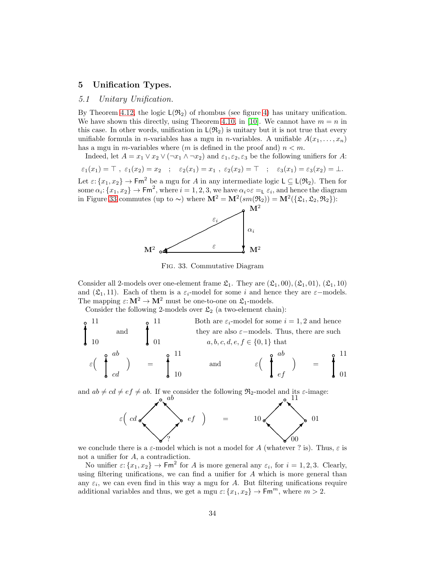## 5 Unification Types.

## 5.1 Unitary Unification.

By Theorem [4.12,](#page-22-2) the logic  $L(\mathfrak{R}_2)$  of rhombus (see figure [4\)](#page-2-1) has unitary unification. We have shown this directly, using Theorem [4.10,](#page-20-0) in [\[10\]](#page-56-0). We cannot have  $m = n$  in this case. In other words, unification in  $L(\mathfrak{R}_2)$  is unitary but it is not true that every unifiable formula in *n*-variables has a mgu in *n*-variables. A unifiable  $A(x_1, \ldots, x_n)$ has a mgu in m-variables where  $(m \text{ is defined in the proof and}) n < m$ .

Indeed, let  $A = x_1 \vee x_2 \vee (\neg x_1 \wedge \neg x_2)$  and  $\varepsilon_1, \varepsilon_2, \varepsilon_3$  be the following unifiers for A:

 $\varepsilon_1(x_1) = \top$ ,  $\varepsilon_1(x_2) = x_2$ ;  $\varepsilon_2(x_1) = x_1$ ,  $\varepsilon_2(x_2) = \top$ ;  $\varepsilon_3(x_1) = \varepsilon_3(x_2) = \bot$ .

Let  $\varepsilon: \{x_1, x_2\} \to \mathsf{Fm}^2$  be a mgu for A in any intermediate logic  $\mathsf{L} \subseteq \mathsf{L}(\mathfrak{R}_2)$ . Then for some  $\alpha_i$ :  $\{x_1, x_2\} \to \text{Fm}^2$ , where  $i = 1, 2, 3$ , we have  $\alpha_i \circ \varepsilon =_L \varepsilon_i$ , and hence the diagram in Figure [33](#page-33-0) commutes (up to ~) where  $\mathbf{M}^2 = \mathbf{M}^2(sm(\mathfrak{R}_2)) = \mathbf{M}^2(\{\mathfrak{L}_1, \mathfrak{L}_2, \mathfrak{R}_2\})$ :



<span id="page-33-0"></span>Fig. 33. Commutative Diagram

Consider all 2-models over one-element frame  $\mathfrak{L}_1$ . They are  $(\mathfrak{L}_1, 00), (\mathfrak{L}_1, 01), (\mathfrak{L}_1, 10)$ and ( $\mathfrak{L}_1$ , 11). Each of them is a  $\varepsilon_i$ -model for some i and hence they are  $\varepsilon$ -models. The mapping  $\varepsilon\!:\!{\bf M}^2\to{\bf M}^2$  must be one-to-one on  ${\frak L}_1\text{-models}.$ 

Consider the following 2-models over  $\mathfrak{L}_2$  (a two-element chain):



and  $ab \neq cd \neq ef \neq ab$ . If we consider the following  $\mathfrak{R}_2$ -model and its  $\varepsilon$ -image:<br> **a**  $ab$ 



we conclude there is a  $\varepsilon$ -model which is not a model for A (whatever ? is). Thus,  $\varepsilon$  is not a unifier for A, a contradiction.

<span id="page-33-1"></span>No unifier  $\varepsilon: \{x_1, x_2\} \to \text{Fm}^2$  for A is more general any  $\varepsilon_i$ , for  $i = 1, 2, 3$ . Clearly, using filtering unifications, we can find a unifier for A which is more general than any  $\varepsilon_i$ , we can even find in this way a mgu for A. But filtering unifications require additional variables and thus, we get a mgu  $\varepsilon$ :  $\{x_1, x_2\} \to \text{Fm}^m$ , where  $m > 2$ .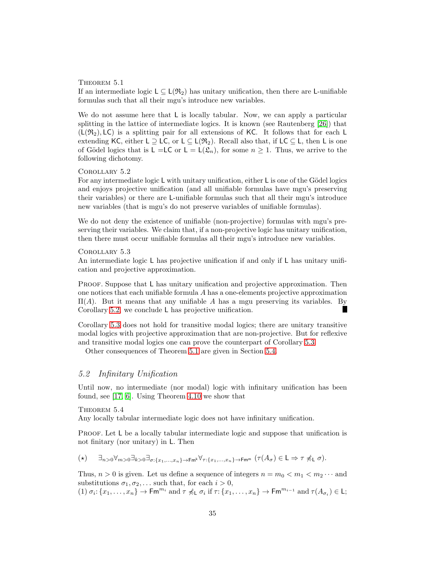#### THEOREM 5.1

If an intermediate logic  $L \subseteq L(\mathfrak{R}_2)$  has unitary unification, then there are L-unifiable formulas such that all their mgu's introduce new variables.

We do not assume here that L is locally tabular. Now, we can apply a particular splitting in the lattice of intermediate logics. It is known (see Rautenberg [\[26\]](#page-57-5)) that  $(L(\mathfrak{R}_2), LC)$  is a splitting pair for all extensions of KC. It follows that for each L extending KC, either L  $\supseteq$  LC, or L  $\subseteq$  L( $\mathfrak{R}_2$ ). Recall also that, if LC  $\subseteq$  L, then L is one of Gödel logics that is  $L = LC$  or  $L = L(\mathfrak{L}_n)$ , for some  $n > 1$ . Thus, we arrive to the following dichotomy.

## <span id="page-34-0"></span>Corollary 5.2

For any intermediate logic  $L$  with unitary unification, either  $L$  is one of the Gödel logics and enjoys projective unification (and all unifiable formulas have mgu's preserving their variables) or there are L-unifiable formulas such that all their mgu's introduce new variables (that is mgu's do not preserve variables of unifiable formulas).

We do not deny the existence of unifiable (non-projective) formulas with mgu's preserving their variables. We claim that, if a non-projective logic has unitary unification, then there must occur unifiable formulas all their mgu's introduce new variables.

#### <span id="page-34-1"></span>Corollary 5.3

An intermediate logic L has projective unification if and only if L has unitary unification and projective approximation.

PROOF. Suppose that L has unitary unification and projective approximation. Then one notices that each unifiable formula A has a one-elements projective approximation  $\Pi(A)$ . But it means that any unifiable A has a mgu preserving its variables. By Corollary [5.2,](#page-34-0) we conclude L has projective unification. ш

Corollary [5.3](#page-34-1) does not hold for transitive modal logics; there are unitary transitive modal logics with projective approximation that are non-projective. But for reflexive and transitive modal logics one can prove the counterpart of Corollary [5.3.](#page-34-1)

<span id="page-34-2"></span>Other consequences of Theorem [5.1](#page-33-1) are given in Section [5.4.](#page-51-0)

# 5.2 Infinitary Unification

Until now, no intermediate (nor modal) logic with infinitary unification has been found, see [\[17,](#page-56-7) [6\]](#page-56-22). Using Theorem [4.10](#page-20-0) we show that

THEOREM  $5.4$ 

Any locally tabular intermediate logic does not have infinitary unification.

PROOF. Let L be a locally tabular intermediate logic and suppose that unification is not finitary (nor unitary) in L. Then

$$
(\star) \qquad \exists_{n>0} \forall_{m>0} \exists_{k>0} \exists_{\sigma:\{x_1,\ldots,x_n\} \to \mathsf{Fm}^k} \forall_{\tau:\{x_1,\ldots,x_n\} \to \mathsf{Fm}^m} \ (\tau(A_{\sigma}) \in \mathsf{L} \Rightarrow \tau \not\preccurlyeq_{\mathsf{L}} \sigma).
$$

Thus,  $n > 0$  is given. Let us define a sequence of integers  $n = m_0 < m_1 < m_2 \cdots$  and substitutions  $\sigma_1, \sigma_2, \ldots$  such that, for each  $i > 0$ ,

(1)  $\sigma_i: \{x_1, \ldots, x_n\} \to \mathsf{Fm}^{m_i}$  and  $\tau \not\preccurlyeq_L \sigma_i$  if  $\tau: \{x_1, \ldots, x_n\} \to \mathsf{Fm}^{m_{i-1}}$  and  $\tau(A_{\sigma_i}) \in \mathsf{L};$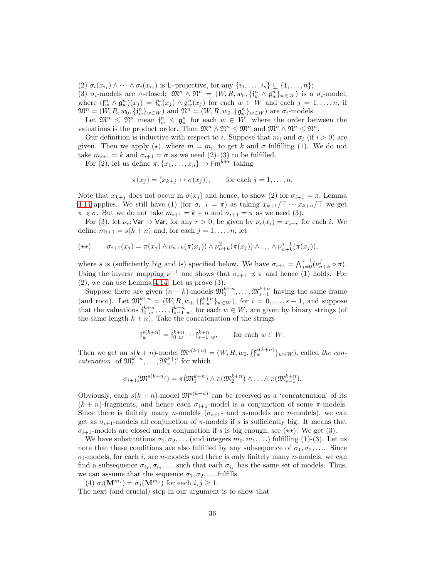(2)  $\sigma_i(x_{i_1}) \wedge \cdots \wedge \sigma_i(x_{i_s})$  is L-projective, for any  $\{i_1, \ldots, i_s\} \subseteq \{1, \ldots, n\};$ 

(3)  $\sigma_i$ -models are ∧-closed:  $\mathfrak{M}^n \wedge \mathfrak{N}^n = (W, R, w_0, \{f_w^n \wedge \mathfrak{g}_w^n\}_{w \in W})$  is a  $\sigma_i$ -model, where  $(\mathfrak{f}_{w}^{n} \wedge \mathfrak{g}_{w}^{n})(x_{j}) = \mathfrak{f}_{w}^{n}(x_{j}) \wedge \mathfrak{g}_{w}^{n}(x_{j})$  for each  $w \in W$  and each  $j = 1, ..., n$ , if  $\mathfrak{M}^n = (W, R, w_0, \{ \mathfrak{f}_{w}^n \}_{w \in W})$  and  $\mathfrak{N}^n = (W, R, w_0, \{ \mathfrak{g}_{w}^n \}_{w \in W})$  are  $\sigma_i$ -models.

Let  $\mathfrak{M}^n \leq \mathfrak{N}^n$  mean  $\mathfrak{f}^n_w \leq \mathfrak{g}^n_w$  for each  $w \in W$ , where the order between the valuations is the product order. Then  $\mathfrak{M}^n \wedge \mathfrak{N}^n \leq \mathfrak{M}^n$  and  $\mathfrak{M}^n \wedge \mathfrak{N}^n \leq \mathfrak{N}^n$ .

Our definition is inductive with respect to i. Suppose that  $m_i$  and  $\sigma_i$  (if  $i > 0$ ) are given. Then we apply  $(\star)$ , where  $m = m_i$ , to get k and  $\sigma$  fulfilling (1). We do not take  $m_{i+1} = k$  and  $\sigma_{i+1} = \sigma$  as we need  $(2)$ – $(3)$  to be fulfilled.

For (2), let us define  $\pi$ :  $\{x_1, \ldots, x_n\}$   $\rightarrow$  Fm<sup>k+n</sup> taking

$$
\pi(x_j) = (x_{k+j} \leftrightarrow \sigma(x_j)), \quad \text{for each } j = 1, \dots, n.
$$

Note that  $x_{k+j}$  does not occur in  $\sigma(x_j)$  and hence, to show (2) for  $\sigma_{i+1} = \pi$ , Lemma [4.14](#page-28-1) applies. We still have (1) (for  $\sigma_{i+1} = \pi$ ) as taking  $x_{k+1}/\top \cdots x_{k+n}/\top$  we get  $\pi \preccurlyeq \sigma$ . But we do not take  $m_{i+1} = k + n$  and  $\sigma_{i+1} = \pi$  as we need (3).

For (3), let  $\nu_r: \mathsf{Var} \to \mathsf{Var}$ , for any  $r > 0$ , be given by  $\nu_r(x_i) = x_{i+r}$  for each i. We define  $m_{i+1} = s(k+n)$  and, for each  $j = 1, \ldots, n$ , let

$$
(\star \star) \qquad \sigma_{i+1}(x_j) = \pi(x_j) \wedge \nu_{n+k}(\pi(x_j)) \wedge \nu_{n+k}^2(\pi(x_j)) \wedge \ldots \wedge \nu_{n+k}^{s-1}(\pi(x_j)),
$$

where s is (sufficiently big and is) specified below. We have  $\sigma_{i+1} = \bigwedge_{j=0}^{s-1} (\nu_{n+k}^j \circ \pi)$ . Using the inverse mapping  $\nu^{-1}$  one shows that  $\sigma_{i+1} \preccurlyeq \pi$  and hence (1) holds. For  $(2)$ , we can use Lemma [4.14.](#page-28-1) Let us prove  $(3)$ .

Suppose there are given  $(n + k)$ -models  $\mathfrak{M}_0^{k+n}, \ldots, \mathfrak{M}_{s-1}^{k+n}$  having the same frame (and root). Let  $\mathfrak{M}_{i}^{k+n} = (W, R, w_0, \{f_{i w}^{k+n}\}_{w \in W})$ , for  $i = 0, ..., s-1$ , and suppose that the valuations  $\mathfrak{f}_{0,w}^{k+n}, \ldots, \mathfrak{f}_{s-1,w}^{k+n}$ , for each  $w \in W$ , are given by binary strings (of the same length  $k + n$ . Take the concatenation of the strings

$$
\mathfrak{f}^{s(k+n)}_{w} = \mathfrak{f}^{k+n}_{0} \cdots \mathfrak{f}^{k+n}_{s-1 w}, \quad \text{for each } w \in W.
$$

Then we get an  $s(k+n)$ -model  $\mathfrak{M}^{s(k+n)} = (W, R, w_0, \{ \mathfrak{f}^{s(k+n)}_w \}_{w \in W})$ , called the concatenation of  $\mathfrak{M}^{k+n}_0, \ldots, \mathfrak{M}^{k+n}_{s-1}$  for which

$$
\sigma_{i+1}(\mathfrak{M}^{s(k+n)}) = \pi(\mathfrak{M}^{k+n}_1) \wedge \pi(\mathfrak{M}^{k+n}_2) \wedge \ldots \wedge \pi(\mathfrak{M}^{k+n}_{s-1}).
$$

Obviously, each  $s(k+n)$ -model  $\mathfrak{M}^{s(k+n)}$  can be received as a 'concatenation' of its  $(k + n)$ -fragments, and hence each  $\sigma_{i+1}$ -model is a conjunction of some  $\pi$ -models. Since there is finitely many n-models ( $\sigma_{i+1}$ - and  $\pi$ -models are n-models), we can get as  $\sigma_{i+1}$ -models all conjunction of  $\pi$ -models if s is sufficiently big. It means that  $\sigma_{i+1}$ -models are closed under conjunction if s is big enough, see ( $\star\star$ ). We get (3).

We have substitutions  $\sigma_1, \sigma_2, \ldots$  (and integers  $m_0, m_1, \ldots$ ) fulfilling (1)-(3). Let us note that these conditions are also fulfilled by any subsequence of  $\sigma_1, \sigma_2, \ldots$  Since  $\sigma_i$ -models, for each i, are n-models and there is only finitely many n-models, we can find a subsequence  $\sigma_{i_1}, \sigma_{i_2}, \ldots$  such that each  $\sigma_{i_k}$  has the same set of models. Thus, we can assume that the sequence  $\sigma_1, \sigma_2, \ldots$  fulfills

(4)  $\sigma_i(\mathbf{M}^{m_i}) = \sigma_i(\mathbf{M}^{m_j})$  for each  $i, j \geq 1$ .

The next (and crucial) step in our argument is to show that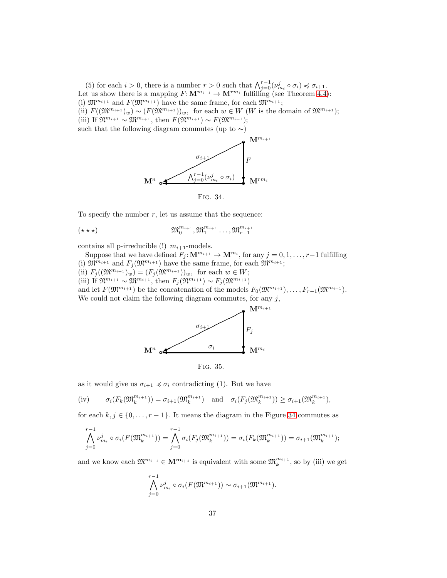(5) for each  $i > 0$ , there is a number  $r > 0$  such that  $\bigwedge_{j=0}^{r-1} (\nu_{m_i}^j \circ \sigma_i) \preccurlyeq \sigma_{i+1}$ . Let us show there is a mapping  $F: \mathbf{M}^{m_{i+1}} \to \mathbf{M}^{rm_i}$  fulfilling (see Theorem [4.4\)](#page-18-2): (i)  $\mathfrak{M}^{m_{i+1}}$  and  $F(\mathfrak{M}^{m_{i+1}})$  have the same frame, for each  $\mathfrak{M}^{m_{i+1}}$ ; (ii)  $F((\mathfrak{M}^{m_{i+1}})_w) \sim (F(\mathfrak{M}^{m_{i+1}}))_w$ , for each  $w \in W$  (W is the domain of  $\mathfrak{M}^{m_{i+1}})$ ; (iii) If  $\mathfrak{N}^{m_{i+1}} \sim \mathfrak{M}^{m_{i+1}}$ , then  $F(\mathfrak{N}^{m_{i+1}}) \sim F(\mathfrak{M}^{m_{i+1}})$ ; such that the following diagram commutes (up to  $\sim$ )



<span id="page-36-0"></span>Fig. 34.

To specify the number  $r$ , let us assume that the sequence:

$$
(\star\star\star)\qquad\qquad\mathfrak{M}^{m_{i+1}}_{0},\mathfrak{M}^{m_{i+1}}_{1}\ldots,\mathfrak{M}^{m_{i+1}}_{r-1}
$$

contains all p-irreducible (!)  $m_{i+1}$ -models.

Suppose that we have defined  $F_j: \mathbf{M}^{m_{i+1}} \to \mathbf{M}^{m_i}$ , for any  $j = 0, 1, \ldots, r-1$  fulfilling (i)  $\mathfrak{M}^{m_{i+1}}$  and  $F_j(\mathfrak{M}^{m_{i+1}})$  have the same frame, for each  $\mathfrak{M}^{m_{i+1}};$ (ii)  $F_j((\mathfrak{M}^{m_{i+1}})_w) = (F_j(\mathfrak{M}^{m_{i+1}}))_w$ , for each  $w \in W$ ; (iii) If  $\mathfrak{N}^{m_{i+1}} \sim \mathfrak{M}^{m_{i+1}}$ , then  $F_j(\mathfrak{N}^{m_{i+1}}) \sim F_j(\mathfrak{M}^{m_{i+1}})$ and let  $F(\mathfrak{M}^{m_{i+1}})$  be the concatenation of the models  $F_0(\mathfrak{M}^{m_{i+1}}), \ldots, F_{r-1}(\mathfrak{M}^{m_{i+1}})$ . We could not claim the following diagram commutes, for any  $j$ ,



Fig. 35.

as it would give us  $\sigma_{i+1} \preccurlyeq \sigma_i$  contradicting (1). But we have

$$
(iv) \qquad \sigma_i(F_k(\mathfrak{M}_k^{m_{i+1}})) = \sigma_{i+1}(\mathfrak{M}_k^{m_{i+1}}) \quad \text{and} \quad \sigma_i(F_j(\mathfrak{M}_k^{m_{i+1}})) \ge \sigma_{i+1}(\mathfrak{M}_k^{m_{i+1}}),
$$

for each  $k, j \in \{0, \ldots, r-1\}$ . It means the diagram in the Figure [34](#page-36-0) commutes as

$$
\bigwedge_{j=0}^{r-1} \nu_{m_i}^j \circ \sigma_i(F(\mathfrak{M}_k^{m_{i+1}})) = \bigwedge_{j=0}^{r-1} \sigma_i(F_j(\mathfrak{M}_k^{m_{i+1}})) = \sigma_i(F_k(\mathfrak{M}_k^{m_{i+1}})) = \sigma_{i+1}(\mathfrak{M}_k^{m_{i+1}});
$$

and we know each  $\mathfrak{M}^{m_{i+1}} \in \mathbf{M}^{m_{i+1}}$  is equivalent with some  $\mathfrak{M}^{m_{i+1}}_k$ , so by (iii) we get

$$
\bigwedge_{j=0}^{r-1} \nu_{m_i}^j \circ \sigma_i(F(\mathfrak{M}^{m_{i+1}})) \sim \sigma_{i+1}(\mathfrak{M}^{m_{i+1}}).
$$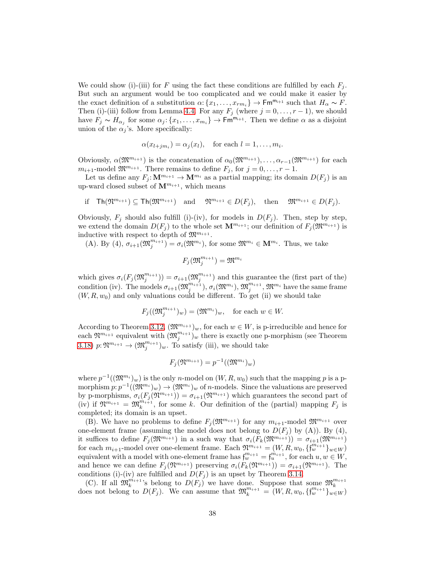We could show (i)-(iii) for F using the fact these conditions are fulfilled by each  $F_i$ . But such an argument would be too complicated and we could make it easier by the exact definition of a substitution  $\alpha: \{x_1, \ldots, x_{rm_i}\} \to \mathsf{Fm}^{m_{i+1}}$  such that  $H_\alpha \sim F$ . Then (i)-(iii) follow from Lemma [4.4.](#page-18-2) For any  $F_j$  (where  $j = 0, \ldots, r - 1$ ), we should have  $F_j \sim H_{\alpha_j}$  for some  $\alpha_j: \{x_1, \ldots, x_{m_i}\} \to \mathsf{Fm}^{m_{i+1}}$ . Then we define  $\alpha$  as a disjoint union of the  $\alpha_j$ 's. More specifically:

$$
\alpha(x_{l+jm_i}) = \alpha_j(x_l), \quad \text{for each } l = 1, \dots, m_i.
$$

Obviously,  $\alpha(\mathfrak{M}^{m_{i+1}})$  is the concatenation of  $\alpha_0(\mathfrak{M}^{m_{i+1}}), \ldots, \alpha_{r-1}(\mathfrak{M}^{m_{i+1}})$  for each  $m_{i+1}$ -model  $\mathfrak{M}^{m_{i+1}}$ . There remains to define  $F_j$ , for  $j = 0, \ldots, r - 1$ .

Let us define any  $F_j: \mathbf{M}^{m_{i+1}} \to \mathbf{M}^{m_i}$  as a partial mapping; its domain  $D(F_j)$  is an up-ward closed subset of  $\mathbf{M}^{m_{i+1}}$ , which means

$$
\text{if } \operatorname{Th}(\mathfrak{N}^{m_{i+1}}) \subseteq \operatorname{Th}(\mathfrak{M}^{m_{i+1}}) \quad \text{and} \quad \mathfrak{N}^{m_{i+1}} \in D(F_j), \quad \text{then} \quad \mathfrak{M}^{m_{i+1}} \in D(F_j).
$$

Obviously,  $F_j$  should also fulfill (i)-(iv), for models in  $D(F_j)$ . Then, step by step, we extend the domain  $D(F_j)$  to the whole set  $\mathbf{M}^{m_{i+1}}$ ; our definition of  $F_j(\mathfrak{M}^{m_{i+1}})$  is inductive with respect to depth of  $\mathfrak{M}^{m_{i+1}}$ .

(A). By (4),  $\sigma_{i+1}(\mathfrak{M}_j^{m_{i+1}}) = \sigma_i(\mathfrak{M}^{m_i})$ , for some  $\mathfrak{M}^{m_i} \in \mathbf{M}^{m_i}$ . Thus, we take

$$
F_j(\mathfrak{M}_j^{m_{i+1}}) = \mathfrak{M}^{m_i}
$$

which gives  $\sigma_i(F_j(\mathfrak{M}_j^{m_{i+1}})) = \sigma_{i+1}(\mathfrak{M}_j^{m_{i+1}})$  and this guarantee the (first part of the) condition (iv). The models  $\sigma_{i+1}(\mathfrak{M}_j^{m_{i+1}}), \sigma_i(\mathfrak{M}^{m_i}), \mathfrak{M}_j^{m_{i+1}}, \mathfrak{M}^{m_i}$  have the same frame  $(W, R, w_0)$  and only valuations could be different. To get (ii) we should take

$$
F_j((\mathfrak{M}_j^{m_{i+1}})_w) = (\mathfrak{M}^{m_i})_w, \text{ for each } w \in W.
$$

According to Theorem [3.12,](#page-14-2)  $(\mathfrak{M}^{m_{i+1}})_w$ , for each  $w \in W$ , is p-irreducible and hence for each  $\mathfrak{N}^{m_{i+1}}$  equivalent with  $(\mathfrak{M}_{j}^{m_{i+1}})_{w}$  there is exactly one p-morphism (see Theorem [3.18\)](#page-15-2)  $p: \mathfrak{N}^{m_{i+1}} \to (\mathfrak{M}_j^{m_{i+1}})_w$ . To satisfy (iii), we should take

$$
F_j(\mathfrak{N}^{m_{i+1}}) = p^{-1}((\mathfrak{M}^{m_i})_w)
$$

where  $p^{-1}((\mathfrak{M}^{m_i})_w)$  is the only *n*-model on  $(W, R, w_0)$  such that the mapping p is a pmorphism  $p: p^{-1}((\mathfrak{M}^{m_i})_w) \to (\mathfrak{M}^{m_i})_w$  of *n*-models. Since the valuations are preserved by p-morphisms,  $\sigma_i(F_i(\mathfrak{N}^{m_{i+1}})) = \sigma_{i+1}(\mathfrak{N}^{m_{i+1}})$  which guarantees the second part of (iv) if  $\mathfrak{N}^{m_{i+1}} = \mathfrak{M}_k^{m_{i+1}}$ , for some k. Our definition of the (partial) mapping  $F_j$  is completed; its domain is an upset.

(B). We have no problems to define  $F_i(\mathfrak{M}^{m_{i+1}})$  for any  $m_{i+1}$ -model  $\mathfrak{M}^{m_{i+1}}$  over one-element frame (assuming the model does not belong to  $D(F_i)$  by (A)). By (4), it suffices to define  $F_j(\mathfrak{M}^{m_{i+1}})$  in a such way that  $\sigma_i(F_k(\mathfrak{M}^{m_{i+1}})) = \sigma_{i+1}(\mathfrak{M}^{m_{i+1}})$ for each  $m_{i+1}$ -model over one-element frame. Each  $\mathfrak{N}^{m_{i+1}} = (W, R, w_0, \{f_w^{m_{i+1}}\}_{w \in W})$ equivalent with a model with one-element frame has  $\mathfrak{f}_{w}^{m_{i+1}} = \mathfrak{f}_{u}^{m_{i+1}}$ , for each  $u, w \in W$ , and hence we can define  $F_i(\mathfrak{N}^{m_{i+1}})$  preserving  $\sigma_i(F_k(\mathfrak{N}^{m_{i+1}})) = \sigma_{i+1}(\mathfrak{N}^{m_{i+1}})$ . The conditions (i)-(iv) are fulfilled and  $D(F_j)$  is an upset by Theorem [3.14.](#page-15-0)

(C). If all  $\mathfrak{M}_k^{m_{i+1}}$ 's belong to  $D(F_j)$  we have done. Suppose that some  $\mathfrak{M}_k^{m_{i+1}}$ (C). If an  $\mathcal{M}_k$  is belong to  $D(F_j)$  we have done. Suppose that some  $\mathcal{M}_k$ <br>does not belong to  $D(F_j)$ . We can assume that  $\mathfrak{M}_k^{m_{i+1}} = (W, R, w_0, \{f_w^{m_{i+1}}\}_{w \in W})$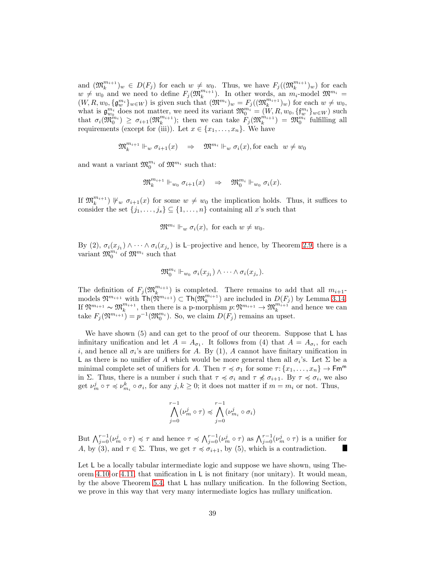and  $(\mathfrak{M}_k^{m_{i+1}})_w \in D(F_j)$  for each  $w \neq w_0$ . Thus, we have  $F_j((\mathfrak{M}_k^{m_{i+1}})_w)$  for each  $w \neq w_0$  and we need to define  $F_j(\mathfrak{M}_k^{m_{i+1}})$ . In other words, an  $m_i$ -model  $\mathfrak{M}^{m_i} =$  $(W, R, w_0, \{ \mathfrak{g}_{w}^{m_i} \}_{w \in W})$  is given such that  $(\mathfrak{M}^{m_i})_w = F_j((\mathfrak{M}_k^{m_{i+1}})_w)$  for each  $w \neq w_0$ , what is  $\mathfrak{g}_{w_0}^{m_i}$  does not matter, we need its variant  $\mathfrak{M}_0^{m_i} = (W, R, w_0, \{f_w^{m_i}\}_{w \in W})$  such that  $\sigma_i(\mathfrak{M}_0^{m_i}) \geq \sigma_{i+1}(\mathfrak{M}_k^{m_{i+1}})$ ; then we can take  $F_j(\mathfrak{M}_k^{m_{i+1}}) = \mathfrak{M}_0^{m_i}$  fulfilling all requirements (except for (iii)). Let  $x \in \{x_1, \ldots, x_n\}$ . We have

$$
\mathfrak{M}_k^{m_{i+1}} \Vdash_w \sigma_{i+1}(x) \quad \Rightarrow \quad \mathfrak{M}^{m_i} \Vdash_w \sigma_i(x) \text{, for each } w \neq w_0
$$

and want a variant  $\mathfrak{M}^{m_i}_{0}$  of  $\mathfrak{M}^{m_i}$  such that:

$$
\mathfrak{M}^{m_{i+1}}_k \Vdash_{w_0} \sigma_{i+1}(x) \quad \Rightarrow \quad \mathfrak{M}^{m_i}_0 \Vdash_{w_0} \sigma_i(x).
$$

If  $\mathfrak{M}^{m_{i+1}}_k$   $\vert \psi_w \sigma_{i+1}(x) \vert$  for some  $w \neq w_0$  the implication holds. Thus, it suffices to consider the set  $\{j_1, \ldots, j_s\} \subseteq \{1, \ldots, n\}$  containing all x's such that

$$
\mathfrak{M}^{m_i} \Vdash_w \sigma_i(x), \text{ for each } w \neq w_0.
$$

By (2),  $\sigma_i(x_{j_1}) \wedge \cdots \wedge \sigma_i(x_{j_s})$  is L-projective and hence, by Theorem [2.9,](#page-9-3) there is a variant  $\mathfrak{M}_0^{m_i}$  of  $\mathfrak{M}^{m_i}$  such that

$$
\mathfrak{M}_0^{m_i} \Vdash_{w_0} \sigma_i(x_{j_1}) \wedge \cdots \wedge \sigma_i(x_{j_s}).
$$

The definition of  $F_j(\mathfrak{M}_k^{m_{i+1}})$  is completed. There remains to add that all  $m_{i+1}$ -The definition of  $P_j(\mathcal{M}_k)$  is completed. There remains to add that an  $m_{i+1}$ -<br>models  $\mathfrak{N}^{m_{i+1}}$  with  $\text{Th}(\mathfrak{N}^{m_{i+1}}) \subset \text{Th}(\mathfrak{M}_k^{m_{i+1}})$  are included in  $D(F_j)$  by Lemma [3.14.](#page-15-0) If  $\mathfrak{N}^{m_{i+1}} \sim \mathfrak{M}_k^{m_{i+1}}$ , then there is a p-morphism  $p: \mathfrak{N}^{m_{i+1}} \to \mathfrak{M}_k^{m_{i+1}}$  and hence we can take  $F_j(\mathfrak{N}^{m_{i+1}}) = p^{-1}(\mathfrak{M}_0^{m_i})$ . So, we claim  $D(F_j)$  remains an upset.

We have shown  $(5)$  and can get to the proof of our theorem. Suppose that L has infinitary unification and let  $A = A_{\sigma_1}$ . It follows from (4) that  $A = A_{\sigma_i}$ , for each *i*, and hence all  $\sigma_i$ 's are unifiers for A. By (1), A cannot have finitary unification in L as there is no unifier of A which would be more general then all  $\sigma_i$ 's. Let  $\Sigma$  be a minimal complete set of unifiers for A. Then  $\tau \preccurlyeq \sigma_1$  for some  $\tau: \{x_1, \ldots, x_n\} \to \mathsf{Fm}^m$ in  $\Sigma$ . Thus, there is a number i such that  $\tau \preccurlyeq \sigma_i$  and  $\tau \preccurlyeq \sigma_{i+1}$ . By  $\tau \preccurlyeq \sigma_i$ , we also get  $\nu_m^j \circ \tau \preccurlyeq \nu_{m_i}^k \circ \sigma_i$ , for any  $j, k \geq 0$ ; it does not matter if  $m = m_i$  or not. Thus,

$$
\bigwedge_{j=0}^{r-1} (\nu_m^j \circ \tau) \preccurlyeq \bigwedge_{j=0}^{r-1} (\nu_{m_i}^j \circ \sigma_i)
$$

But  $\bigwedge_{j=0}^{r-1} (\nu_m^j \circ \tau) \preccurlyeq \tau$  and hence  $\tau \preccurlyeq \bigwedge_{j=0}^{r-1} (\nu_m^j \circ \tau)$  as  $\bigwedge_{j=0}^{r-1} (\nu_m^j \circ \tau)$  is a unifier for A, by (3), and  $\tau \in \Sigma$ . Thus, we get  $\tau \preccurlyeq \sigma_{i+1}$ , by (5), which is a contradiction. **I** 

Let L be a locally tabular intermediate logic and suppose we have shown, using Theorem [4.10](#page-20-0) or [4.11,](#page-21-1) that unification in L is not finitary (nor unitary). It would mean, by the above Theorem [5.4,](#page-34-2) that L has nullary unification. In the following Section, we prove in this way that very many intermediate logics has nullary unification.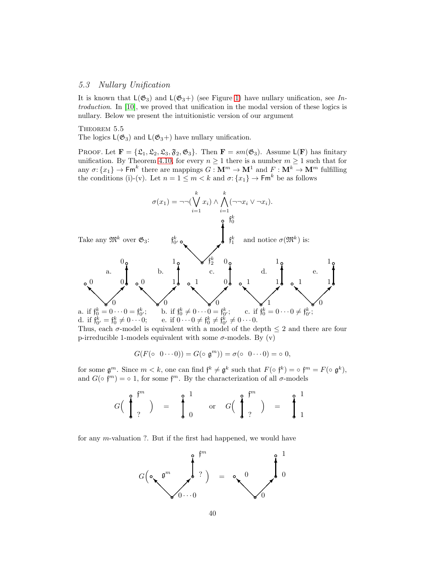# 5.3 Nullary Unification

It is known that  $L(\mathfrak{G}_3)$  and  $L(\mathfrak{G}_3+)$  (see Figure [1\)](#page-1-3) have nullary unification, see Introduction. In [\[10\]](#page-56-0), we proved that unification in the modal version of these logics is nullary. Below we present the intuitionistic version of our argument

<span id="page-39-0"></span>THEOREM 5.5

The logics  $L(\mathfrak{G}_3)$  and  $L(\mathfrak{G}_3+)$  have nullary unification.

PROOF. Let  $\mathbf{F} = {\mathcal{L}_1, \mathcal{L}_2, \mathcal{L}_3, \mathcal{F}_2, \mathcal{C}_3}$ . Then  $\mathbf{F} = sm(\mathcal{C}_3)$ . Assume  $\mathsf{L}(\mathbf{F})$  has finitary unification. By Theorem [4.10,](#page-20-0) for every  $n \geq 1$  there is a number  $m \geq 1$  such that for any  $\sigma: \{x_1\} \to \mathsf{Fm}^k$  there are mappings  $G: \mathbf{M}^m \to \mathbf{M}^1$  and  $F: \mathbf{M}^k \to \mathbf{M}^m$  fulfilling the conditions (i)-(v). Let  $n = 1 \le m < k$  and  $\sigma: \{x_1\} \to \mathsf{Fm}^k$  be as follows



Thus, each  $\sigma$ -model is equivalent with a model of the depth  $\leq 2$  and there are four p-irreducible 1-models equivalent with some  $\sigma$ -models. By (v)

$$
G(F(\circ 0\cdots 0))=G(\circ \mathfrak{g}^m))=\sigma(\circ 0\cdots 0)=\circ 0,
$$

for some  $\mathfrak{g}^m$ . Since  $m < k$ , one can find  $\mathfrak{f}^k \neq \mathfrak{g}^k$  such that  $F(\circ \mathfrak{f}^k) = \circ \mathfrak{f}^m = F(\circ \mathfrak{g}^k)$ , and  $G(\circ f^{m}) = \circ 1$ , for some  $f^{m}$ . By the characterization of all  $\sigma$ -models

$$
G\left(\begin{array}{c} \bullet \\ \bullet \\ 1 \end{array}\right) \quad = \quad \ \ \bigg\{\begin{array}{c} 1 \\ 0 \end{array} \quad \ {\rm or} \quad \ G\left(\begin{array}{c} \bullet \\ \bullet \\ 1 \end{array}\right)^{fm} \quad = \quad \ \ \bigg\{\begin{array}{c} 1 \\ 1 \end{array}\right.
$$

for any m-valuation ?. But if the first had happened, we would have

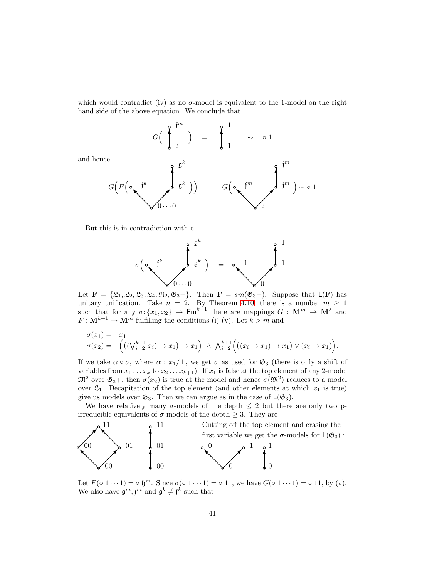which would contradict (iv) as no  $\sigma$ -model is equivalent to the 1-model on the right hand side of the above equation. We conclude that

$$
G\left(\begin{array}{c}\n\bullet \\
\bullet \\
\bullet \\
\end{array}\right) = \begin{array}{c}\n\bullet \\
\bullet \\
\bullet \\
\end{array} \sim 01
$$

and henc

$$
G(F(\circ\bigwedge^{p^k}\bigwedge^{p^k}\mathfrak{g}^k)) = G(\circ\bigwedge^{p^m}\mathfrak{g}^m)\sim 1
$$

But this is in contradiction with e.



Let  $\mathbf{F} = {\mathcal{L}_1, \mathcal{L}_2, \mathcal{L}_3, \mathcal{L}_4, \mathcal{R}_2, \mathcal{C}_3 +}.$  Then  $\mathbf{F} = sm(\mathcal{C}_3+)$ . Suppose that  $\mathsf{L}(\mathbf{F})$  has unitary unification. Take  $n = 2$ . By Theorem [4.10,](#page-20-0) there is a number  $m \ge 1$ such that for any  $\sigma: \{x_1, x_2\} \to \mathsf{Fm}^{k+1}$  there are mappings  $G: \mathbf{M}^m \to \mathbf{M}^2$  and  $F: \mathbf{M}^{k+1} \to \mathbf{M}^m$  fulfilling the conditions (i)-(v). Let  $k > m$  and

$$
\sigma(x_1) = x_1
$$
  
\n
$$
\sigma(x_2) = \left( \left( (\bigvee_{i=2}^{k+1} x_i) \to x_1 \right) \to x_1 \right) \land \bigwedge_{i=2}^{k+1} \left( \left( (x_i \to x_1) \to x_1 \right) \lor (x_i \to x_1) \right).
$$

If we take  $\alpha \circ \sigma$ , where  $\alpha : x_1/\bot$ , we get  $\sigma$  as used for  $\mathfrak{G}_3$  (there is only a shift of variables from  $x_1 \ldots x_k$  to  $x_2 \ldots x_{k+1}$ ). If  $x_1$  is false at the top element of any 2-model  $\mathfrak{M}^2$  over  $\mathfrak{G}_3$ +, then  $\sigma(x_2)$  is true at the model and hence  $\sigma(\mathfrak{M}^2)$  reduces to a model over  $\mathfrak{L}_1$ . Decapitation of the top element (and other elements at which  $x_1$  is true) give us models over  $\mathfrak{G}_3$ . Then we can argue as in the case of  $\mathsf{L}(\mathfrak{G}_3)$ .

We have relatively many  $\sigma$ -models of the depth  $\leq 2$  but there are only two pirreducible equivalents of  $\sigma$ -models of the depth  $\geq$  3. They are



Let  $F(\circ 1 \cdots 1) = \circ \mathfrak{h}^m$ . Since  $\sigma(\circ 1 \cdots 1) = \circ 11$ , we have  $G(\circ 1 \cdots 1) = \circ 11$ , by (v). We also have  $\mathfrak{g}^m, \mathfrak{f}^m$  and  $\mathfrak{g}^k \neq \mathfrak{f}^k$  such that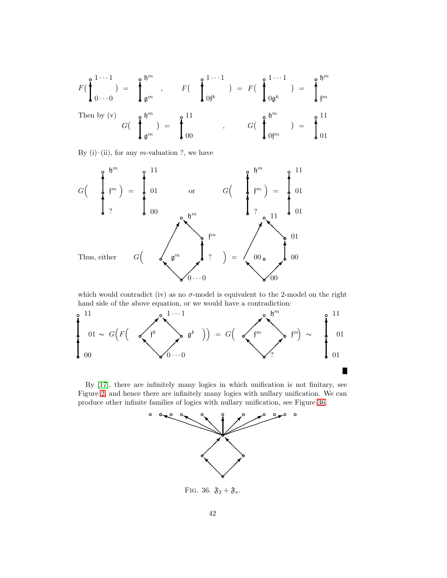$$
F\left(\begin{array}{c} 1 \cdots 1 \\ 0 \cdots 0 \end{array}\right) = \begin{array}{c} \begin{array}{c} \mathfrak{h}^{m} \\ \mathfrak{g}^{m} \end{array}, \qquad F\left(\begin{array}{c} \begin{array}{c} 1 \cdots 1 \\ 0 \end{array}\right) = F\left(\begin{array}{c} \begin{array}{c} 1 \cdots 1 \\ 0 \end{array}\right) = \begin{array}{c} \begin{array}{c} \mathfrak{h}^{m} \\ \mathfrak{f}^{m} \end{array} \\ \text{Then by (v)} \qquad G\left(\begin{array}{c} \begin{array}{c} \mathfrak{h}^{m} \\ \mathfrak{g}^{m} \end{array}\right) = \begin{array}{c} \begin{array}{c} 11 \\ 0 \end{array}\end{array}, \qquad G\left(\begin{array}{c} \begin{array}{c} \mathfrak{h}^{m} \\ \mathfrak{g}^{m} \end{array}\right) = \begin{array}{c} \begin{array}{c} 11 \\ 0 \end{array}\end{array} \\ \begin{array}{c} \begin{array}{c} \mathfrak{h}^{m} \\ 0 \end{array} \end{array}
$$

By (i)–(ii), for any  $m$ -valuation ?, we have



which would contradict (iv) as no  $\sigma$ -model is equivalent to the 2-model on the right hand side of the above equation, or we would have a contradiction:



By [\[17\]](#page-56-7), there are infinitely many logics in which unification is not finitary, see Figure [2,](#page-1-2) and hence there are infinitely many logics with nullary unification. We can produce other infinite families of logics with nullary unification, see Figure [36.](#page-41-0)



<span id="page-41-1"></span><span id="page-41-0"></span>FIG. 36.  $\mathfrak{F}_2 + \mathfrak{F}_s$ .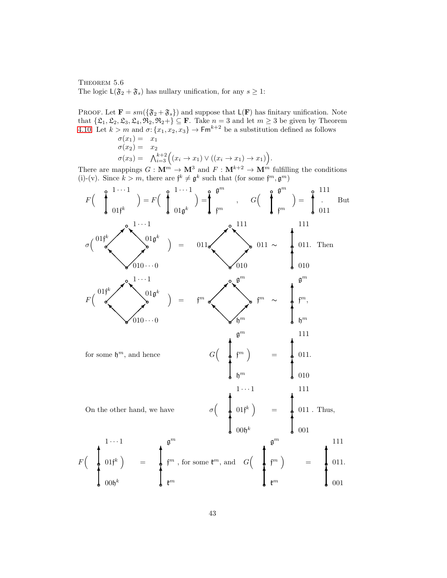THEOREM 5.6 The logic  $\mathsf{L}(\mathfrak{F}_2 + \mathfrak{F}_s)$  has nullary unification, for any  $s \geq 1$ :

PROOF. Let  $\mathbf{F} = sm(\{\mathfrak{F}_2 + \mathfrak{F}_s\})$  and suppose that  $\mathsf{L}(\mathbf{F})$  has finitary unification. Note that  $\{\mathfrak{L}_1, \mathfrak{L}_2, \mathfrak{L}_3, \mathfrak{L}_4, \mathfrak{R}_2, \mathfrak{R}_2 +\} \subseteq \mathbf{F}$ . Take  $n = 3$  and let  $m \geq 3$  be given by Theorem [4.10.](#page-20-0) Let  $k > m$  and  $\sigma: \{x_1, x_2, x_3\} \to \mathsf{Fm}^{k+2}$  be a substitution defined as follows  $\sigma(x_1) = x_1$  $\sigma(x_2) = x_2$ 

$$
\sigma(x_3) = \bigwedge_{i=3}^{k+2} \Bigl( (x_i \to x_1) \vee ((x_i \to x_1) \to x_1) \Bigr).
$$

There are mappings  $G : \mathbf{M}^m \to \mathbf{M}^3$  and  $F : \mathbf{M}^{k+2} \to \mathbf{M}^m$  fulfilling the conditions (i)-(v). Since  $k > m$ , there are  $\mathfrak{f}^k \neq \mathfrak{g}^k$  such that (for some  $\mathfrak{f}^m, \mathfrak{g}^m$ )

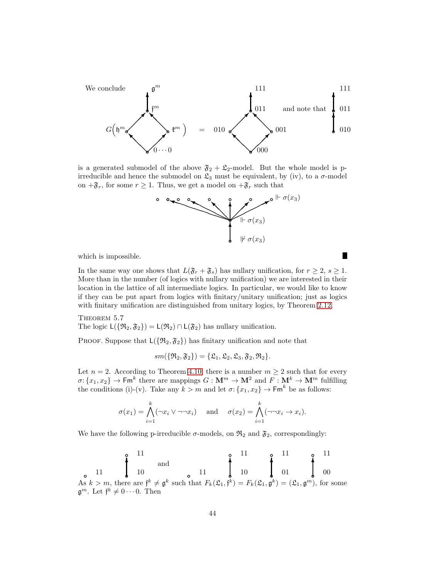

is a generated submodel of the above  $\mathfrak{F}_2 + \mathfrak{L}_2$ -model. But the whole model is pirreducible and hence the submodel on  $\mathfrak{L}_3$  must be equivalent, by (iv), to a  $\sigma$ -model on  $+\mathfrak{F}_r$ , for some  $r \geq 1$ . Thus, we get a model on  $+\mathfrak{F}_r$  such that



<span id="page-43-0"></span>п

which is impossible.

In the same way one shows that  $L(\mathfrak{F}_r + \mathfrak{F}_s)$  has nullary unification, for  $r \geq 2$ ,  $s \geq 1$ . More than in the number (of logics with nullary unification) we are interested in their location in the lattice of all intermediate logics. In particular, we would like to know if they can be put apart from logics with finitary/unitary unification; just as logics with finitary unification are distinguished from unitary logics, by Theorem [2.12.](#page-9-4)

THEOREM 5.7 The logic  $L({\Re}_2, {\mathfrak{F}}_2) = L({\mathfrak{R}}_2) \cap L({\mathfrak{F}}_2)$  has nullary unification.

PROOF. Suppose that  $L(\{\mathfrak{R}_2, \mathfrak{F}_2\})$  has finitary unification and note that

$$
sm(\{\mathfrak{R}_2,\mathfrak{F}_2\})=\{\mathfrak{L}_1,\mathfrak{L}_2,\mathfrak{L}_3,\mathfrak{F}_2,\mathfrak{R}_2\}.
$$

Let  $n = 2$ . According to Theorem [4.10,](#page-20-0) there is a number  $m \geq 2$  such that for every  $\sigma: \{x_1, x_2\} \to \mathsf{Fm}^k$  there are mappings  $G: \mathbf{M}^m \to \mathbf{M}^2$  and  $F: \mathbf{M}^k \to \mathbf{M}^m$  fulfilling the conditions (i)-(v). Take any  $k > m$  and let  $\sigma: \{x_1, x_2\} \to \mathsf{Fm}^k$  be as follows:

$$
\sigma(x_1) = \bigwedge_{i=1}^k (\neg x_i \lor \neg \neg x_i) \quad \text{and} \quad \sigma(x_2) = \bigwedge_{i=1}^k (\neg \neg x_i \to x_i).
$$

We have the following p-irreducible  $\sigma$ -models, on  $\mathfrak{R}_2$  and  $\mathfrak{F}_2$ , correspondingly:

❜ <sup>11</sup> ❜ 10 ❜ 11 ✻ and ❜ <sup>11</sup> ❜ 10 ❜ 11 ✻ ❜ 01 ❜ 11 ✻ ❜ 00 ❜ 11 ✻ As k > m, there are f <sup>k</sup> 6= g k such that Fk(L1, f k ) = Fk(L1, g k ) = (L1, g <sup>m</sup>), for some g <sup>m</sup>. Let f <sup>k</sup> 6= 0 · · · 0. Then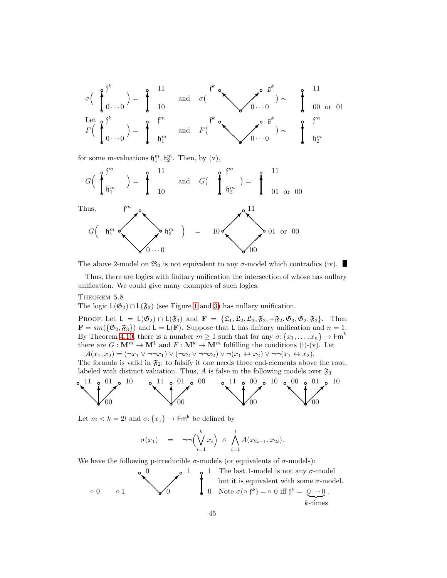

for some *m*-valuations  $\mathfrak{h}_1^m$ ,  $\mathfrak{h}_2^m$ . Then, by (v),



The above 2-model on  $\mathfrak{R}_2$  is not equivalent to any  $\sigma$ -model which contradics (iv).

<span id="page-44-0"></span>Thus, there are logics with finitary unification the intersection of whose has nullary unification. We could give many examples of such logics.

### THEOREM 5.8

The logic  $L(\mathfrak{G}_2) \cap L(\mathfrak{F}_3)$  (see Figure [1](#page-1-3) and [3\)](#page-2-0) has nullary unification.

PROOF. Let  $L = L(\mathfrak{G}_2) \cap L(\mathfrak{F}_3)$  and  $\mathbf{F} = {\mathfrak{L}_1, \mathfrak{L}_2, \mathfrak{L}_3, \mathfrak{F}_2, +\mathfrak{F}_2, \mathfrak{G}_3, \mathfrak{G}_2, \mathfrak{F}_3}.$  Then  $\mathbf{F} = sm(\{\mathfrak{G}_2, \mathfrak{F}_3\})$  and  $\mathsf{L} = \mathsf{L}(\mathbf{F})$ . Suppose that L has finitary unification and  $n = 1$ . By Theorem [4.10,](#page-20-0) there is a number  $m \ge 1$  such that for any  $\sigma: \{x_1, \ldots, x_n\} \to \mathsf{Fm}^k$ there are  $G: \mathbf{M}^m \to \mathbf{M}^1$  and  $F: \mathbf{M}^k \to \mathbf{M}^m$  fulfilling the conditions (i)-(v). Let  $A(x_1, x_2) = (\neg x_1 \vee \neg \neg x_1) \vee (\neg x_2 \vee \neg \neg x_2) \vee \neg (x_1 \leftrightarrow x_2) \vee \neg \neg (x_1 \leftrightarrow x_2).$ 

The formula is valid in  $\mathfrak{F}_2$ ; to falsify it one needs three end-elements above the root, labeled with distinct valuation. Thus, A is false in the following models over  $\mathfrak{F}_3$ 



Let  $m < k = 2l$  and  $\sigma: \{x_1\} \to \mathsf{Fm}^k$  be defined by

$$
\sigma(x_1) = \neg\neg\left(\bigvee_{i=1}^k x_i\right) \wedge \bigwedge_{i=1}^l A(x_{2i-1}, x_{2i}).
$$

We have the following p-irreducible  $\sigma$ -models (or equivalents of  $\sigma$ -models):

$$
\begin{array}{c}\n\circ \\
0 \\
\circ \\
0\n\end{array}
$$
\n
$$
\begin{array}{c}\n\circ \\
\circ \\
0\n\end{array}
$$
\n
$$
\begin{array}{c}\n\circ \\
\circ \\
0\n\end{array}
$$
\n
$$
\begin{array}{c}\n\circ \\
\circ \\
0\n\end{array}
$$
\n
$$
\begin{array}{c}\n\circ \\
\circ \\
0\n\end{array}
$$
\n
$$
\begin{array}{c}\n\circ \\
\circ \\
0\n\end{array}
$$
\n
$$
\begin{array}{c}\n\circ \\
\circ \\
0\n\end{array}
$$
\n
$$
\begin{array}{c}\n\circ \\
\circ \\
0\n\end{array}
$$
\n
$$
\begin{array}{c}\n\circ \\
\circ \\
0\n\end{array}
$$
\n
$$
\begin{array}{c}\n\circ \\
\circ \\
0\n\end{array}
$$
\n
$$
\begin{array}{c}\n\circ \\
\circ \\
0\n\end{array}
$$
\n
$$
\begin{array}{c}\n\circ \\
\circ \\
0\n\end{array}
$$
\n
$$
\begin{array}{c}\n\circ \\
\circ \\
0\n\end{array}
$$
\n
$$
\begin{array}{c}\n\circ \\
\circ \\
\circ \\
0\n\end{array}
$$
\n
$$
\begin{array}{c}\n\circ \\
\circ \\
\circ \\
\circ\n\end{array}
$$
\n
$$
\begin{array}{c}\n\circ \\
\circ \\
\circ \\
\circ\n\end{array}
$$
\n
$$
\begin{array}{c}\n\circ \\
\circ \\
\circ \\
\circ\n\end{array}
$$
\n
$$
\begin{array}{c}\n\circ \\
\circ \\
\circ \\
\circ\n\end{array}
$$
\n
$$
\begin{array}{c}\n\circ \\
\circ \\
\circ \\
\circ\n\end{array}
$$
\n
$$
\begin{array}{c}\n\circ \\
\circ \\
\circ \\
\circ\n\end{array}
$$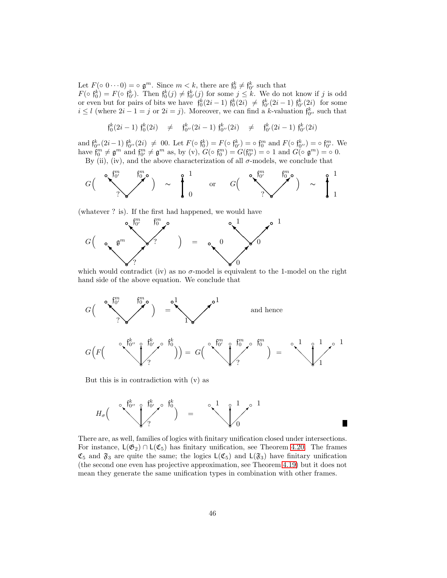Let  $F(\circ 0 \cdots 0) = \circ \mathfrak{g}^m$ . Since  $m < k$ , there are  $\mathfrak{f}_0^k \neq \mathfrak{f}_{0'}^k$  such that

 $F(\circ \mathfrak{f}_{0}^{k}) = F(\circ \mathfrak{f}_{0'}^{k})$ . Then  $\mathfrak{f}_{0}^{k}(j) \neq \mathfrak{f}_{0'}^{k}(j)$  for some  $j \leq k$ . We do not know if j is odd or even but for pairs of bits we have  $\mathfrak{f}_0^k(2i-1) \mathfrak{f}_0^k(2i) \neq \mathfrak{f}_{0'}^k(2i-1) \mathfrak{f}_{0'}^k(2i)$  for some  $i \leq l$  (where  $2i - 1 = j$  or  $2i = j$ ). Moreover, we can find a k-valuation  $\mathfrak{f}_{0}^k$ , such that

 $\mathfrak{f}_0^k(2i-1) \; \mathfrak{f}_0^k(2i) \quad \neq \quad \mathfrak{f}_{0''}^k(2i-1) \; \mathfrak{f}_{0''}^k(2i) \quad \neq \quad \mathfrak{f}_{0'}^k(2i-1) \; \mathfrak{f}_{0'}^k(2i)$ 

and  $\mathfrak{f}_{0''}^k(2i-1) \mathfrak{f}_{0''}^k(2i) \neq 00$ . Let  $F(\circ \mathfrak{f}_{0}^k) = F(\circ \mathfrak{f}_{0'}^k) = \circ \mathfrak{f}_{0}^m$  and  $F(\circ \mathfrak{f}_{0''}^k) = \circ \mathfrak{f}_{0'}^m$ . We have  $\mathfrak{f}_{0}^{m} \neq \mathfrak{g}^{m}$  and  $\mathfrak{f}_{0'}^{m} \neq \mathfrak{g}^{m}$  as, by (v),  $G(\circ \mathfrak{f}_{0}^{m}) = G(\mathfrak{f}_{0'}^{m}) = \circ 1$  and  $G(\circ \mathfrak{g}^{m}) = \circ 0$ .

By (ii), (iv), and the above characterization of all  $\sigma$ -models, we conclude that



(whatever ? is). If the first had happened, we would have



which would contradict (iv) as no  $\sigma$ -model is equivalent to the 1-model on the right hand side of the above equation. We conclude that



But this is in contradiction with (v) as

$$
H_{\sigma} \Big( \int_{2}^{\infty} \int_{0}^{\frac{f_{0}^{k}}{f_{0}^{k}} \delta_{0}} f_{0}^{k} \Big) = \int_{0}^{\infty} \int_{0}^{1} f_{0}^{0} f_{0}^{0} \Big|_{0}^{1}
$$

There are, as well, families of logics with finitary unification closed under intersections. For instance,  $L(\mathfrak{G}_2) \cap L(\mathfrak{C}_5)$  has finitary unification, see Theorem [4.20.](#page-31-2) The frames  $\mathfrak{C}_5$  and  $\mathfrak{F}_3$  are quite the same; the logics  $\mathsf{L}(\mathfrak{C}_5)$  and  $\mathsf{L}(\mathfrak{F}_3)$  have finitary unification (the second one even has projective approximation, see Theorem [4.19\)](#page-29-2) but it does not mean they generate the same unification types in combination with other frames.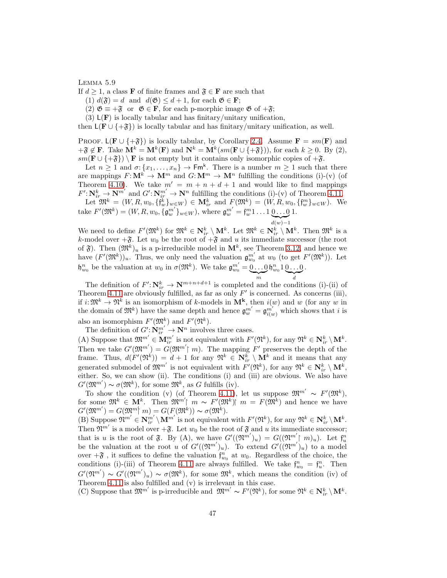#### Lemma 5.9

If  $d \geq 1$ , a class **F** of finite frames and  $\mathfrak{F} \in \mathbf{F}$  are such that

- (1)  $d(\mathfrak{F}) = d$  and  $d(\mathfrak{G}) \leq d+1$ , for each  $\mathfrak{G} \in \mathbf{F}$ ;
- (2)  $\mathfrak{G} \equiv +\mathfrak{F}$  or  $\mathfrak{G} \in \mathbf{F}$ , for each p-morphic image  $\mathfrak{G}$  of  $+\mathfrak{F}$ ;

(3)  $L(\mathbf{F})$  is locally tabular and has finitary/unitary unification,

then  $L(F \cup \{+\mathfrak{F}\})$  is locally tabular and has finitary/unitary unification, as well.

PROOF. L( $\mathbf{F} \cup \{+\mathfrak{F}\}\)$  is locally tabular, by Corollary [2.4.](#page-7-2) Assume  $\mathbf{F} = sm(\mathbf{F})$  and  $+\mathfrak{F} \notin \mathbf{F}$ . Take  $\mathbf{M}^k = \mathbf{M}^k(\mathbf{F})$  and  $\mathbf{N}^k = \mathbf{M}^k(sm(\mathbf{F} \cup {\mathbf{\{+\mathfrak{F}\}}}))$ , for each  $k \geq 0$ . By (2),  $sm(\mathbf{F} \cup \{+\mathfrak{F}\}) \setminus \mathbf{F}$  is not empty but it contains only isomorphic copies of  $+\mathfrak{F}$ .

Let  $n \geq 1$  and  $\sigma: \{x_1, \ldots, x_n\} \to \mathsf{Fm}^k$ . There is a number  $m \geq 1$  such that there are mappings  $F: \mathbf{M}^k \to \mathbf{M}^m$  and  $G: \mathbf{M}^m \to \mathbf{M}^n$  fulfilling the conditions (i)-(v) (of Theorem [4.10\)](#page-20-0). We take  $m' = m + n + d + 1$  and would like to find mappings  $F' : \mathbf{N}_{ir}^k \to \mathbf{N}^{m'}$  and  $G' : \mathbf{N}_{ir}^{m'} \to \mathbf{N}^n$  fulfilling the conditions (i)-(v) of Theorem [4.11.](#page-21-1)

Let  $\mathfrak{M}^k = (W, R, w_0, \{f_w^k\}_{w \in W}) \in \mathbf{M}_{ir}^k$  and  $F(\mathfrak{M}^k) = (W, R, w_0, \{f_w^m\}_{w \in W})$ . We take  $F'(\mathfrak{M}^k) = (W, R, w_0, \{\mathfrak{g}_{w}^{m'}\}_{w \in W})$ , where  $\mathfrak{g}_{w}^{m'} = \mathfrak{f}_{w}^{m}1 \dots 1 \underbrace{0 \dots 0}_{w}$  $d(w)-1$ 1.

We need to define  $F'(\mathfrak{M}^k)$  for  $\mathfrak{M}^k \in \mathbf{N}_{ir}^k \setminus \mathbf{M}^k$ . Let  $\mathfrak{M}^k \in \mathbf{N}_{ir}^k \setminus \mathbf{M}^k$ . Then  $\mathfrak{M}^k$  is a k-model over  $+\mathfrak{F}$ . Let  $w_0$  be the root of  $+\mathfrak{F}$  and u its immediate successor (the root of  $\mathfrak{F}$ ). Then  $(\mathfrak{M}^k)_u$  is a p-irreducible model in  $\mathbf{M}^k$ , see Theorem [3.12,](#page-14-2) and hence we have  $(F'(\mathfrak{M}^k))_u$ . Thus, we only need the valuation  $\mathfrak{g}_{w_0}^{m'}$  at  $w_0$  (to get  $F'(\mathfrak{M}^k)$ ). Let  $\mathfrak{h}_{w_0}^n$  be the valuation at  $w_0$  in  $\sigma(\mathfrak{M}^k)$ . We take  $\mathfrak{g}_{w_0}^{m'} = 0 \dots 0$  $\sum_{m}$  $\mathfrak{h}_{w_0}^n 1 \underline{0 \dots 0}$  $\overline{a}$ .

The definition of  $F' : \mathbb{N}_{ir}^k \to \mathbb{N}^{m+n+d+1}$  is completed and the conditions (i)-(ii) of Theorem [4.11](#page-21-1) are obviously fulfilled, as far as only  $F'$  is concerned. As concerns (iii), if  $i: \mathfrak{M}^k \to \mathfrak{N}^k$  is an isomorphism of k-models in  $\mathbf{M}^k$ , then  $i(w)$  and w (for any w in the domain of  $\mathfrak{M}^k$ ) have the same depth and hence  $\mathfrak{g}_{w}^{m'} = \mathfrak{g}_{i(w)}^{m'}$  which shows that i is also an isomorphism  $F'(\mathfrak{M}^k)$  and  $F'(\mathfrak{N}^k)$ .

The definition of  $G' : \mathbf{N}_{ir}^{m'} \to \mathbf{N}^n$  involves three cases.

(A) Suppose that  $\mathfrak{M}^{m'} \in \mathbf{M}_{ir}^{m'}$  is not equivalent with  $F'(\mathfrak{N}^k)$ , for any  $\mathfrak{N}^k \in \mathbf{N}_{ir}^k \setminus \mathbf{M}^k$ . Then we take  $G'(\mathfrak{M}^{m'}) = G(\mathfrak{M}^{m'}| m)$ . The mapping  $F'$  preserves the depth of the frame. Thus,  $d(F'(\mathfrak{N}^k)) = d + 1$  for any  $\mathfrak{N}^k \in \mathbb{N}_{ir}^k \setminus \mathbb{M}^k$  and it means that any generated submodel of  $\mathfrak{M}^{m'}$  is not equivalent with  $F'(\mathfrak{N}^k)$ , for any  $\mathfrak{N}^k \in \mathbf{N}_{ir}^k \setminus \mathbf{M}^k$ , either. So, we can show (ii). The conditions (i) and (iii) are obvious. We also have  $G'(\mathfrak{M}^{m'}) \sim \sigma(\mathfrak{M}^k)$ , for some  $\mathfrak{M}^k$ , as G fulfills (iv).

To show the condition (v) (of Theorem [4.11\)](#page-21-1), let us suppose  $\mathfrak{M}^{m'} \sim F'(\mathfrak{M}^k)$ , for some  $\mathfrak{M}^k \in \mathbf{M}^k$ . Then  $\mathfrak{M}^{m'} \upharpoonright m \sim F'(\mathfrak{M}^k) \upharpoonright m = F(\mathfrak{M}^k)$  and hence we have  $G'(\mathfrak{M}^{m'})=G(\mathfrak{M}^{m} | m)=G(F(\mathfrak{M}^{k})) \thicksim \sigma(\mathfrak{M}^{k}).$ 

(B) Suppose  $\mathfrak{N}^{m'} \in \mathbb{N}^{m'}_{ir} \setminus \mathbb{M}^{m'}$  is not equivalent with  $F'(\mathfrak{N}^k)$ , for any  $\mathfrak{N}^k \in \mathbb{N}^k_{ir} \setminus \mathbb{M}^k$ . Then  $\mathfrak{N}^{m'}$  is a model over  $+\mathfrak{F}$ . Let  $w_0$  be the root of  $\mathfrak{F}$  and u its immediate successor; that is u is the root of  $\mathfrak{F}$ . By (A), we have  $G'((\mathfrak{N}^{m'})_u) = G((\mathfrak{N}^{m'})_u)$ . Let  $\mathfrak{f}_u^m$ be the valuation at the root u of  $G'((\mathfrak{N}^{m'})_u)$ . To extend  $G'((\mathfrak{N}^{m'})_u)$  to a model over  $+\mathfrak{F}$ , it suffices to define the valuation  $\mathfrak{f}_{w_0}^n$  at  $w_0$ . Regardless of the choice, the conditions (i)-(iii) of Theorem [4.11](#page-21-1) are always fulfilled. We take  $\mathfrak{f}_{w_0}^n = \mathfrak{f}_{u}^n$ . Then  $G'(\mathfrak{N}^{m'}) \sim G'((\mathfrak{N}^{m'})_u) \sim \sigma(\mathfrak{M}^k)$ , for some  $\mathfrak{M}^k$ , which means the condition (iv) of Theorem [4.11](#page-21-1) is also fulfilled and (v) is irrelevant in this case.

(C) Suppose that  $\mathfrak{M}^{m'}$  is p-irreducible and  $\mathfrak{M}^{m'} \sim F'(\mathfrak{N}^k)$ , for some  $\mathfrak{N}^k \in \mathbf{N}_{ir}^k \setminus \mathbf{M}^k$ .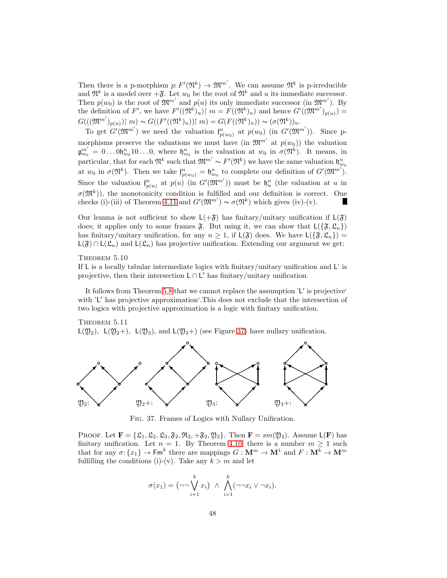Then there is a p-morphism  $p: F'(\mathfrak{N}^k) \to \mathfrak{M}^{m'}$ . We can assume  $\mathfrak{N}^k$  is p-irreducible and  $\mathfrak{N}^k$  is a model over  $+\mathfrak{F}$ . Let  $w_0$  be the root of  $\mathfrak{N}^k$  and u its immediate successor. Then  $p(w_0)$  is the root of  $\mathfrak{M}^{m'}$  and  $p(u)$  its only immediate successor (in  $\mathfrak{M}^{m'}$ ). By the definition of F', we have  $F'((\mathfrak{N}^k)_u) \mid m = F((\mathfrak{N}^k)_u)$  and hence  $G'((\mathfrak{M}^{m'})_{p(u)}) =$  $G(((\mathfrak{M}^{m'})_{p(u)})\upharpoonright m) \sim G((F'((\mathfrak{N}^k)_{u}))\upharpoonright m) = G(F((\mathfrak{N}^k)_{u})) \sim (\sigma(\mathfrak{N}^k))_{u}.$ 

To get  $G'(\mathfrak{M}^{m'})$  we need the valuation  $\mathfrak{f}^n_{p(w_0)}$  at  $p(w_0)$  (in  $G'(\mathfrak{M}^{m'}))$ . Since pmorphisms preserve the valuations we must have (in  $\mathfrak{M}^{m'}$  at  $p(w_0)$ ) the valuation  $\mathfrak{g}_{w_0}^{m'} = 0 \dots 0 \mathfrak{h}_{w_0}^n 10 \dots 0$ , where  $\mathfrak{h}_{w_0}^n$  is the valuation at  $w_0$  in  $\sigma(\mathfrak{N}^k)$ . It means, in particular, that for each  $\mathfrak{N}^k$  such that  $\mathfrak{M}^{m'} \sim F'(\mathfrak{N}^k)$  we have the same valuation  $\mathfrak{h}_{w_0}^n$ at  $w_0$  in  $\sigma(\mathfrak{N}^k)$ . Then we take  $\mathfrak{f}_{p(w_0)}^n = \mathfrak{h}_{w_0}^n$  to complete our definition of  $G'(\mathfrak{M}^{m'})$ . Since the valuation  $f_{p(u)}^n$  at  $p(u)$  (in  $G'(\mathfrak{M}^{m'})$ ) must be  $\mathfrak{h}_u^n$  (the valuation at u in  $\sigma(\mathfrak{M}^k)$ , the monotonicity condition is fulfilled and our definition is correct. One checks (i)-(iii) of Theorem [4.11](#page-21-1) and  $G'(\mathfrak{M}^{m'}) \sim \sigma(\mathfrak{N}^k)$  which gives (iv)-(v). **I** 

Our lemma is not sufficient to show  $L(+\mathfrak{F})$  has finitary/unitary unification if  $L(\mathfrak{F})$ does; it applies only to some frames  $\mathfrak{F}$ . But using it, we can show that  $L(\{\mathfrak{F}, \mathfrak{L}_n\})$ has finitary/unitary unification, for any  $n \geq 1$ , if  $\mathsf{L}(\mathfrak{F})$  does. We have  $\mathsf{L}(\{\mathfrak{F}, \mathfrak{L}_n\})$  =  $L(\mathfrak{F}) \cap L(\mathfrak{L}_n)$  and  $L(\mathfrak{L}_n)$  has projective unification. Extending our argument we get:

## THEOREM 5.10

If L is a locally tabular intermediate logics with finitary/unitary unification and L' is projective, then their intersection  $L \cap L'$  has finitary/unitary unification.

It follows from Theorem [5.8](#page-44-0) that we cannot replace the assumption 'L' is projective' with 'L' has projective approximation'. This does not exclude that the intersection of two logics with projective approximation is a logic with finitary unification.



 $L(2)_2$ ,  $L(2)_2$ +),  $L(2)_3$ , and  $L(2)_3$ +) (see Figure [37\)](#page-47-0) have nullary unification.



<span id="page-47-0"></span>Fig. 37. Frames of Logics with Nullary Unification.

PROOF. Let  $\mathbf{F} = {\mathcal{L}_1, \mathcal{L}_2, \mathcal{L}_3, \mathcal{F}_2, \mathcal{R}_3, +\mathcal{F}_2, \mathcal{Y}_2}.$  Then  $\mathbf{F} = sm(\mathcal{Y}_2)$ . Assume  $\mathsf{L}(\mathbf{F})$  has finitary unification. Let  $n = 1$ . By Theorem [4.10,](#page-20-0) there is a number  $m \ge 1$  such that for any  $\sigma: \{x_1\} \to \mathsf{Fm}^k$  there are mappings  $G: \mathbf{M}^m \to \mathbf{M}^1$  and  $F: \mathbf{M}^k \to \mathbf{M}^m$ fulfilling the conditions (i)-(v). Take any  $k > m$  and let

$$
\sigma(x_1) = \left(\neg\neg \bigvee_{i+1}^k x_i\right) \land \bigwedge_{i=1}^k (\neg\neg x_i \lor \neg x_i).
$$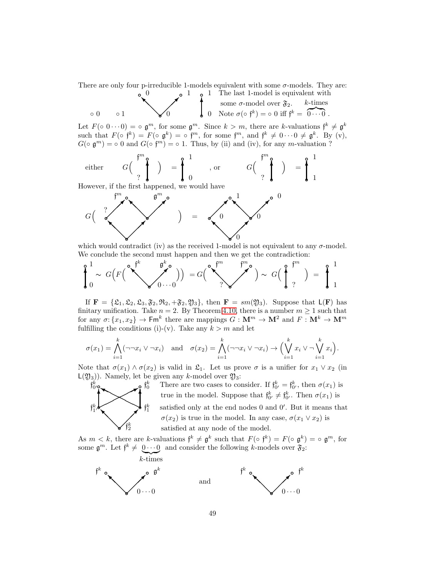There are only four p-irreducible 1-models equivalent with some  $\sigma$ -models. They are: 1 The last 1-model is equivalent with

◦ 0 ◦ 1 ❜ 0 ❜ 1 ❜0 ✒ ❅ ❅ ❅■ ❜ 0 Note σ(◦ f k ) = ◦ 0 iff f <sup>k</sup> = k-times z }| { 0 · · · 0 . ❜ some σ-model over F2. ✻

Let  $F(\circ 0 \cdots 0) = \circ \mathfrak{g}^m$ , for some  $\mathfrak{g}^m$ . Since  $k > m$ , there are k-valuations  $\mathfrak{f}^k \neq \mathfrak{g}^k$ such that  $F(\circ f^k) = F(\circ g^k) = \circ f^m$ , for some  $f^m$ , and  $f^k \neq 0 \cdots 0 \neq g^k$ . By (v),  $G(\circ \mathfrak{g}^m) = \circ 0$  and  $G(\circ \mathfrak{f}^m) = \circ 1$ . Thus, by (ii) and (iv), for any m-valuation ?

either 
$$
G\left(\begin{array}{c}m_0\\1\end{array}\right) = \int_0^1
$$
, or  $G\left(\begin{array}{c}m_0\\1\end{array}\right) = \int_1^1$ 

However, if the first happened, we would have



which would contradict (iv) as the received 1-model is not equivalent to any  $\sigma$ -model. We conclude the second must happen and then we get the contradiction:

$$
\oint_0^1 \sim G\Big(F\Big(\bigvee_{j=0}^{\infty} \bigvee_{j=0}^{\infty} \bigvee_{j=0}^{\infty} \Big)\Big) = G\Big(\bigvee_{j=0}^{\infty} \bigvee_{j=0}^{\infty} \bigvee_{j=0}^{\infty} \Big) \sim G\Big(\bigwedge_{j=0}^{\infty} \bigvee_{j=0}^{\infty} \Big)\ = \ \oint_0^1 \frac{1}{1}
$$

If  $\mathbf{F} = {\mathcal{L}_1, \mathcal{L}_2, \mathcal{L}_3, \mathcal{F}_2, \mathcal{R}_3, +\mathcal{F}_2, \mathcal{Y}_3}$ , then  $\mathbf{F} = sm(\mathcal{Y}_3)$ . Suppose that  $\mathsf{L}(\mathbf{F})$  has finitary unification. Take  $n = 2$ . By Theorem [4.10,](#page-20-0) there is a number  $m \ge 1$  such that for any  $\sigma: \{x_1, x_2\} \to \mathsf{Fm}^k$  there are mappings  $G: \mathbf{M}^m \to \mathbf{M}^2$  and  $F: \mathbf{M}^k \to \mathbf{M}^m$ fulfilling the conditions (i)-(v). Take any  $k > m$  and let

$$
\sigma(x_1) = \bigwedge_{i=1}^k (\neg\neg x_i \vee \neg x_i) \quad \text{and} \quad \sigma(x_2) = \bigwedge_{i=1}^k (\neg\neg x_i \vee \neg x_i) \rightarrow \Big(\bigvee_{i=1}^k x_i \vee \neg \bigvee_{i=1}^k x_i\Big).
$$

Note that  $\sigma(x_1) \wedge \sigma(x_2)$  is valid in  $\mathfrak{L}_1$ . Let us prove  $\sigma$  is a unifier for  $x_1 \vee x_2$  (in  $L(\mathfrak{Y}_3)$ . Namely, let be given any k-model over  $\mathfrak{Y}_3$ :



 $\mathfrak{f}^k_1$   $\mathfrak{f}^k_2$  satisfied only at the end nodes 0 and 0'. But it means that <sup>k</sup> There are two cases to consider. If  $\mathfrak{f}_{0'}^k = \mathfrak{f}_{0'}^k$ , then  $\sigma(x_1)$  is true in the model. Suppose that  $\mathfrak{f}_{0'}^k \neq \mathfrak{f}_{0'}^k$ . Then  $\sigma(x_1)$  is  $\sigma(x_2)$  is true in the model. In any case,  $\sigma(x_1 \vee x_2)$  is satisfied at any node of the model.

As  $m < k$ , there are k-valuations  $\mathfrak{f}^k \neq \mathfrak{g}^k$  such that  $F(\circ \mathfrak{f}^k) = F(\circ \mathfrak{g}^k) = \circ \mathfrak{g}^m$ , for some  $\mathfrak{g}^m$ . Let  $\mathfrak{f}^k \neq 0 \cdots 0$  and consider the following k-models over  $\mathfrak{F}_2$ .

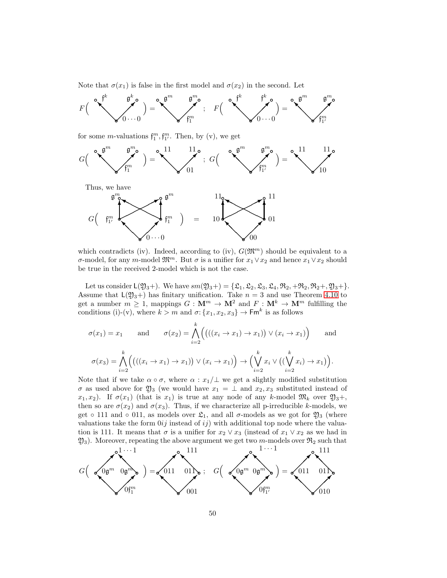Note that  $\sigma(x_1)$  is false in the first model and  $\sigma(x_2)$  in the second. Let



for some *m*-valuations  $f_1^m, f_{1'}^m$ . Then, by (v), we get



Thus, we have



which contradicts (iv). Indeed, according to (iv),  $G(\mathfrak{M}^m)$  should be equivalent to a σ-model, for any m-model  $\mathfrak{M}^m$ . But σ is a unifier for  $x_1 \vee x_2$  and hence  $x_1 \vee x_2$  should be true in the received 2-model which is not the case.

Let us consider  $L(2)_{3}$ +). We have  $sm(2)_{3}$ +) = { $\mathfrak{L}_1, \mathfrak{L}_2, \mathfrak{L}_3, \mathfrak{L}_4, \mathfrak{R}_2, +\mathfrak{R}_2, \mathfrak{R}_2+$ ,  $\mathfrak{R}_3$ +}. Assume that  $L(2)_{3}$ +) has finitary unification. Take  $n = 3$  and use Theorem [4.10](#page-20-0) to get a number  $m \ge 1$ , mappings  $G: \mathbf{M}^m \to \mathbf{M}^2$  and  $F: \mathbf{M}^k \to \mathbf{M}^m$  fulfilling the conditions (i)-(v), where  $k > m$  and  $\sigma: \{x_1, x_2, x_3\} \to \mathsf{Fm}^k$  is as follows

$$
\sigma(x_1) = x_1 \quad \text{and} \quad \sigma(x_2) = \bigwedge_{i=2}^k \Big( \big( ((x_i \to x_1) \to x_1) \big) \vee (x_i \to x_1) \Big) \quad \text{and}
$$

$$
\sigma(x_3) = \bigwedge_{i=2}^k \Big( \big( ((x_i \to x_1) \to x_1) \big) \vee (x_i \to x_1) \Big) \to \Big( \bigvee_{i=2}^k x_i \vee \big( (\bigvee_{i=2}^k x_i) \to x_1 \big) \Big).
$$

Note that if we take  $\alpha \circ \sigma$ , where  $\alpha : x_1/\bot$  we get a slightly modified substitution  $\sigma$  as used above for  $\mathfrak{Y}_3$  (we would have  $x_1 = \perp$  and  $x_2, x_3$  substituted instead of  $x_1, x_2$ ). If  $\sigma(x_1)$  (that is  $x_1$ ) is true at any node of any k-model  $\mathfrak{M}_k$  over  $\mathfrak{Y}_3 +$ , then so are  $\sigma(x_2)$  and  $\sigma(x_3)$ . Thus, if we characterize all p-irreducible k-models, we get  $\circ$  111 and  $\circ$  011, as models over  $\mathfrak{L}_1$ , and all  $\sigma$ -models as we got for  $\mathfrak{Y}_3$  (where valuations take the form  $0ij$  instead of  $ij$ ) with additional top node where the valuation is 111. It means that  $\sigma$  is a unifier for  $x_2 \vee x_3$  (instead of  $x_1 \vee x_2$  as we had in  $\mathfrak{Y}_3$ . Moreover, repeating the above argument we get two m-models over  $\mathfrak{R}_2$  such that

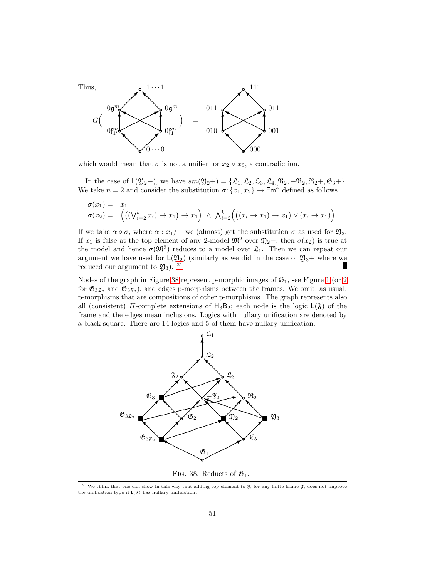

which would mean that  $\sigma$  is not a unifier for  $x_2 \vee x_3$ , a contradiction.

In the case of  $L(2)_{2}$ +), we have  $sm(2)_{2}$ +) = { $\mathfrak{L}_{1}, \mathfrak{L}_{2}, \mathfrak{L}_{3}, \mathfrak{L}_{4}, \mathfrak{R}_{2}, +\mathfrak{R}_{2}, \mathfrak{R}_{2}$ +,  $\mathfrak{G}_{3}$ +}. We take  $n=2$  and consider the substitution  $\sigma: \{x_1, x_2\} \to \mathsf{Fm}^k$  defined as follows

$$
\sigma(x_1) = x_1
$$
  
\n
$$
\sigma(x_2) = \left( \left( (\bigvee_{i=2}^k x_i) \to x_1 \right) \to x_1 \right) \land \bigwedge_{i=2}^k \left( \left( (x_i \to x_1) \to x_1 \right) \lor (x_i \to x_1) \right).
$$

If we take  $\alpha \circ \sigma$ , where  $\alpha : x_1/\bot$  we (almost) get the substitution  $\sigma$  as used for  $\mathfrak{Y}_2$ . If  $x_1$  is false at the top element of any 2-model  $\mathfrak{M}^2$  over  $\mathfrak{Y}_2$ +, then  $\sigma(x_2)$  is true at the model and hence  $\sigma(\mathfrak{M}^2)$  reduces to a model over  $\mathfrak{L}_1$ . Then we can repeat our argument we have used for  $L(2)_2$ ) (similarly as we did in the case of  $2j_3+$  where we reduced our argument to  $\mathfrak{Y}_3$ ). <sup>[21](#page-50-0)</sup>

Nodes of the graph in Figure [38](#page-50-1) represent p-morphic images of  $\mathfrak{G}_1$ , see Figure [1](#page-1-3) (or [2](#page-1-2)) for  $\mathfrak{G}_{3\mathfrak{L}_2}$  and  $\mathfrak{G}_{3\mathfrak{F}_2}$ ), and edges p-morphisms between the frames. We omit, as usual, p-morphisms that are compositions of other p-morphisms. The graph represents also all (consistent) H-complete extensions of  $H_3B_2$ ; each node is the logic  $L(\mathfrak{F})$  of the frame and the edges mean inclusions. Logics with nullary unification are denoted by a black square. There are 14 logics and 5 of them have nullary unification.



<span id="page-50-1"></span><span id="page-50-0"></span><sup>&</sup>lt;sup>21</sup>We think that one can show in this way that adding top element to  $\mathfrak{F}$ , for any finite frame  $\mathfrak{F}$ , does not improve the unification type if  $L(\mathfrak{F})$  has nullary unification.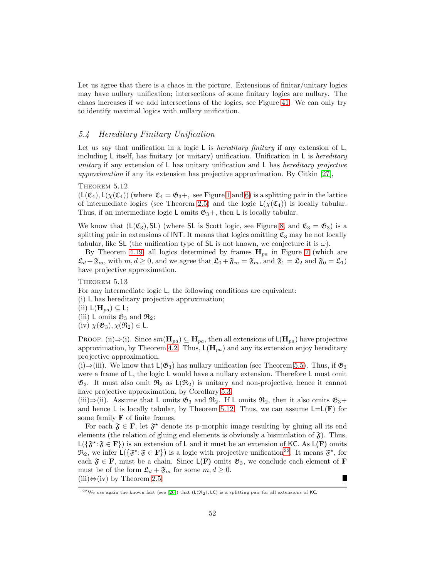Let us agree that there is a chaos in the picture. Extensions of finitar/unitary logics may have nullary unification; intersections of some finitary logics are nullary. The chaos increases if we add intersections of the logics, see Figure [41.](#page-55-0) We can only try to identify maximal logics with nullary unification.

# <span id="page-51-0"></span>5.4 Hereditary Finitary Unification

Let us say that unification in a logic  $L$  is *hereditary finitary* if any extension of  $L$ , including  $L$  itself, has finitary (or unitary) unification. Unification in  $L$  is *hereditary* unitary if any extension of  $\mathsf{L}$  has unitary unification and  $\mathsf{L}$  has hereditary projective approximation if any its extension has projective approximation. By Citkin [\[27\]](#page-57-2),

## <span id="page-51-1"></span>THEOREM 5.12

 $(L(\mathfrak{C}_4), L(\chi(\mathfrak{C}_4))$  (where  $\mathfrak{C}_4 = \mathfrak{G}_3 +$ , see Figure [1](#page-1-3) and [6\)](#page-3-1) is a splitting pair in the lattice of intermediate logics (see Theorem [2.5\)](#page-8-2) and the logic  $L(\chi(\mathfrak{C}_4))$  is locally tabular. Thus, if an intermediate logic L omits  $\mathfrak{G}_3 +$ , then L is locally tabular.

We know that  $(L(\mathfrak{C}_3), SL)$  (where SL is Scott logic, see Figure [8,](#page-5-2) and  $\mathfrak{C}_3 = \mathfrak{G}_3$ ) is a splitting pair in extensions of INT. It means that logics omitting  $\mathfrak{C}_3$  may be not locally tabular, like SL (the unification type of SL is not known, we conjecture it is  $\omega$ ).

By Theorem [4.19,](#page-29-2) all logics determined by frames  $H_{pa}$  in Figure [7](#page-4-0) (which are  $\mathfrak{L}_d + \mathfrak{F}_m$ , with  $m, d \geq 0$ , and we agree that  $\mathfrak{L}_0 + \mathfrak{F}_m = \mathfrak{F}_m$ , and  $\mathfrak{F}_1 = \mathfrak{L}_2$  and  $\mathfrak{F}_0 = \mathfrak{L}_1$ ) have projective approximation.

# <span id="page-51-3"></span>THEOREM  $5.13$

For any intermediate logic L, the following conditions are equivalent:

(i) L has hereditary projective approximation;

- (ii)  $L(\mathbf{H}_{pa}) \subseteq L;$
- (iii)  $L$  omits  $\mathfrak{G}_3$  and  $\mathfrak{R}_2$ ;
- (iv)  $\chi(\mathfrak{G}_3), \chi(\mathfrak{R}_2) \in \mathsf{L}$ .

PROOF. (ii)⇒(i). Since  $sm(\mathbf{H}_{pa}) \subseteq \mathbf{H}_{pa}$ , then all extensions of  $\mathsf{L}(\mathbf{H}_{pa})$  have projective approximation, by Theorem [4.2.](#page-17-3) Thus,  $\mathsf{L}(\mathbf{H}_{pa})$  and any its extension enjoy hereditary projective approximation.

(i)⇒(iii). We know that  $L(\mathfrak{G}_3)$  has nullary unification (see Theorem [5.5\)](#page-39-0). Thus, if  $\mathfrak{G}_3$ were a frame of L, the logic L would have a nullary extension. Therefore L must omit  $\mathfrak{G}_3$ . It must also omit  $\mathfrak{R}_2$  as  $\mathsf{L}(\mathfrak{R}_2)$  is unitary and non-projective, hence it cannot have projective approximation, by Corollary [5.3.](#page-34-1)

(iii)⇒(ii). Assume that L omits  $\mathfrak{G}_3$  and  $\mathfrak{R}_2$ . If L omits  $\mathfrak{R}_2$ , then it also omits  $\mathfrak{G}_3$ + and hence L is locally tabular, by Theorem [5.12.](#page-51-1) Thus, we can assume  $L=L(\mathbf{F})$  for some family  $\bf{F}$  of finite frames.

For each  $\mathfrak{F} \in \mathbf{F}$ , let  $\mathfrak{F}^*$  denote its p-morphic image resulting by gluing all its end elements (the relation of gluing end elements is obviously a bisimulation of  $\mathfrak{F}$ ). Thus,  $L(\{\mathfrak{F}^{\star}:\mathfrak{F}\in\mathbf{F}\})$  is an extension of L and it must be an extension of KC. As  $L(\mathbf{F})$  omits  $\mathfrak{R}_2$ , we infer  $\mathsf{L}(\{\mathfrak{F}^{\star}:\mathfrak{F}\in\mathbf{F}\})$  is a logic with projective unification<sup>[22](#page-51-2)</sup>. It means  $\mathfrak{F}^{\star}$ , for each  $\mathfrak{F} \in \mathbf{F}$ , must be a chain. Since  $\mathsf{L}(\mathbf{F})$  omits  $\mathfrak{G}_3$ , we conclude each element of  $\mathbf{F}$ must be of the form  $\mathfrak{L}_d + \mathfrak{F}_m$  for some  $m, d \geq 0$ . Г  $(iii) \Leftrightarrow (iv)$  by Theorem [2.5.](#page-8-2)

<span id="page-51-2"></span><sup>&</sup>lt;sup>22</sup>We use again the known fact (see [\[26\]](#page-57-5)) that (L(R<sub>2</sub>), LC) is a splitting pair for all extensions of KC.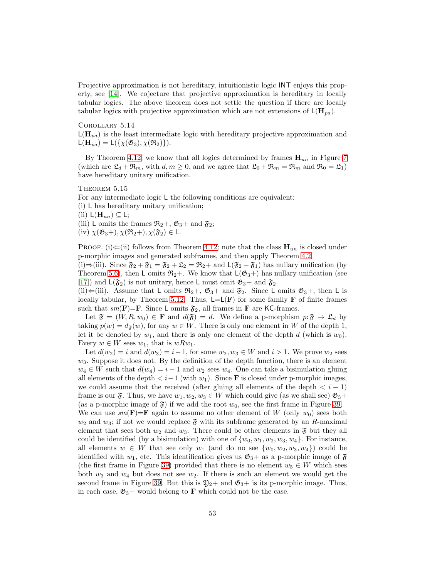Projective approximation is not hereditary, intuitionistic logic INT enjoys this property, see [\[14\]](#page-56-3). We cojecture that projective approximation is hereditary in locally tabular logics. The above theorem does not settle the question if there are locally tabular logics with projective approximation which are not extensions of  $\mathsf{L}(\mathbf{H}_{pa})$ .

Corollary 5.14  $L(\mathbf{H}_{pa})$  is the least intermediate logic with hereditary projective approximation and  $\mathsf{L}(\mathbf{H}_{pa}) = \mathsf{L}(\{\chi(\mathfrak{G}_3), \chi(\mathfrak{R}_2)\}).$ 

By Theorem [4.12,](#page-22-2) we know that all logics determined by frames  $H_{un}$  in Figure [7](#page-4-0) (which are  $\mathfrak{L}_d + \mathfrak{R}_m$ , with  $d, m \geq 0$ , and we agree that  $\mathfrak{L}_0 + \mathfrak{R}_m = \mathfrak{R}_m$  and  $\mathfrak{R}_0 = \mathfrak{L}_1$ ) have hereditary unitary unification.

## <span id="page-52-0"></span>THEOREM  $5.15$

For any intermediate logic L the following conditions are equivalent:

(i) L has hereditary unitary unification;

(ii)  $\mathsf{L}(\mathbf{H}_{un}) \subseteq \mathsf{L}$ ;

- (iii) L omits the frames  $\mathfrak{R}_2 +$ ,  $\mathfrak{G}_3$  + and  $\mathfrak{F}_2$ ;
- (iv)  $\chi(\mathfrak{G}_3+)$ ,  $\chi(\mathfrak{R}_2+)$ ,  $\chi(\mathfrak{F}_2) \in \mathsf{L}$ .

PROOF. (i)  $\Leftarrow$ (ii) follows from Theorem [4.12;](#page-22-2) note that the class  $\mathbf{H}_{un}$  is closed under p-morphic images and generated subframes, and then apply Theorem [4.2.](#page-17-3)

(i)⇒(iii). Since  $\mathfrak{F}_2 + \mathfrak{F}_1 = \mathfrak{F}_2 + \mathfrak{L}_2 = \mathfrak{R}_2 +$  and  $\mathsf{L}(\mathfrak{F}_2 + \mathfrak{F}_1)$  has nullary unification (by Theorem [5.6\)](#page-41-1), then L omits  $\mathfrak{R}_2+$ . We know that  $\mathsf{L}(\mathfrak{G}_3+)$  has nullary unification (see [\[17\]](#page-56-7)) and  $L(\mathfrak{F}_2)$  is not unitary, hence L must omit  $\mathfrak{G}_3$ + and  $\mathfrak{F}_2$ .

(ii) $\Leftarrow$ (iii). Assume that L omits  $\mathfrak{R}_2 +$ ,  $\mathfrak{G}_3 +$  and  $\mathfrak{F}_2$ . Since L omits  $\mathfrak{G}_3 +$ , then L is locally tabular, by Theorem [5.12.](#page-51-1) Thus,  $L=L(\mathbf{F})$  for some family **F** of finite frames such that  $sm(\mathbf{F})=\mathbf{F}$ . Since L omits  $\mathfrak{F}_2$ , all frames in **F** are KC-frames.

Let  $\mathfrak{F} = (W, R, w_0) \in \mathbf{F}$  and  $d(\mathfrak{F}) = d$ . We define a p-morphism  $p: \mathfrak{F} \to \mathfrak{L}_d$  by taking  $p(w) = d_{\mathfrak{F}}(w)$ , for any  $w \in W$ . There is only one element in W of the depth 1, let it be denoted by  $w_1$ , and there is only one element of the depth d (which is  $w_0$ ). Every  $w \in W$  sees  $w_1$ , that is  $wRw_1$ .

Let  $d(w_2) = i$  and  $d(w_3) = i-1$ , for some  $w_2, w_3 \in W$  and  $i > 1$ . We prove  $w_2$  sees  $w_3$ . Suppose it does not. By the definition of the depth function, there is an element  $w_4 \in W$  such that  $d(w_4) = i - 1$  and  $w_2$  sees  $w_4$ . One can take a bisimulation gluing all elements of the depth  $\langle i-1 \rangle$  (with  $w_1$ ). Since **F** is closed under p-morphic images, we could assume that the received (after gluing all elements of the depth  $\langle i-1 \rangle$ frame is our  $\mathfrak{F}$ . Thus, we have  $w_1, w_2, w_3 \in W$  which could give (as we shall see)  $\mathfrak{G}_3 +$ (as a p-morphic image of  $\mathfrak{F}$ ) if we add the root  $w_0$ , see the first frame in Figure [39.](#page-53-0)

We can use  $sm(\mathbf{F})=\mathbf{F}$  again to assume no other element of W (only  $w_0$ ) sees both  $w_2$  and  $w_3$ ; if not we would replace  $\mathfrak{F}$  with its subframe generated by an R-maximal element that sees both  $w_2$  and  $w_3$ . There could be other elements in  $\mathfrak{F}$  but they all could be identified (by a bisimulation) with one of  $\{w_0, w_1, w_2, w_3, w_4\}$ . For instance, all elements  $w \in W$  that see only  $w_1$  (and do no see  $\{w_0, w_2, w_3, w_4\}$ ) could be identified with  $w_1$ , etc. This identification gives us  $\mathfrak{G}_3$  + as a p-morphic image of  $\mathfrak{F}$ (the first frame in Figure [39\)](#page-53-0) provided that there is no element  $w_5 \in W$  which sees both  $w_3$  and  $w_4$  but does not see  $w_2$ . If there is such an element we would get the second frame in Figure [39.](#page-53-0) But this is  $\mathfrak{Y}_2$ + and  $\mathfrak{G}_3$ + is its p-morphic image. Thus, in each case,  $\mathfrak{G}_3$ + would belong to **F** which could not be the case.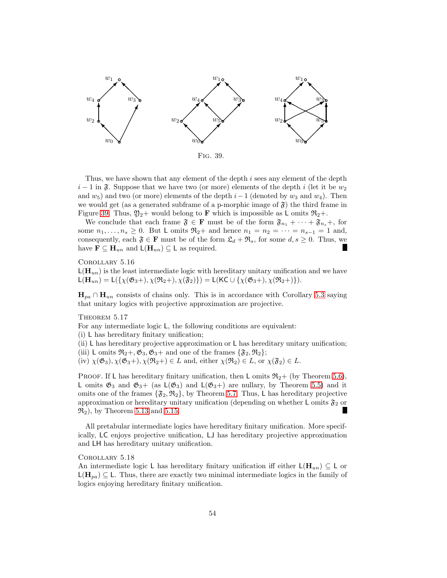

<span id="page-53-0"></span>Fig. 39.

Thus, we have shown that any element of the depth i sees any element of the depth  $i-1$  in  $\mathfrak{F}$ . Suppose that we have two (or more) elements of the depth i (let it be  $w_2$ and  $w_5$ ) and two (or more) elements of the depth  $i-1$  (denoted by  $w_3$  and  $w_4$ ). Then we would get (as a generated subframe of a p-morphic image of  $\mathfrak{F}$ ) the third frame in Figure [39.](#page-53-0) Thus,  $\mathfrak{Y}_2$ + would belong to **F** which is impossible as L omits  $\mathfrak{R}_2$ +.

We conclude that each frame  $\mathfrak{F} \in \mathbf{F}$  must be of the form  $\mathfrak{F}_{n_1} + \cdots + \mathfrak{F}_{n_s} +$ , for some  $n_1, \ldots, n_s \geq 0$ . But L omits  $\Re_2$ + and hence  $n_1 = n_2 = \cdots = n_{s-1} = 1$  and, consequently, each  $\mathfrak{F} \in \mathbf{F}$  must be of the form  $\mathfrak{L}_d + \mathfrak{R}_s$ , for some  $d, s \geq 0$ . Thus, we have  $\mathbf{F} \subseteq \mathbf{H}_{un}$  and  $\mathsf{L}(\mathbf{H}_{un}) \subseteq \mathsf{L}$  as required. **I** 

Corollary 5.16

 $\mathsf{L}(\mathbf{H}_{un})$  is the least intermediate logic with hereditary unitary unification and we have  $L(\mathbf{H}_{un}) = L(\{\chi(\mathfrak{G}_3+), \chi(\mathfrak{R}_2+), \chi(\mathfrak{F}_2)\}) = L(KC \cup {\chi(\mathfrak{G}_3+), \chi(\mathfrak{R}_2+)}).$ 

 $H_{pa} \cap H_{un}$  consists of chains only. This is in accordance with Corollary [5.3](#page-34-1) saying that unitary logics with projective approximation are projective.

THEOREM  $5.17$ 

For any intermediate logic L, the following conditions are equivalent:

(i) L has hereditary finitary unification;

(ii) L has hereditary projective approximation or L has hereditary unitary unification; (iii) L omits  $\mathfrak{R}_2 +$ ,  $\mathfrak{G}_3$ ,  $\mathfrak{G}_3$  + and one of the frames  $\{\mathfrak{F}_2, \mathfrak{R}_2\};$ 

(iv)  $\chi(\mathfrak{G}_3), \chi(\mathfrak{G}_3+)$ ,  $\chi(\mathfrak{R}_2) \in L$  and, either  $\chi(\mathfrak{R}_2) \in L$ , or  $\chi(\mathfrak{F}_2) \in L$ .

PROOF. If L has hereditary finitary unification, then L omits  $\mathfrak{R}_2 +$  (by Theorem [5.6\)](#page-41-1), L omits  $\mathfrak{G}_3$  and  $\mathfrak{G}_3$  + (as  $\mathsf{L}(\mathfrak{G}_3)$  and  $\mathsf{L}(\mathfrak{G}_3)$  are nullary, by Theorem [5.5\)](#page-39-0) and it omits one of the frames  $\{\mathfrak{F}_2, \mathfrak{R}_2\}$ , by Theorem [5.7.](#page-43-0) Thus, L has hereditary projective approximation or hereditary unitary unification (depending on whether L omits  $\mathfrak{F}_2$  or  $\mathfrak{R}_2$ , by Theorem [5.13](#page-51-3) and [5.15.](#page-52-0)

All pretabular intermediate logics have hereditary finitary unification. More specifically, LC enjoys projective unification, LJ has hereditary projective approximation and LH has hereditary unitary unification.

# Corollary 5.18

An intermediate logic L has hereditary finitary unification iff either  $\mathsf{L}(\mathbf{H}_{un}) \subseteq \mathsf{L}$  or  $L(\mathbf{H}_{pa}) \subseteq L$ . Thus, there are exactly two minimal intermediate logics in the family of logics enjoying hereditary finitary unification.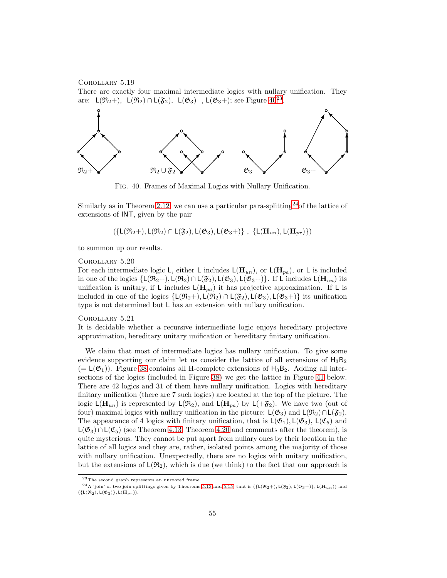Corollary 5.19

There are exactly four maximal intermediate logics with nullary unification. They are:  $\mathsf{L}(\mathfrak{R}_2+)$ ,  $\mathsf{L}(\mathfrak{R}_2) \cap \mathsf{L}(\mathfrak{F}_2)$ ,  $\mathsf{L}(\mathfrak{G}_3)$ ,  $\mathsf{L}(\mathfrak{G}_3+)$ ; see Figure  $40^{23}$  $40^{23}$  $40^{23}$ .



<span id="page-54-0"></span>Fig. 40. Frames of Maximal Logics with Nullary Unification.

Similarly as in Theorem [2.12,](#page-9-4) we can use a particular para-splitting  $2^4$  of the lattice of extensions of INT, given by the pair

 $({L}(\mathfrak{R}_2+), L(\mathfrak{R}_2) \cap L(\mathfrak{F}_2), L(\mathfrak{G}_3), L(\mathfrak{G}_3+))$ ,  ${L}(\mathbf{H}_{un}), L(\mathbf{H}_{pr})$ 

to summon up our results.

#### Corollary 5.20

For each intermediate logic L, either L includes  $L(\mathbf{H}_{un})$ , or  $L(\mathbf{H}_{pa})$ , or L is included in one of the logics  $\{L(\mathfrak{R}_2+), L(\mathfrak{R}_2) \cap L(\mathfrak{F}_2), L(\mathfrak{G}_3), L(\mathfrak{G}_3+)\}\$ . If L includes  $L(\mathbf{H}_{un})$  its unification is unitary, if L includes  $L(\mathbf{H}_{pa})$  it has projective approximation. If L is included in one of the logics  $\{L(\mathfrak{R}_2+), L(\mathfrak{R}_2) \cap L(\mathfrak{F}_2), L(\mathfrak{G}_3), L(\mathfrak{G}_3+\}\)$  its unification type is not determined but L has an extension with nullary unification.

#### Corollary 5.21

It is decidable whether a recursive intermediate logic enjoys hereditary projective approximation, hereditary unitary unification or hereditary finitary unification.

We claim that most of intermediate logics has nullary unification. To give some evidence supporting our claim let us consider the lattice of all extensions of  $H_3B_2$  $(= L(\mathfrak{G}_1))$ . Figure [38](#page-50-1) contains all H-complete extensions of  $H_3B_2$ . Adding all intersections of the logics (included in Figure [38\)](#page-50-1) we get the lattice in Figure [41](#page-55-0) below. There are 42 logics and 31 of them have nullary unification. Logics with hereditary finitary unification (there are 7 such logics) are located at the top of the picture. The logic  $L(\mathbf{H}_{un})$  is represented by  $L(\mathfrak{R}_2)$ , and  $L(\mathbf{H}_{pa})$  by  $L(+\mathfrak{F}_2)$ . We have two (out of four) maximal logics with nullary unification in the picture:  $\mathsf{L}(\mathfrak{G}_3)$  and  $\mathsf{L}(\mathfrak{R}_2)\cap \mathsf{L}(\mathfrak{F}_2)$ . The appearance of 4 logics with finitary unification, that is  $L(\mathfrak{G}_1), L(\mathfrak{G}_3), L(\mathfrak{C}_5)$  and  $L(\mathfrak{G}_3) \cap L(\mathfrak{C}_5)$  (see Theorem [4.13,](#page-24-3) Theorem [4.20](#page-31-2) and comments after the theorem), is quite mysterious. They cannot be put apart from nullary ones by their location in the lattice of all logics and they are, rather, isolated points among the majority of those with nullary unification. Unexpectedly, there are no logics with unitary unification, but the extensions of  $L(\mathfrak{R}_2)$ , which is due (we think) to the fact that our approach is

<span id="page-54-1"></span><sup>23</sup>The second graph represents an unrooted frame.

<span id="page-54-2"></span> $^{24}$ A 'join' of two join-splittings given by Theorems [5.13](#page-51-3) and [5.15,](#page-52-0) that is  $(\{\mathsf{L}(\mathfrak{R}_2+), \mathsf{L}(\mathfrak{F}_2), \mathsf{L}(\mathfrak{G}_3+)\}, \mathsf{L}(\mathbf{H}_{un}))$  and  $({L}(\mathfrak{R}_2), L(\mathfrak{G}_3)), L(\mathbf{H}_{pr})$ ).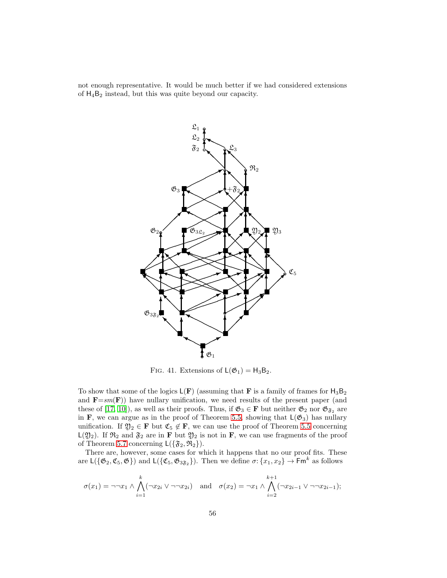not enough representative. It would be much better if we had considered extensions of H4B<sup>2</sup> instead, but this was quite beyond our capacity.



<span id="page-55-0"></span>FIG. 41. Extensions of  $L(\mathfrak{G}_1) = H_3B_2$ .

To show that some of the logics  $L(F)$  (assuming that F is a family of frames for  $H_3B_2$ and  $\mathbf{F}=sm(\mathbf{F})$ ) have nullary unification, we need results of the present paper (and these of [\[17,](#page-56-7) [10\]](#page-56-0)), as well as their proofs. Thus, if  $\mathfrak{G}_3 \in \mathbf{F}$  but neither  $\mathfrak{G}_2$  nor  $\mathfrak{G}_{\mathfrak{F}_2}$  are in F, we can argue as in the proof of Theorem [5.5,](#page-39-0) showing that  $L(\mathfrak{G}_3)$  has nullary unification. If  $\mathfrak{Y}_2 \in \mathbf{F}$  but  $\mathfrak{C}_5 \notin \mathbf{F}$ , we can use the proof of Theorem [5.5](#page-39-0) concerning  $L(2)_2$ ). If  $\mathfrak{R}_2$  and  $\mathfrak{F}_2$  are in **F** but  $\mathfrak{Y}_2$  is not in **F**, we can use fragments of the proof of Theorem [5.7](#page-43-0) concerning  $L(\{\mathfrak{F}_2,\mathfrak{R}_2\}).$ 

There are, however, some cases for which it happens that no our proof fits. These are  $\mathsf{L}(\{\mathfrak{G}_2,\mathfrak{C}_5,\mathfrak{G}\})$  and  $\mathsf{L}(\{\mathfrak{C}_5,\mathfrak{G}_{3\mathfrak{F}_2}\})$ . Then we define  $\sigma: \{x_1,x_2\} \to \mathsf{Fm}^k$  as follows

$$
\sigma(x_1) = \neg\neg x_1 \land \bigwedge_{i=1}^k (\neg x_{2i} \lor \neg\neg x_{2i}) \quad \text{and} \quad \sigma(x_2) = \neg x_1 \land \bigwedge_{i=2}^{k+1} (\neg x_{2i-1} \lor \neg\neg x_{2i-1});
$$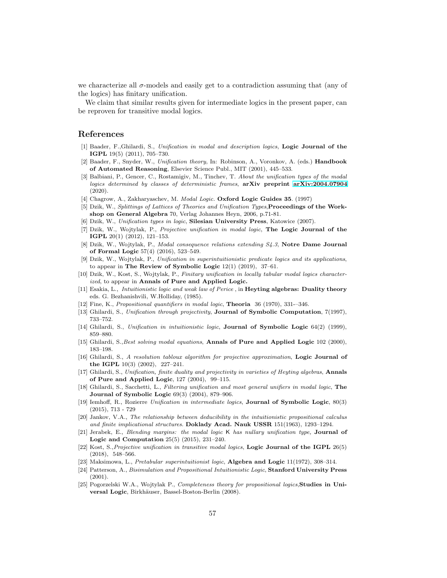we characterize all  $\sigma$ -models and easily get to a contradiction assuming that (any of the logics) has finitary unification.

We claim that similar results given for intermediate logics in the present paper, can be reproven for transitive modal logics.

# <span id="page-56-2"></span>References

- [1] Baader, F.,Ghilardi, S., *Unification in modal and description logics*, Logic Journal of the IGPL 19(5) (2011), 705–730.
- <span id="page-56-1"></span>[2] Baader, F., Snyder, W., *Unification theory*, In: Robinson, A., Voronkov, A. (eds.) Handbook of Automated Reasoning, Elsevier Science Publ., MIT (2001), 445–533.
- <span id="page-56-10"></span>[3] Balbiani, P., Gencer, C., Rostamigiv, M., Tinchev, T. *About the unification types of the modal logics determined by classes of deterministic frames*, arXiv preprint [arXiv:2004.07904](http://arxiv.org/abs/2004.07904)  $(2020)$ .
- <span id="page-56-5"></span>[4] Chagrow, A., Zakharyaschev, M. *Modal Logic.* Oxford Logic Guides 35. (1997)
- [5] Dzik, W., *Splittings of Lattices of Theories and Unification Types*,Proceedings of the Workshop on General Algebra 70, Verlag Johannes Heyn, 2006, p.71-81.
- <span id="page-56-22"></span><span id="page-56-6"></span>[6] Dzik, W., *Unification types in logic*, Silesian University Press, Katowice (2007).
- [7] Dzik, W., Wojtylak, P., *Projective unification in modal logic*, The Logic Journal of the IGPL 20(1) (2012), 121–153.
- <span id="page-56-11"></span>[8] Dzik, W., Wojtylak, P., *Modal consequence relations extending S4.3*, Notre Dame Journal of Formal Logic 57(4) (2016), 523–549.
- <span id="page-56-13"></span>[9] Dzik, W., Wojtylak, P., *Unification in superintuitionistic predicate logics and its applications*, to appear in The Review of Symbolic Logic  $12(1)$   $(2019)$ ,  $37-61$ .
- <span id="page-56-0"></span>[10] Dzik, W., Kost, S., Wojtylak, P., *Finitary unification in locally tabular modal logics characterized*, to appear in Annals of Pure and Applied Logic.
- <span id="page-56-15"></span>[11] Esakia, L., *Intuitionistic logic and weak law of Perice* , in Heyting algebras: Duality theory eds. G. Bezhanishvili, W.Holliday, (1985).
- <span id="page-56-19"></span><span id="page-56-14"></span>[12] Fine, K., *Propositional quantifiers in modal logic*, Theoria 36 (1970), 331-–346.
- <span id="page-56-3"></span>[13] Ghilardi, S., *Unification through projectivity*, Journal of Symbolic Computation, 7(1997), 733–752.
- <span id="page-56-4"></span>[14] Ghilardi, S., *Unification in intuitionistic logic*, Journal of Symbolic Logic 64(2) (1999), 859–880.
- [15] Ghilardi, S.,*Best solving modal equations*, Annals of Pure and Applied Logic 102 (2000), 183–198.
- [16] Ghilardi, S., *A resolution tabloux algorithm for projective approximation*, Logic Journal of the IGPL 10(3) (2002), 227–241.
- <span id="page-56-7"></span>[17] Ghilardi, S., *Unification, finite duality and projectivity in varieties of Heyting algebras*, Annals of Pure and Applied Logic, 127 (2004), 99–115.
- <span id="page-56-18"></span>[18] Ghilardi, S., Sacchetti, L., *Filtering unification and most general unifiers in modal logic*, The Journal of Symbolic Logic 69(3) (2004), 879–906.
- <span id="page-56-8"></span>[19] Iemhoff, R., Rozierre *Unification in intermediate logics*, Journal of Symbolic Logic, 80(3) (2015), 713 - 729
- <span id="page-56-17"></span>[20] Jankov, V.A., *The relationship between deducibility in the intuitionistic propositional calculus and finite implicational structures*. Doklady Acad. Nauk USSR 151(1963), 1293–1294.
- <span id="page-56-9"></span>[21] Jerabek, E., *Blending margins: the modal logic* K *has nullary unification type,* Journal of Logic and Computation 25(5) (2015), 231–240.
- <span id="page-56-12"></span>[22] Kost, S.,*Projective unification in transitive modal logics*, Logic Journal of the IGPL 26(5) (2018), 548–566.
- <span id="page-56-20"></span><span id="page-56-16"></span>[23] Maksimowa, L., *Pretabular superintuitionist logic*, Algebra and Logic 11(1972), 308–314.
- [24] Patterson, A., *Bisimulation and Propositional Intuitionistic Logic*, Stanford University Press (2001).
- <span id="page-56-21"></span>[25] Pogorzelski W.A., Wojtylak P., *Completeness theory for propositional logics*,Studies in Universal Logic, Birkhäuser, Bassel-Boston-Berlin (2008).